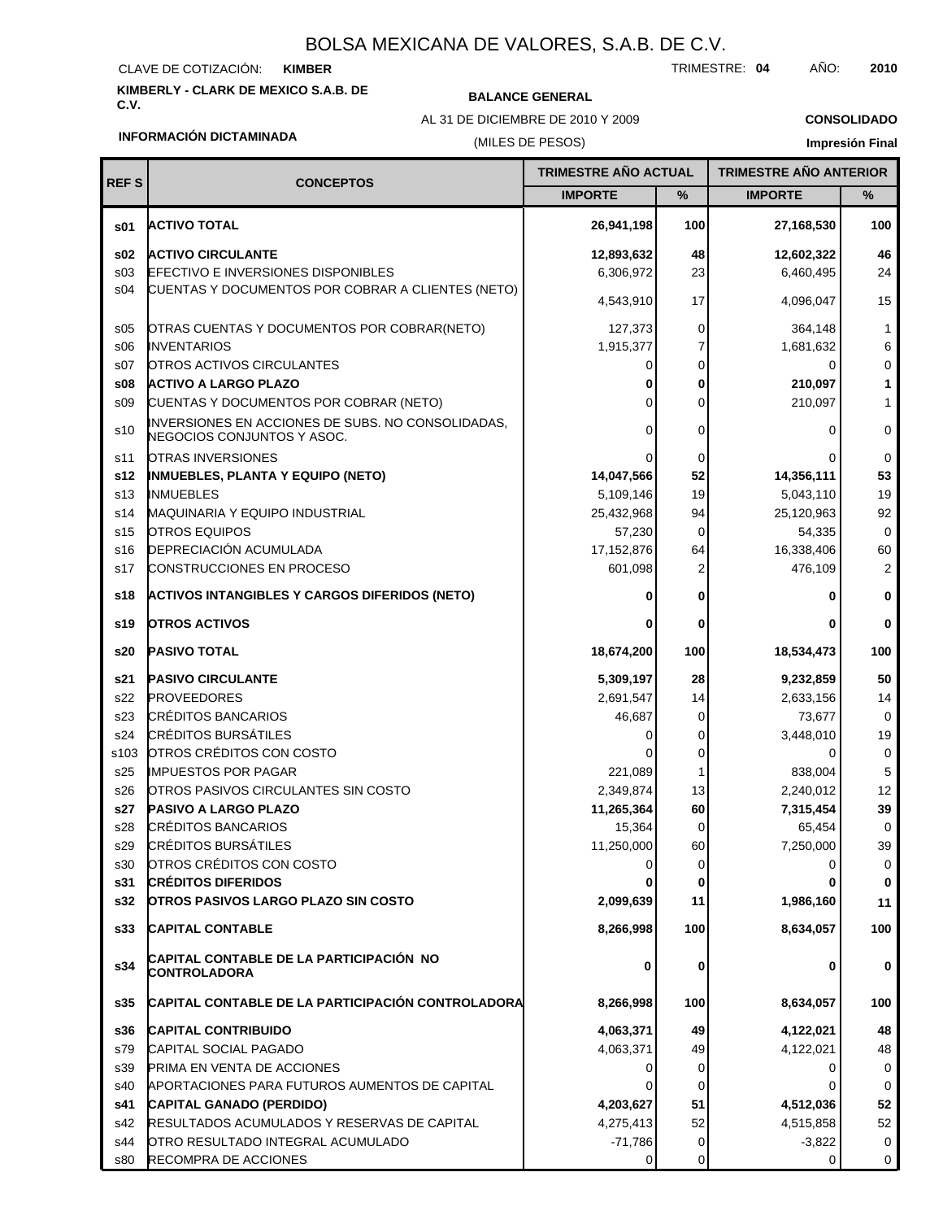### CLAVE DE COTIZACIÓN: **KIMBER**

# **KIMBERLY - CLARK DE MEXICO S.A.B. DE**

## **C.V. BALANCE GENERAL**

AL 31 DE DICIEMBRE DE 2010 Y 2009

TRIMESTRE: **04** AÑO: **2010**

**CONSOLIDADO Impresión Final**

## **INFORMACIÓN DICTAMINADA**

## (MILES DE PESOS)

| <b>REFS</b><br><b>CONCEPTOS</b> |                                                                                 | <b>TRIMESTRE AÑO ACTUAL</b> |      | <b>TRIMESTRE AÑO ANTERIOR</b> |                |
|---------------------------------|---------------------------------------------------------------------------------|-----------------------------|------|-------------------------------|----------------|
|                                 |                                                                                 | <b>IMPORTE</b>              | $\%$ | <b>IMPORTE</b>                | %              |
| \$01                            | <b>ACTIVO TOTAL</b>                                                             | 26,941,198                  | 100  | 27,168,530                    | 100            |
| s02                             | <b>ACTIVO CIRCULANTE</b>                                                        | 12,893,632                  | 48   | 12,602,322                    | 46             |
| s03                             | <b>EFECTIVO E INVERSIONES DISPONIBLES</b>                                       | 6,306,972                   | 23   | 6,460,495                     | 24             |
| s04                             | CUENTAS Y DOCUMENTOS POR COBRAR A CLIENTES (NETO)                               | 4,543,910                   | 17   | 4,096,047                     | 15             |
| \$05                            | OTRAS CUENTAS Y DOCUMENTOS POR COBRAR(NETO)                                     | 127,373                     | 0    | 364,148                       | 1              |
| \$06                            | <b>INVENTARIOS</b>                                                              | 1,915,377                   | 7    | 1,681,632                     | 6              |
| S <sub>07</sub>                 | <b>OTROS ACTIVOS CIRCULANTES</b>                                                | 0                           | 0    | 0                             | 0              |
| s08                             | <b>ACTIVO A LARGO PLAZO</b>                                                     | 0                           | 0    | 210,097                       | 1              |
| \$09                            | CUENTAS Y DOCUMENTOS POR COBRAR (NETO)                                          | 0                           | 0    | 210,097                       | 1              |
| s10                             | INVERSIONES EN ACCIONES DE SUBS. NO CONSOLIDADAS,<br>NEGOCIOS CONJUNTOS Y ASOC. | 0                           | 0    | 0                             | 0              |
| s11                             | OTRAS INVERSIONES                                                               |                             | 0    | 0                             | $\mathbf 0$    |
| s12                             | <b>INMUEBLES, PLANTA Y EQUIPO (NETO)</b>                                        | 14,047,566                  | 52   | 14,356,111                    | 53             |
| s <sub>13</sub>                 | <b>INMUEBLES</b>                                                                | 5,109,146                   | 19   | 5,043,110                     | 19             |
| s14                             | MAQUINARIA Y EQUIPO INDUSTRIAL                                                  | 25,432,968                  | 94   | 25,120,963                    | 92             |
| s <sub>15</sub>                 | <b>OTROS EQUIPOS</b>                                                            | 57,230                      | 0    | 54,335                        | $\mathbf 0$    |
| s16                             | DEPRECIACIÓN ACUMULADA                                                          | 17, 152, 876                | 64   | 16,338,406                    | 60             |
| s17                             | CONSTRUCCIONES EN PROCESO                                                       | 601,098                     | 2    | 476,109                       | $\overline{2}$ |
| s18                             | ACTIVOS INTANGIBLES Y CARGOS DIFERIDOS (NETO)                                   |                             | 0    | 0                             | 0              |
| s19                             | <b>OTROS ACTIVOS</b>                                                            | 0                           | 0    | 0                             | 0              |
| s20                             | PASIVO TOTAL                                                                    | 18,674,200                  | 100  | 18,534,473                    | 100            |
| s21                             | <b>PASIVO CIRCULANTE</b>                                                        | 5,309,197                   | 28   | 9,232,859                     | 50             |
| s22                             | <b>PROVEEDORES</b>                                                              | 2,691,547                   | 14   | 2,633,156                     | 14             |
| s23                             | <b>CRÉDITOS BANCARIOS</b>                                                       | 46,687                      | 0    | 73,677                        | 0              |
| s24                             | <b>CRÉDITOS BURSÁTILES</b>                                                      | 0                           | 0    | 3,448,010                     | 19             |
| s103                            | OTROS CRÉDITOS CON COSTO                                                        |                             | 0    | 0                             | 0              |
| s25                             | <b>IMPUESTOS POR PAGAR</b>                                                      | 221,089                     | 1    | 838,004                       | 5              |
| s26                             | OTROS PASIVOS CIRCULANTES SIN COSTO                                             | 2,349,874                   | 13   | 2,240,012                     | 12             |
| s27                             | <b>PASIVO A LARGO PLAZO</b>                                                     | 11,265,364                  | 60   | 7,315,454                     | 39             |
| s28                             | <b>CRÉDITOS BANCARIOS</b>                                                       | 15,364                      | 0    | 65,454                        | 0              |
| s29                             | <b>CRÉDITOS BURSÁTILES</b>                                                      | 11,250,000                  | 60   | 7,250,000                     | 39             |
| s30                             | OTROS CRÉDITOS CON COSTO                                                        | 0                           | 0    | 0                             | 0              |
| <b>s31</b>                      | <b>CRÉDITOS DIFERIDOS</b>                                                       |                             | 0    | 0                             | $\mathbf 0$    |
| s32                             | <b>OTROS PASIVOS LARGO PLAZO SIN COSTO</b>                                      | 2,099,639                   | 11   | 1,986,160                     | 11             |
| s33                             | <b>CAPITAL CONTABLE</b>                                                         | 8,266,998                   | 100  | 8,634,057                     | 100            |
| s34                             | CAPITAL CONTABLE DE LA PARTICIPACIÓN NO<br>CONTROLADORA                         | 0                           | 0    | 0                             | 0              |
| s35                             | CAPITAL CONTABLE DE LA PARTICIPACIÓN CONTROLADORA                               | 8,266,998                   | 100  | 8,634,057                     | 100            |
| s36                             | <b>CAPITAL CONTRIBUIDO</b>                                                      | 4,063,371                   | 49   | 4,122,021                     | 48             |
| s79                             | CAPITAL SOCIAL PAGADO                                                           | 4,063,371                   | 49   | 4,122,021                     | 48             |
| s39                             | PRIMA EN VENTA DE ACCIONES                                                      | 0                           | 0    | 0                             | 0              |
| s40                             | APORTACIONES PARA FUTUROS AUMENTOS DE CAPITAL                                   | 0                           | 0    | 0                             | $\mathbf 0$    |
| s41                             | CAPITAL GANADO (PERDIDO)                                                        | 4,203,627                   | 51   | 4,512,036                     | 52             |
| s42                             | RESULTADOS ACUMULADOS Y RESERVAS DE CAPITAL                                     | 4,275,413                   | 52   | 4,515,858                     | 52             |
| s44                             | OTRO RESULTADO INTEGRAL ACUMULADO                                               | $-71,786$                   | 0    | $-3,822$                      | 0              |
| s80                             | RECOMPRA DE ACCIONES                                                            | $\overline{0}$              | 0    | 0                             | 0              |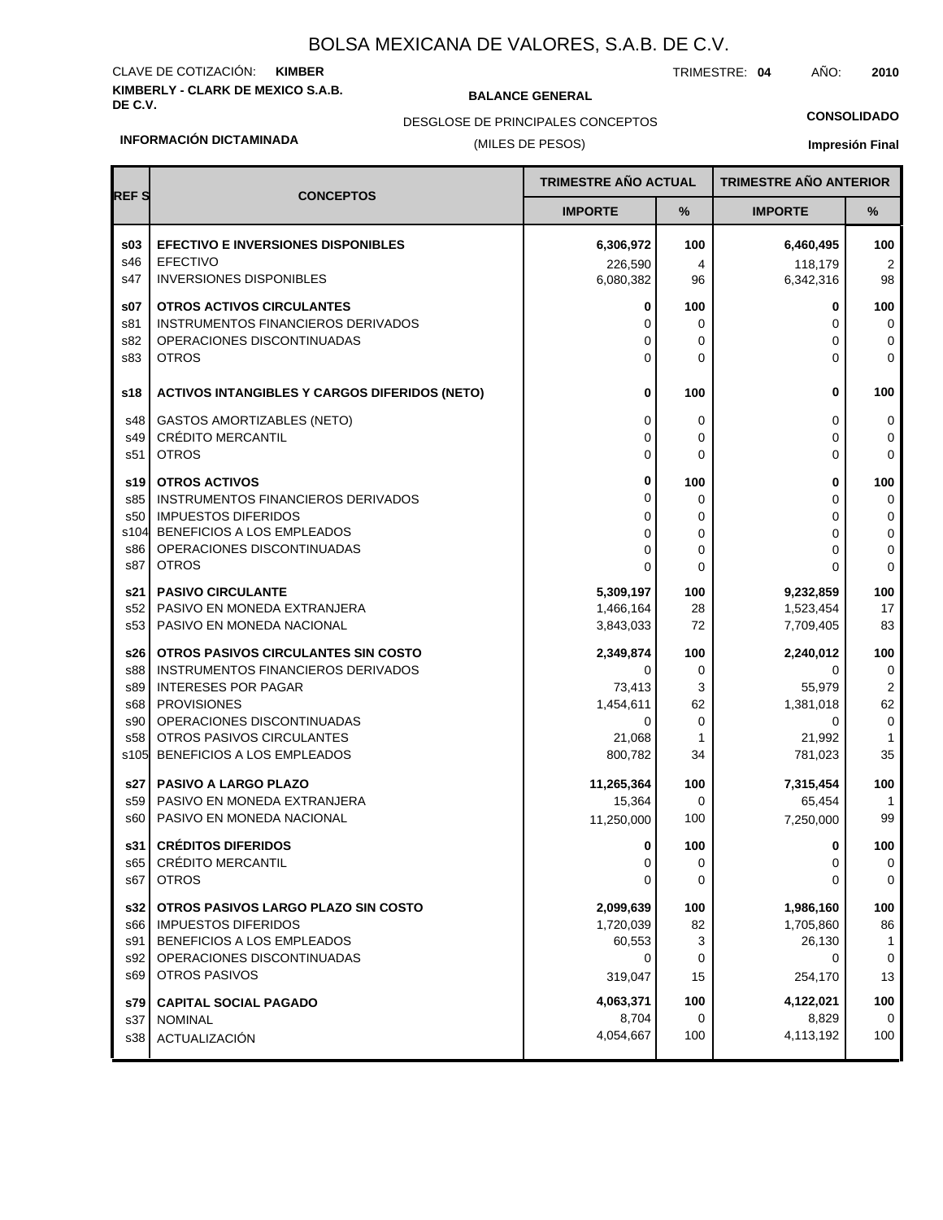# **KIMBERLY - CLARK DE MEXICO S.A.B.** CLAVE DE COTIZACIÓN: **KIMBER**

**BALANCE GENERAL** 

TRIMESTRE: **04** AÑO: **2010**

**CONSOLIDADO**

## DESGLOSE DE PRINCIPALES CONCEPTOS

### **INFORMACIÓN DICTAMINADA**

## (MILES DE PESOS)

| <b>REFS</b> | <b>CONCEPTOS</b>                                                 | TRIMESTRE AÑO ACTUAL   |           | <b>TRIMESTRE AÑO ANTERIOR</b> |                     |
|-------------|------------------------------------------------------------------|------------------------|-----------|-------------------------------|---------------------|
|             |                                                                  | <b>IMPORTE</b>         | %         | <b>IMPORTE</b>                | %                   |
| \$03        | <b>EFECTIVO E INVERSIONES DISPONIBLES</b>                        | 6,306,972              | 100       | 6,460,495                     | 100                 |
| s46         | <b>EFECTIVO</b>                                                  | 226,590                | 4         | 118,179                       | 2                   |
| s47         | <b>INVERSIONES DISPONIBLES</b>                                   | 6,080,382              | 96        | 6,342,316                     | 98                  |
| \$07        | <b>OTROS ACTIVOS CIRCULANTES</b>                                 | 0                      | 100       | 0                             | 100                 |
| s81         | <b>INSTRUMENTOS FINANCIEROS DERIVADOS</b>                        | 0                      | 0         | $\Omega$                      | 0                   |
| s82         | OPERACIONES DISCONTINUADAS                                       | 0                      | 0         | $\Omega$                      | 0                   |
| s83         | <b>OTROS</b>                                                     | 0                      | 0         | $\Omega$                      | $\mathbf 0$         |
| s18         | <b>ACTIVOS INTANGIBLES Y CARGOS DIFERIDOS (NETO)</b>             | 0                      | 100       | 0                             | 100                 |
| s48         | <b>GASTOS AMORTIZABLES (NETO)</b>                                | 0                      | 0         | 0                             | 0                   |
| s49         | <b>CRÉDITO MERCANTIL</b>                                         | 0                      | 0         | $\Omega$                      | 0                   |
| s51         | <b>OTROS</b>                                                     | 0                      | 0         | $\Omega$                      | 0                   |
| s19         | <b>OTROS ACTIVOS</b>                                             | 0                      | 100       | 0                             | 100                 |
| s85         | INSTRUMENTOS FINANCIEROS DERIVADOS                               | 0                      | 0         | $\Omega$                      | 0                   |
| s50         | <b>IMPUESTOS DIFERIDOS</b>                                       | 0                      | 0         | $\Omega$                      | 0                   |
| s104        | BENEFICIOS A LOS EMPLEADOS<br>OPERACIONES DISCONTINUADAS         | 0                      | 0         | 0                             | $\pmb{0}$           |
| s86<br>s87  | <b>OTROS</b>                                                     | 0<br>0                 | 0<br>0    | 0<br>0                        | $\pmb{0}$<br>0      |
|             |                                                                  |                        |           |                               |                     |
| s21         | <b>PASIVO CIRCULANTE</b><br>PASIVO EN MONEDA EXTRANJERA          | 5,309,197              | 100<br>28 | 9,232,859                     | 100<br>17           |
| s52<br>s53  | PASIVO EN MONEDA NACIONAL                                        | 1,466,164<br>3,843,033 | 72        | 1,523,454<br>7,709,405        | 83                  |
|             |                                                                  |                        |           |                               |                     |
| s26         | OTROS PASIVOS CIRCULANTES SIN COSTO                              | 2,349,874              | 100       | 2,240,012                     | 100                 |
| s88<br>s89  | INSTRUMENTOS FINANCIEROS DERIVADOS<br><b>INTERESES POR PAGAR</b> | 0<br>73,413            | 0<br>3    | 0<br>55,979                   | 0<br>$\overline{2}$ |
| s68         | <b>PROVISIONES</b>                                               | 1,454,611              | 62        | 1,381,018                     | 62                  |
| s90         | OPERACIONES DISCONTINUADAS                                       | 0                      | 0         | 0                             | $\mathbf 0$         |
| s58         | OTROS PASIVOS CIRCULANTES                                        | 21,068                 | 1         | 21,992                        | 1                   |
| s105        | BENEFICIOS A LOS EMPLEADOS                                       | 800,782                | 34        | 781,023                       | 35                  |
| s27         | <b>PASIVO A LARGO PLAZO</b>                                      | 11,265,364             | 100       | 7,315,454                     | 100                 |
| s59         | PASIVO EN MONEDA EXTRANJERA                                      | 15,364                 | 0         | 65,454                        | -1                  |
| s60         | PASIVO EN MONEDA NACIONAL                                        | 11,250,000             | 100       | 7,250,000                     | 99                  |
| s31         | <b>CRÉDITOS DIFERIDOS</b>                                        | 0                      | 100       | 0                             | 100                 |
| s65         | <b>CRÉDITO MERCANTIL</b>                                         | 0                      | 0         |                               | 0                   |
| s67         | <b>OTROS</b>                                                     | 0                      | 0         | 0                             | 0                   |
| s32         | OTROS PASIVOS LARGO PLAZO SIN COSTO                              | 2,099,639              | 100       | 1,986,160                     | 100                 |
| s66         | <b>IMPUESTOS DIFERIDOS</b>                                       | 1,720,039              | 82        | 1,705,860                     | 86                  |
| s91         | BENEFICIOS A LOS EMPLEADOS                                       | 60,553                 | 3         | 26,130                        | 1                   |
| s92         | OPERACIONES DISCONTINUADAS                                       | 0                      | 0         | 0                             | 0                   |
| s69         | <b>OTROS PASIVOS</b>                                             | 319,047                | 15        | 254,170                       | 13                  |
| s79         | <b>CAPITAL SOCIAL PAGADO</b>                                     | 4,063,371              | 100       | 4,122,021                     | 100                 |
| s37         | <b>NOMINAL</b>                                                   | 8,704                  | 0         | 8,829                         | 0                   |
| s38         | ACTUALIZACIÓN                                                    | 4,054,667              | 100       | 4,113,192                     | 100                 |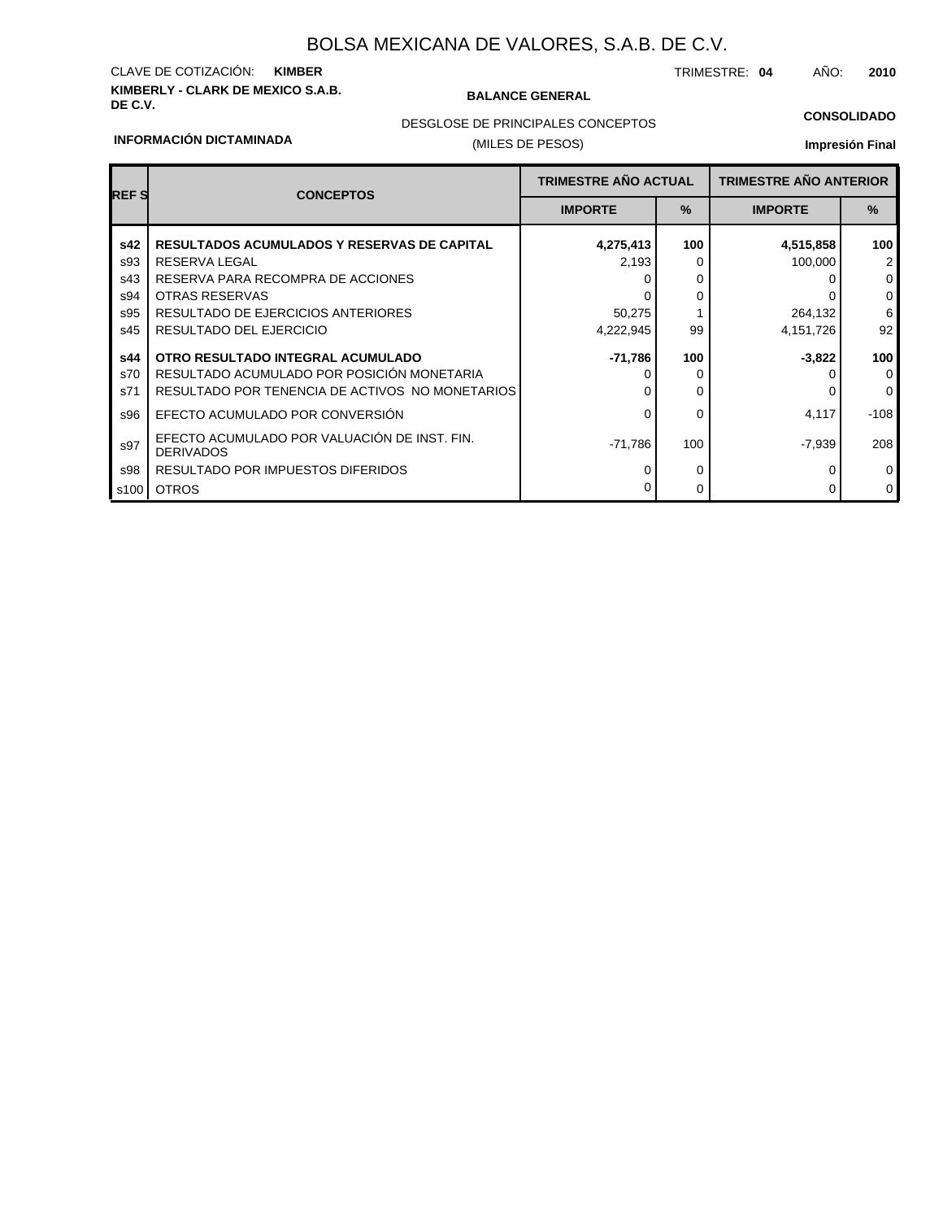# **KIMBERLY - CLARK DE MEXICO S.A.B.** CLAVE DE COTIZACIÓN: **KIMBER**

### **BALANCE GENERAL**

TRIMESTRE: **04** AÑO: **2010**

### **CONSOLIDADO**

### **INFORMACIÓN DICTAMINADA**

## DESGLOSE DE PRINCIPALES CONCEPTOS

## (MILES DE PESOS)

| <b>REFS</b> | <b>TRIMESTRE AÑO ACTUAL</b><br><b>CONCEPTOS</b>                  |                | <b>TRIMESTRE AÑO ANTERIOR</b> |                |                |
|-------------|------------------------------------------------------------------|----------------|-------------------------------|----------------|----------------|
|             |                                                                  | <b>IMPORTE</b> | $\frac{9}{6}$                 | <b>IMPORTE</b> | $\%$           |
| s42         | <b>RESULTADOS ACUMULADOS Y RESERVAS DE CAPITAL</b>               | 4,275,413      | 100                           | 4,515,858      | 100            |
| s93         | RESERVA LEGAL                                                    | 2,193          | 0                             | 100,000        | $\overline{2}$ |
| s43         | RESERVA PARA RECOMPRA DE ACCIONES                                |                |                               |                | $\mathbf 0$    |
| s94         | <b>OTRAS RESERVAS</b>                                            |                | 0                             |                | $\mathbf 0$    |
| s95         | RESULTADO DE EJERCICIOS ANTERIORES                               | 50,275         |                               | 264,132        | 6              |
| s45         | RESULTADO DEL EJERCICIO                                          | 4,222,945      | 99                            | 4,151,726      | 92             |
| s44         | OTRO RESULTADO INTEGRAL ACUMULADO                                | -71,786        | 100                           | $-3,822$       | 100            |
| s70         | RESULTADO ACUMULADO POR POSICIÓN MONETARIA                       |                | 0                             |                | $\mathbf 0$    |
| s71         | RESULTADO POR TENENCIA DE ACTIVOS NO MONETARIOS                  |                | 0                             |                | $\Omega$       |
| s96         | EFECTO ACUMULADO POR CONVERSIÓN                                  | ი              | 0                             | 4.117          | -108           |
| s97         | EFECTO ACUMULADO POR VALUACIÓN DE INST. FIN.<br><b>DERIVADOS</b> | -71.786        | 100                           | $-7,939$       | 208            |
| s98         | RESULTADO POR IMPUESTOS DIFERIDOS                                |                | 0                             |                | 0              |
| s100        | <b>OTROS</b>                                                     |                | 0                             |                | $\mathbf 0$    |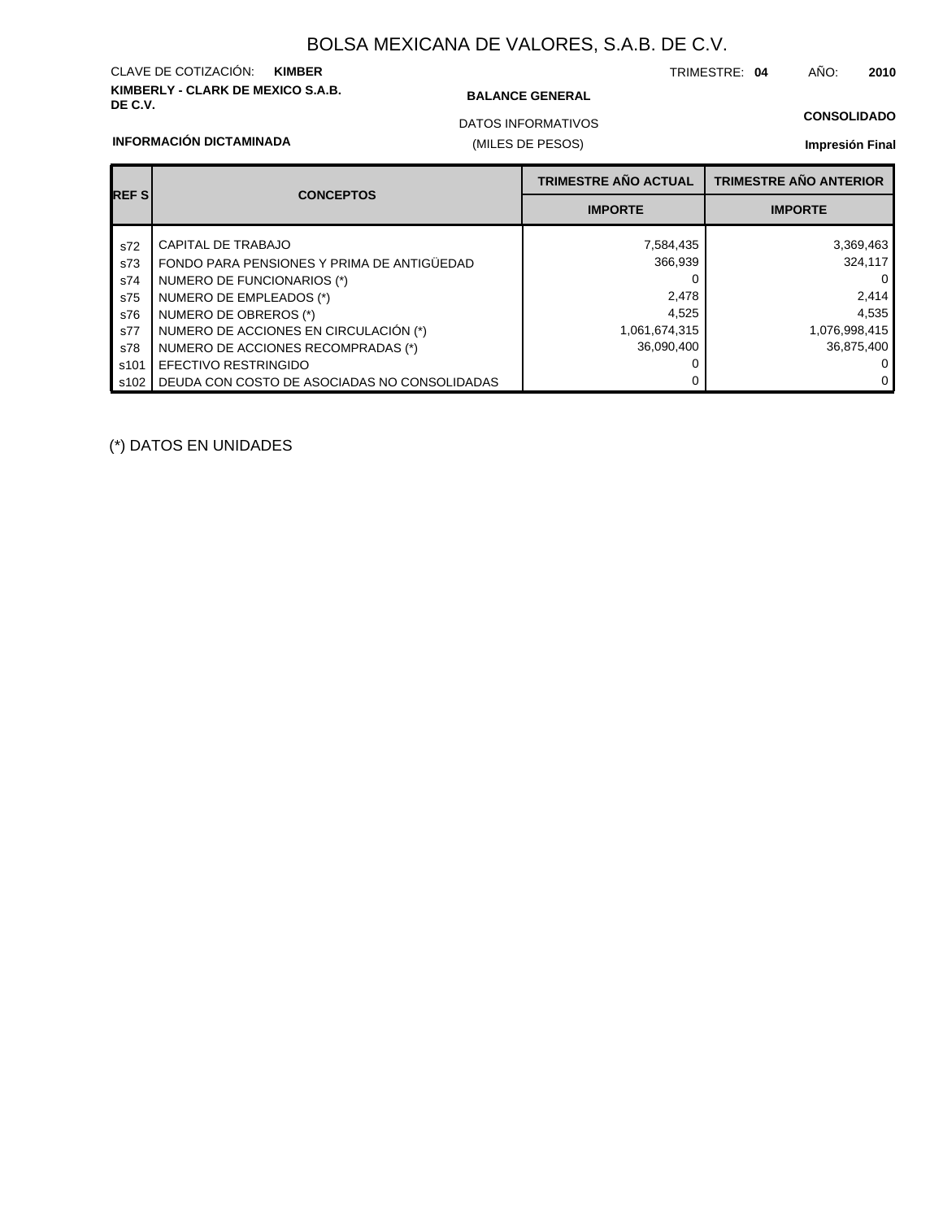# **KIMBERLY - CLARK DE MEXICO S.A.B.** CLAVE DE COTIZACIÓN: **KIMBER**

### **BALANCE GENERAL**

(MILES DE PESOS)

TRIMESTRE: **04** AÑO: **2010**

## **CONSOLIDADO**

### **INFORMACIÓN DICTAMINADA**

## DATOS INFORMATIVOS

### **Impresión Final**

| <b>REFS</b> | <b>CONCEPTOS</b>                             | <b>TRIMESTRE AÑO ACTUAL</b> | <b>TRIMESTRE AÑO ANTERIOR</b> |
|-------------|----------------------------------------------|-----------------------------|-------------------------------|
|             |                                              | <b>IMPORTE</b>              | <b>IMPORTE</b>                |
| s72         | CAPITAL DE TRABAJO                           | 7,584,435                   | 3,369,463                     |
| s73         | FONDO PARA PENSIONES Y PRIMA DE ANTIGÜEDAD   | 366,939                     | 324,117                       |
| s74         | NUMERO DE FUNCIONARIOS (*)                   |                             | $\Omega$                      |
| s75         | NUMERO DE EMPLEADOS (*)                      | 2,478                       | 2,414                         |
| s76         | NUMERO DE OBREROS (*)                        | 4,525                       | 4,535                         |
| s77         | NUMERO DE ACCIONES EN CIRCULACIÓN (*)        | 1,061,674,315               | 1,076,998,415                 |
| s78         | NUMERO DE ACCIONES RECOMPRADAS (*)           | 36,090,400                  | 36,875,400                    |
| s101        | <b>EFECTIVO RESTRINGIDO</b>                  |                             | $\Omega$                      |
| s102        | DEUDA CON COSTO DE ASOCIADAS NO CONSOLIDADAS |                             | $\Omega$                      |

(\*) DATOS EN UNIDADES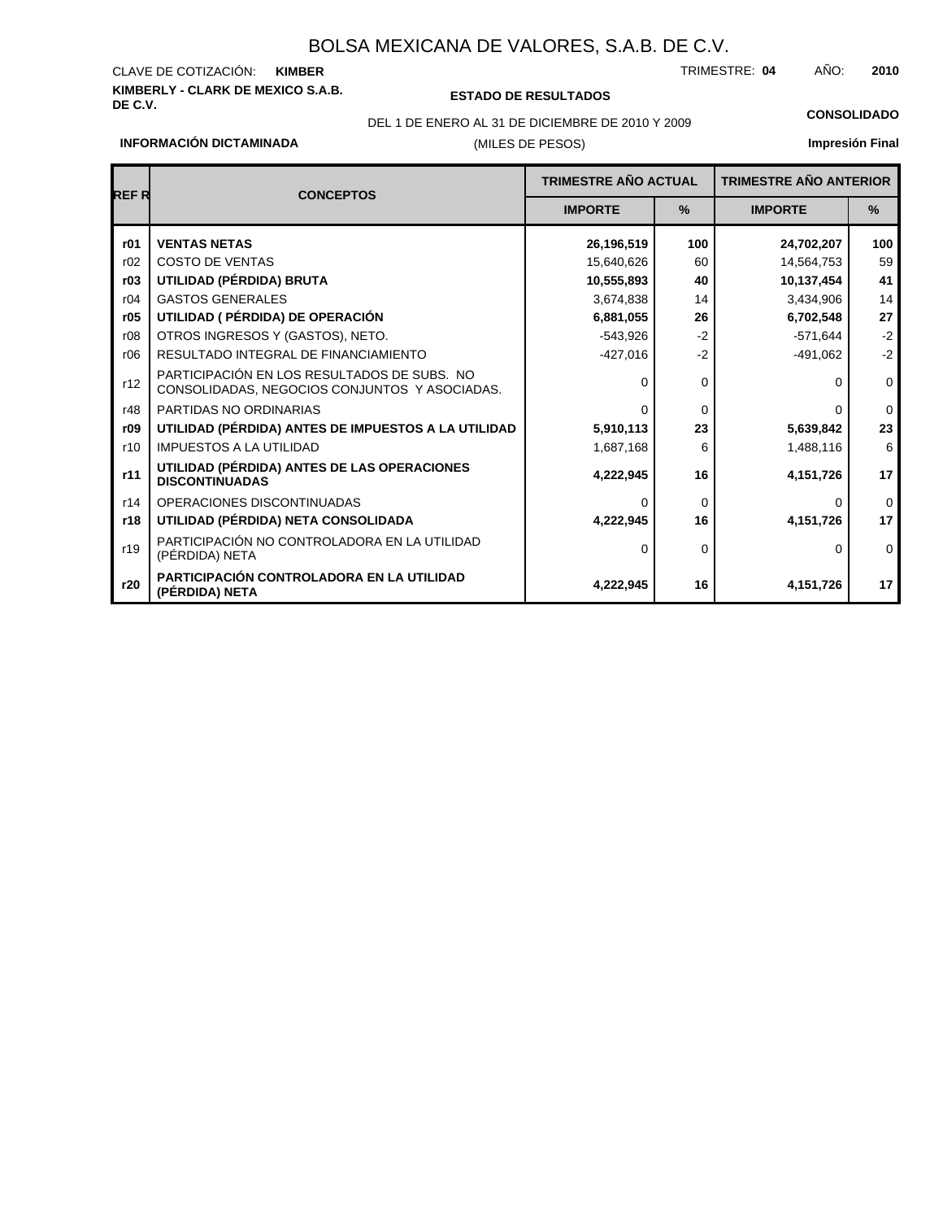# **KIMBERLY - CLARK DE MEXICO S.A.B.** CLAVE DE COTIZACIÓN:

**DE C.V. ESTADO DE RESULTADOS**

TRIMESTRE: AÑO: **KIMBER 04 2010**

DEL 1 DE ENERO AL 31 DE DICIEMBRE DE 2010 Y 2009 **CONSOLIDADO**

## **Impresión Final**

**INFORMACIÓN DICTAMINADA**

## (MILES DE PESOS)

| REF R | <b>CONCEPTOS</b>                                                                             | <b>TRIMESTRE AÑO ACTUAL</b> |               | <b>TRIMESTRE AÑO ANTERIOR</b> |               |
|-------|----------------------------------------------------------------------------------------------|-----------------------------|---------------|-------------------------------|---------------|
|       |                                                                                              | <b>IMPORTE</b>              | $\frac{9}{6}$ | <b>IMPORTE</b>                | $\frac{9}{6}$ |
| r01   | <b>VENTAS NETAS</b>                                                                          | 26,196,519                  | 100           | 24,702,207                    | 100           |
| r02   | <b>COSTO DE VENTAS</b>                                                                       | 15,640,626                  | 60            | 14,564,753                    | 59            |
| r03   | UTILIDAD (PÉRDIDA) BRUTA                                                                     | 10,555,893                  | 40            | 10,137,454                    | 41            |
| r04   | <b>GASTOS GENERALES</b>                                                                      | 3,674,838                   | 14            | 3,434,906                     | 14            |
| r05   | UTILIDAD ( PÉRDIDA) DE OPERACIÓN                                                             | 6,881,055                   | 26            | 6,702,548                     | 27            |
| r08   | OTROS INGRESOS Y (GASTOS), NETO.                                                             | $-543,926$                  | $-2$          | $-571,644$                    | $-2$          |
| r06   | RESULTADO INTEGRAL DE FINANCIAMIENTO                                                         | $-427,016$                  | $-2$          | $-491,062$                    | $-2$          |
| r12   | PARTICIPACIÓN EN LOS RESULTADOS DE SUBS. NO<br>CONSOLIDADAS, NEGOCIOS CONJUNTOS Y ASOCIADAS. |                             | $\Omega$      | ŋ                             | $\mathbf 0$   |
| r48   | PARTIDAS NO ORDINARIAS                                                                       | <sup>0</sup>                | $\Omega$      | <sup>0</sup>                  | $\mathbf 0$   |
| r09   | UTILIDAD (PÉRDIDA) ANTES DE IMPUESTOS A LA UTILIDAD                                          | 5,910,113                   | 23            | 5,639,842                     | 23            |
| r10   | <b>IMPUESTOS A LA UTILIDAD</b>                                                               | 1,687,168                   | 6             | 1,488,116                     | 6             |
| r11   | UTILIDAD (PÉRDIDA) ANTES DE LAS OPERACIONES<br><b>DISCONTINUADAS</b>                         | 4,222,945                   | 16            | 4,151,726                     | 17            |
| r14   | OPERACIONES DISCONTINUADAS                                                                   |                             | $\Omega$      | <sup>0</sup>                  | $\Omega$      |
| r18   | UTILIDAD (PÉRDIDA) NETA CONSOLIDADA                                                          | 4,222,945                   | 16            | 4,151,726                     | 17            |
| r19   | PARTICIPACIÓN NO CONTROLADORA EN LA UTILIDAD<br>(PÉRDIDA) NETA                               | 0                           | $\Omega$      | 0                             | $\Omega$      |
| r20   | <b>PARTICIPACIÓN CONTROLADORA EN LA UTILIDAD</b><br>(PÉRDIDA) NETA                           | 4,222,945                   | 16            | 4,151,726                     | 17            |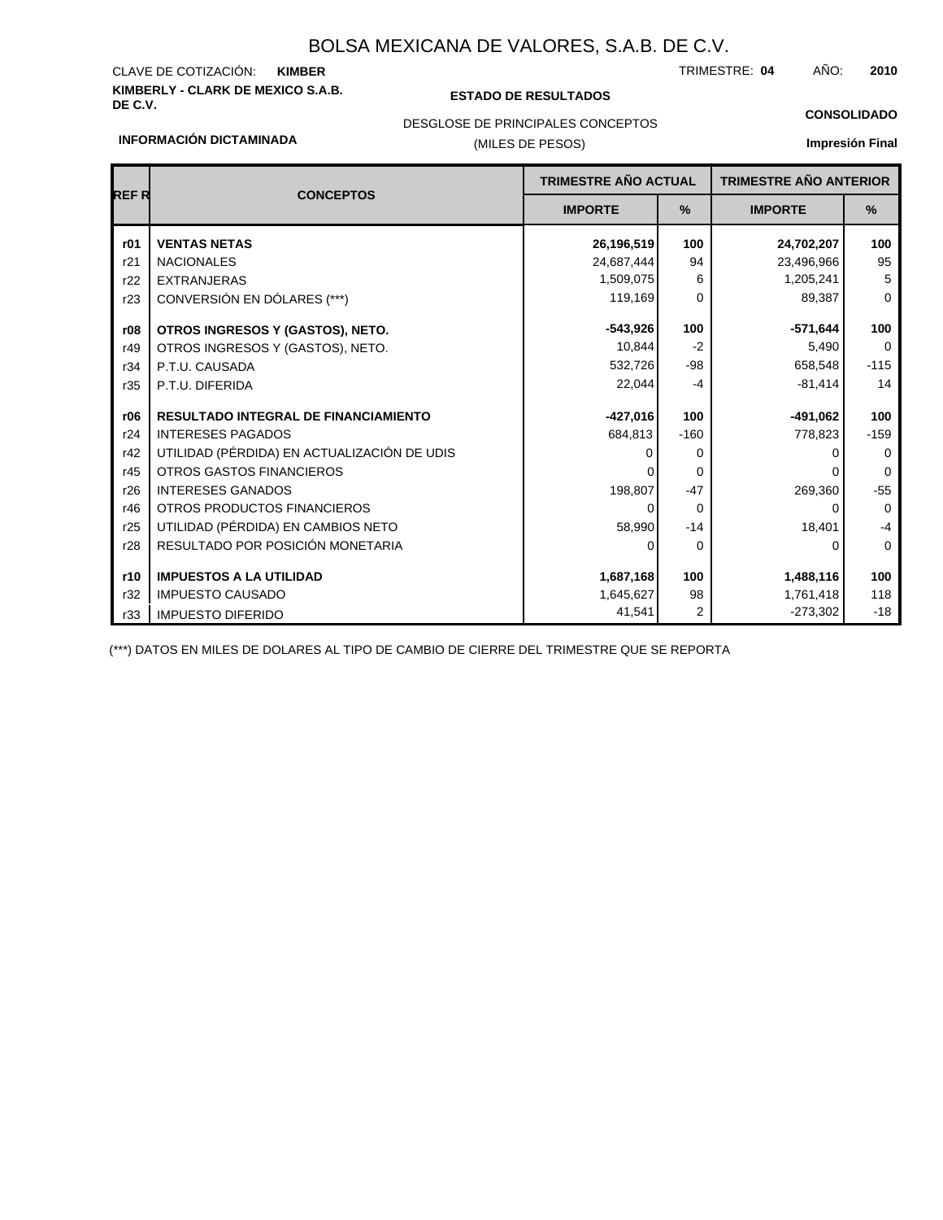# **KIMBERLY - CLARK DE MEXICO S.A.B.** CLAVE DE COTIZACIÓN:

### **DE C.V. ESTADO DE RESULTADOS**

TRIMESTRE: AÑO: **KIMBER 04 2010**

**CONSOLIDADO**

## (MILES DE PESOS) DESGLOSE DE PRINCIPALES CONCEPTOS

### **INFORMACIÓN DICTAMINADA**

## **Impresión Final**

|             |                                             | TRIMESTRE AÑO ACTUAL |                | <b>CONCEPTOS</b> |             | <b>TRIMESTRE AÑO ANTERIOR</b> |  |  |
|-------------|---------------------------------------------|----------------------|----------------|------------------|-------------|-------------------------------|--|--|
| <b>REFR</b> |                                             | <b>IMPORTE</b>       | %              | <b>IMPORTE</b>   | %           |                               |  |  |
| r01         | <b>VENTAS NETAS</b>                         | 26,196,519           | 100            | 24,702,207       | 100         |                               |  |  |
| r21         | <b>NACIONALES</b>                           | 24,687,444           | 94             | 23,496,966       | 95          |                               |  |  |
| r22         | <b>EXTRANJERAS</b>                          | 1,509,075            | 6              | 1,205,241        | 5           |                               |  |  |
| r23         | CONVERSIÓN EN DÓLARES (***)                 | 119,169              | $\Omega$       | 89,387           | $\mathbf 0$ |                               |  |  |
| r08         | OTROS INGRESOS Y (GASTOS), NETO.            | $-543,926$           | 100            | $-571,644$       | 100         |                               |  |  |
| r49         | OTROS INGRESOS Y (GASTOS), NETO.            | 10.844               | $-2$           | 5,490            | $\mathbf 0$ |                               |  |  |
| r34         | P.T.U. CAUSADA                              | 532,726              | $-98$          | 658,548          | $-115$      |                               |  |  |
| r35         | P.T.U. DIFERIDA                             | 22,044               | $-4$           | $-81,414$        | 14          |                               |  |  |
| r06         | <b>RESULTADO INTEGRAL DE FINANCIAMIENTO</b> | $-427,016$           | 100            | $-491,062$       | 100         |                               |  |  |
| r24         | <b>INTERESES PAGADOS</b>                    | 684,813              | $-160$         | 778,823          | $-159$      |                               |  |  |
| r42         | UTILIDAD (PÉRDIDA) EN ACTUALIZACIÓN DE UDIS |                      | $\Omega$       |                  | $\Omega$    |                               |  |  |
| r45         | OTROS GASTOS FINANCIEROS                    |                      | $\Omega$       |                  | $\Omega$    |                               |  |  |
| r26         | <b>INTERESES GANADOS</b>                    | 198,807              | $-47$          | 269,360          | $-55$       |                               |  |  |
| r46         | OTROS PRODUCTOS FINANCIEROS                 |                      | $\Omega$       | 0                | $\mathbf 0$ |                               |  |  |
| r25         | UTILIDAD (PÉRDIDA) EN CAMBIOS NETO          | 58,990               | $-14$          | 18,401           | $-4$        |                               |  |  |
| r28         | RESULTADO POR POSICIÓN MONETARIA            | O                    | $\Omega$       | 0                | $\mathbf 0$ |                               |  |  |
| r10         | <b>IMPUESTOS A LA UTILIDAD</b>              | 1,687,168            | 100            | 1,488,116        | 100         |                               |  |  |
| r32         | <b>IMPUESTO CAUSADO</b>                     | 1,645,627            | 98             | 1,761,418        | 118         |                               |  |  |
| r33         | <b>IMPUESTO DIFERIDO</b>                    | 41,541               | $\overline{2}$ | $-273,302$       | $-18$       |                               |  |  |

(\*\*\*) DATOS EN MILES DE DOLARES AL TIPO DE CAMBIO DE CIERRE DEL TRIMESTRE QUE SE REPORTA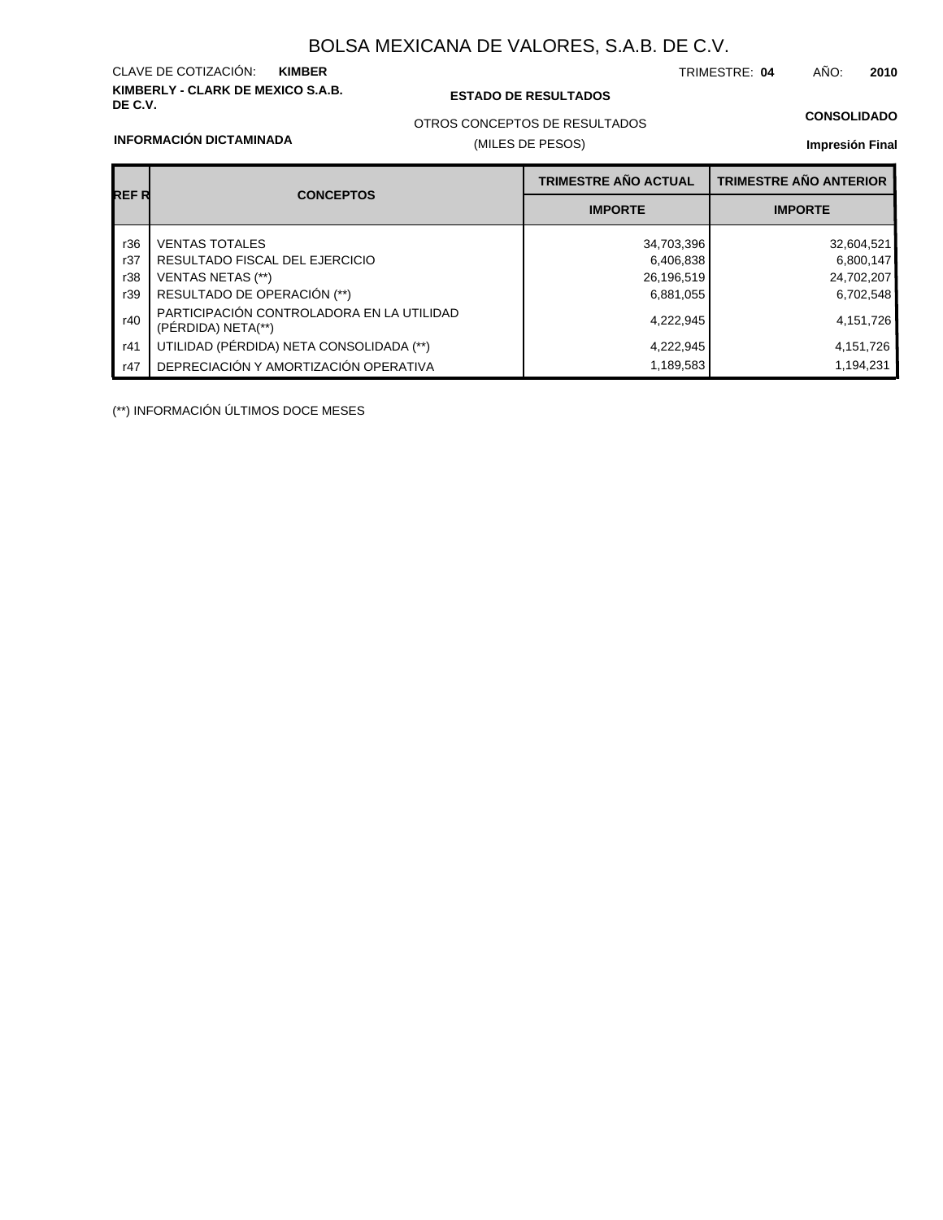# **KIMBERLY - CLARK DE MEXICO S.A.B.** CLAVE DE COTIZACIÓN:

### **DE C.V. ESTADO DE RESULTADOS**

(MILES DE PESOS)

TRIMESTRE: AÑO: **KIMBER 04 2010**

### **CONSOLIDADO**

### **INFORMACIÓN DICTAMINADA**

# OTROS CONCEPTOS DE RESULTADOS

## **Impresión Final**

|       |                                                                 | <b>TRIMESTRE AÑO ACTUAL</b> | <b>TRIMESTRE AÑO ANTERIOR</b> |
|-------|-----------------------------------------------------------------|-----------------------------|-------------------------------|
| REF R | <b>CONCEPTOS</b>                                                | <b>IMPORTE</b>              | <b>IMPORTE</b>                |
| r36   | <b>VENTAS TOTALES</b>                                           | 34,703,396                  | 32,604,521                    |
| r37   | RESULTADO FISCAL DEL EJERCICIO                                  | 6,406,838                   | 6,800,147                     |
| r38   | VENTAS NETAS (**)                                               | 26,196,519                  | 24,702,207                    |
| r39   | RESULTADO DE OPERACIÓN (**)                                     | 6,881,055                   | 6,702,548                     |
| r40   | PARTICIPACIÓN CONTROLADORA EN LA UTILIDAD<br>(PÉRDIDA) NETA(**) | 4,222,945                   | 4,151,726                     |
| r41   | UTILIDAD (PÉRDIDA) NETA CONSOLIDADA (**)                        | 4,222,945                   | 4,151,726                     |
| r47   | DEPRECIACIÓN Y AMORTIZACIÓN OPERATIVA                           | 1,189,583                   | 1,194,231                     |

(\*\*) INFORMACIÓN ÚLTIMOS DOCE MESES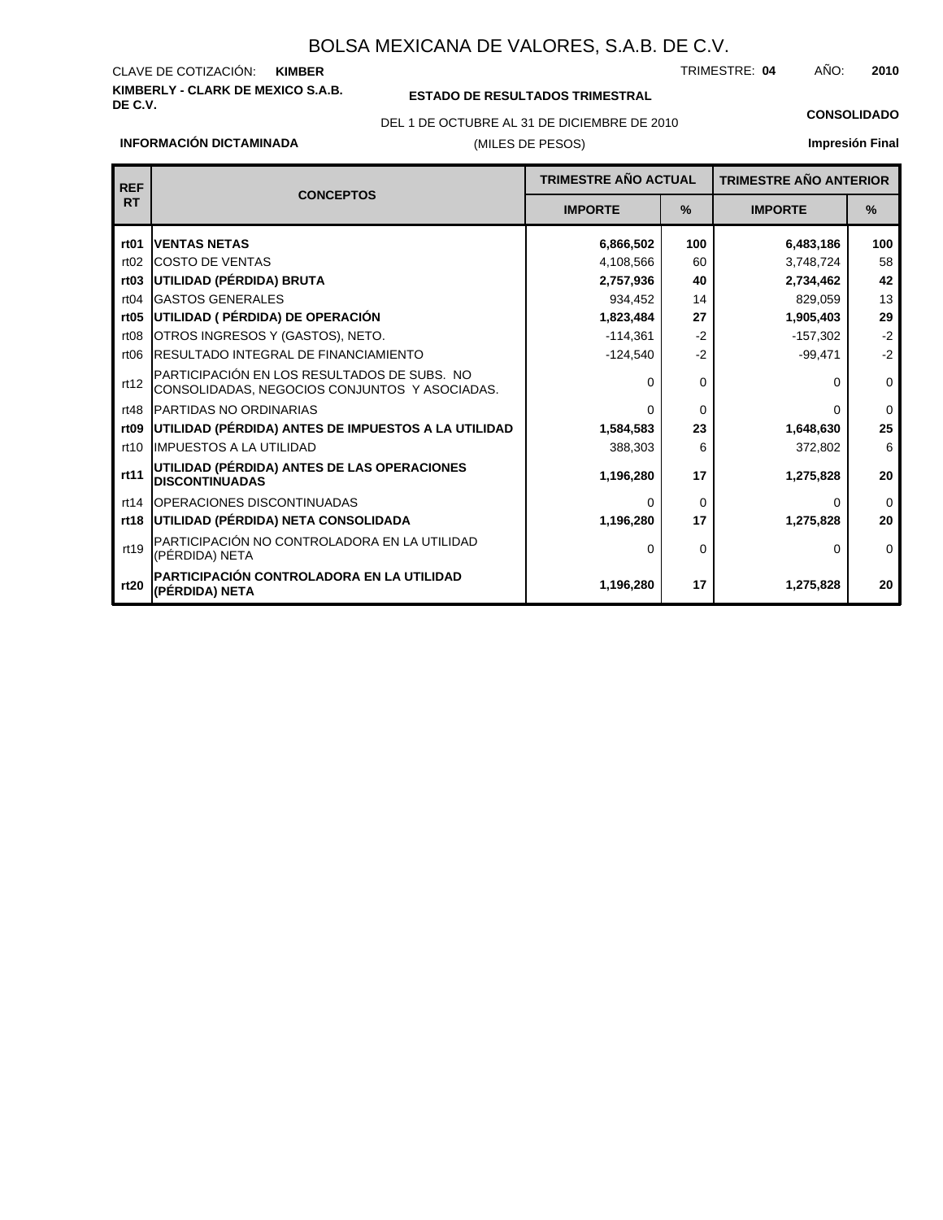### **KIMBERLY - CLARK DE MEXICO S.A.B.** CLAVE DE COTIZACIÓN: TRIMESTRE: AÑO: **KIMBER 04 2010**

### **ESTADO DE RESULTADOS TRIMESTRAL**

(MILES DE PESOS) DEL 1 DE OCTUBRE AL 31 DE DICIEMBRE DE 2010 **CONSOLIDADO**

**Impresión Final**

| <b>REF</b>       |                                                                                              | <b>TRIMESTRE AÑO ACTUAL</b> |          |                |             | <b>TRIMESTRE AÑO ANTERIOR</b> |  |
|------------------|----------------------------------------------------------------------------------------------|-----------------------------|----------|----------------|-------------|-------------------------------|--|
| <b>RT</b>        | <b>CONCEPTOS</b>                                                                             | <b>IMPORTE</b>              | %        | <b>IMPORTE</b> | %           |                               |  |
| rt <sub>01</sub> | <b>VENTAS NETAS</b>                                                                          | 6,866,502                   | 100      | 6,483,186      | 100         |                               |  |
| rt02             | <b>ICOSTO DE VENTAS</b>                                                                      | 4,108,566                   | 60       | 3,748,724      | 58          |                               |  |
| rt <sub>03</sub> | UTILIDAD (PÉRDIDA) BRUTA                                                                     | 2,757,936                   | 40       | 2,734,462      | 42          |                               |  |
| rt04             | <b>GASTOS GENERALES</b>                                                                      | 934,452                     | 14       | 829,059        | 13          |                               |  |
| rt05             | UTILIDAD ( PÉRDIDA) DE OPERACIÓN                                                             | 1,823,484                   | 27       | 1,905,403      | 29          |                               |  |
| rt08             | OTROS INGRESOS Y (GASTOS), NETO.                                                             | $-114,361$                  | $-2$     | $-157,302$     | $-2$        |                               |  |
| rt06             | RESULTADO INTEGRAL DE FINANCIAMIENTO                                                         | $-124,540$                  | $-2$     | $-99,471$      | $-2$        |                               |  |
| rt12             | PARTICIPACIÓN EN LOS RESULTADOS DE SUBS. NO<br>CONSOLIDADAS, NEGOCIOS CONJUNTOS Y ASOCIADAS. | 0                           | 0        | 0              | $\mathbf 0$ |                               |  |
| rt48             | PARTIDAS NO ORDINARIAS                                                                       | $\Omega$                    | $\Omega$ | <sup>0</sup>   | $\Omega$    |                               |  |
| rt <sub>09</sub> | UTILIDAD (PÉRDIDA) ANTES DE IMPUESTOS A LA UTILIDAD                                          | 1,584,583                   | 23       | 1,648,630      | 25          |                               |  |
| rt10             | <b>IMPUESTOS A LA UTILIDAD</b>                                                               | 388,303                     | 6        | 372,802        | 6           |                               |  |
| rt11             | UTILIDAD (PÉRDIDA) ANTES DE LAS OPERACIONES<br><b>DISCONTINUADAS</b>                         | 1,196,280                   | 17       | 1,275,828      | 20          |                               |  |
| rt14             | <b>IOPERACIONES DISCONTINUADAS</b>                                                           | O                           | 0        | 0              | $\Omega$    |                               |  |
| rt18             | UTILIDAD (PÉRDIDA) NETA CONSOLIDADA                                                          | 1,196,280                   | 17       | 1,275,828      | 20          |                               |  |
| rt19             | PARTICIPACIÓN NO CONTROLADORA EN LA UTILIDAD<br>(PÉRDIDA) NETA                               | $\Omega$                    | 0        | $\Omega$       | $\Omega$    |                               |  |
| rt20             | PARTICIPACIÓN CONTROLADORA EN LA UTILIDAD<br>(PÉRDIDA) NETA                                  | 1,196,280                   | 17       | 1,275,828      | 20          |                               |  |

**INFORMACIÓN DICTAMINADA**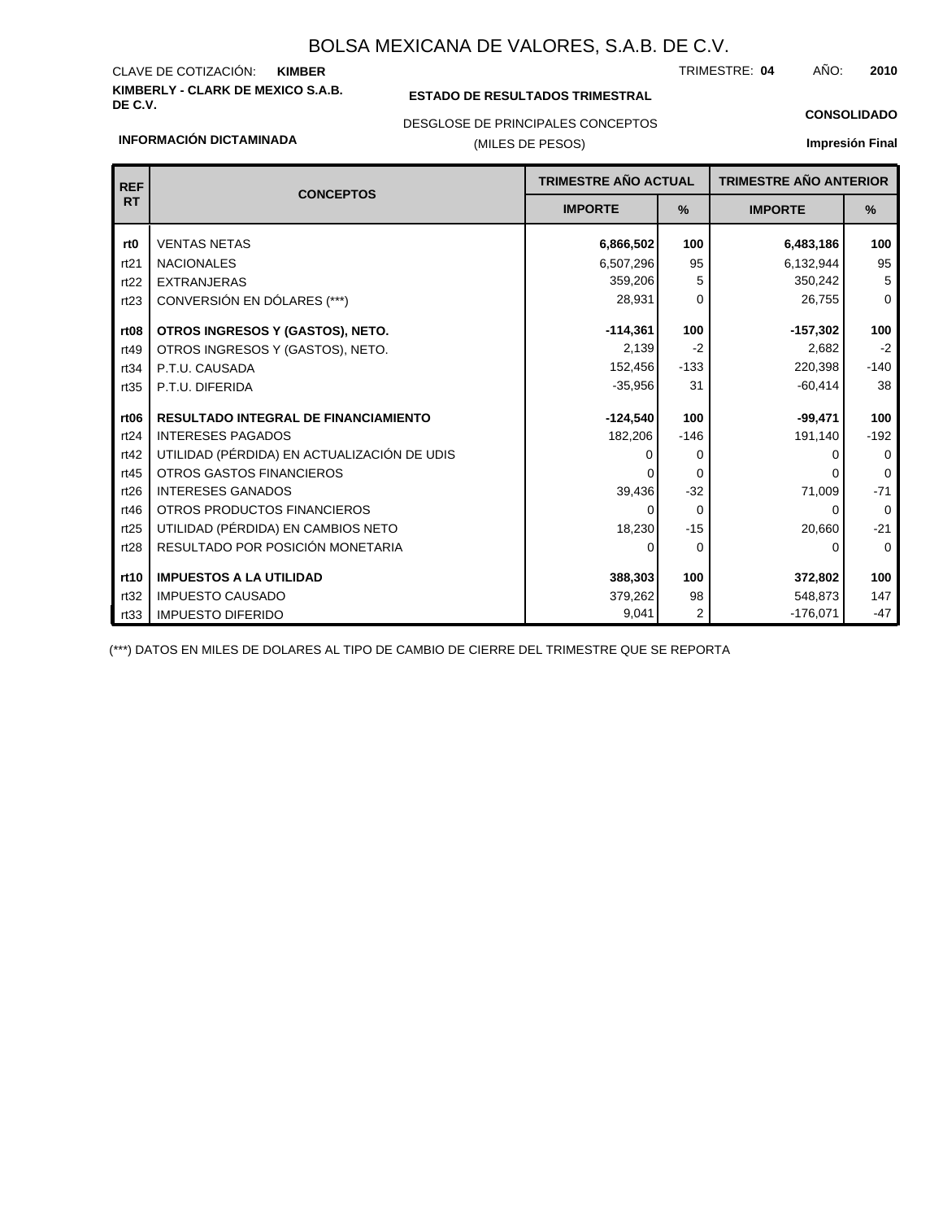# **KIMBERLY - CLARK DE MEXICO S.A.B.** CLAVE DE COTIZACIÓN:

### **ESTADO DE RESULTADOS TRIMESTRAL**

TRIMESTRE: AÑO: **KIMBER 04 2010**

### **INFORMACIÓN DICTAMINADA**

## DESGLOSE DE PRINCIPALES CONCEPTOS

## (MILES DE PESOS)

# **CONSOLIDADO**

**Impresión Final**

| <b>REF</b>       | <b>CONCEPTOS</b>                            | TRIMESTRE AÑO ACTUAL |          | <b>TRIMESTRE AÑO ANTERIOR</b> |               |
|------------------|---------------------------------------------|----------------------|----------|-------------------------------|---------------|
| <b>RT</b>        |                                             | <b>IMPORTE</b>       | $\%$     |                               | $\frac{9}{6}$ |
| rt <sub>0</sub>  | <b>VENTAS NETAS</b>                         | 6,866,502            | 100      | 6,483,186                     | 100           |
| rt21             | <b>NACIONALES</b>                           | 6,507,296            | 95       | 6,132,944                     | 95            |
| rt22             | <b>EXTRANJERAS</b>                          | 359,206              | 5        | 350,242                       | 5             |
| rt23             | CONVERSIÓN EN DÓLARES (***)                 | 28,931               | 0        | 26,755                        | $\mathbf 0$   |
| rt <sub>08</sub> | OTROS INGRESOS Y (GASTOS), NETO.            | $-114,361$           | 100      | $-157,302$                    | 100           |
| rt49             | OTROS INGRESOS Y (GASTOS), NETO.            | 2,139                | $-2$     | 2,682                         | $-2$          |
| rt34             | P.T.U. CAUSADA                              | 152,456              | $-133$   | 220,398                       | $-140$        |
| rt35             | P.T.U. DIFERIDA                             | $-35,956$            | 31       | $-60,414$                     | 38            |
| rt <sub>06</sub> | <b>RESULTADO INTEGRAL DE FINANCIAMIENTO</b> | $-124,540$           | 100      | $-99,471$                     | 100           |
| rt24             | <b>INTERESES PAGADOS</b>                    | 182,206              | $-146$   | 191,140                       | $-192$        |
| rt42             | UTILIDAD (PÉRDIDA) EN ACTUALIZACIÓN DE UDIS | O                    | 0        |                               | $\mathbf 0$   |
| rt45             | OTROS GASTOS FINANCIEROS                    |                      | $\Omega$ |                               | 0             |
| rt26             | <b>INTERESES GANADOS</b>                    | 39,436               | $-32$    | 71,009                        | $-71$         |
| rt46             | OTROS PRODUCTOS FINANCIEROS                 |                      | $\Omega$ | 0                             | $\Omega$      |
| rt25             | UTILIDAD (PÉRDIDA) EN CAMBIOS NETO          | 18,230               | $-15$    | 20,660                        | $-21$         |
| rt28             | RESULTADO POR POSICIÓN MONETARIA            | ŋ                    | $\Omega$ | 0                             | $\mathbf 0$   |
| rt10             | <b>IMPUESTOS A LA UTILIDAD</b>              | 388,303              | 100      | 372,802                       | 100           |
| rt32             | <b>IMPUESTO CAUSADO</b>                     | 379,262              | 98       | 548,873                       | 147           |
| rt33             | <b>IMPUESTO DIFERIDO</b>                    | 9,041                | 2        | $-176,071$                    | $-47$         |

(\*\*\*) DATOS EN MILES DE DOLARES AL TIPO DE CAMBIO DE CIERRE DEL TRIMESTRE QUE SE REPORTA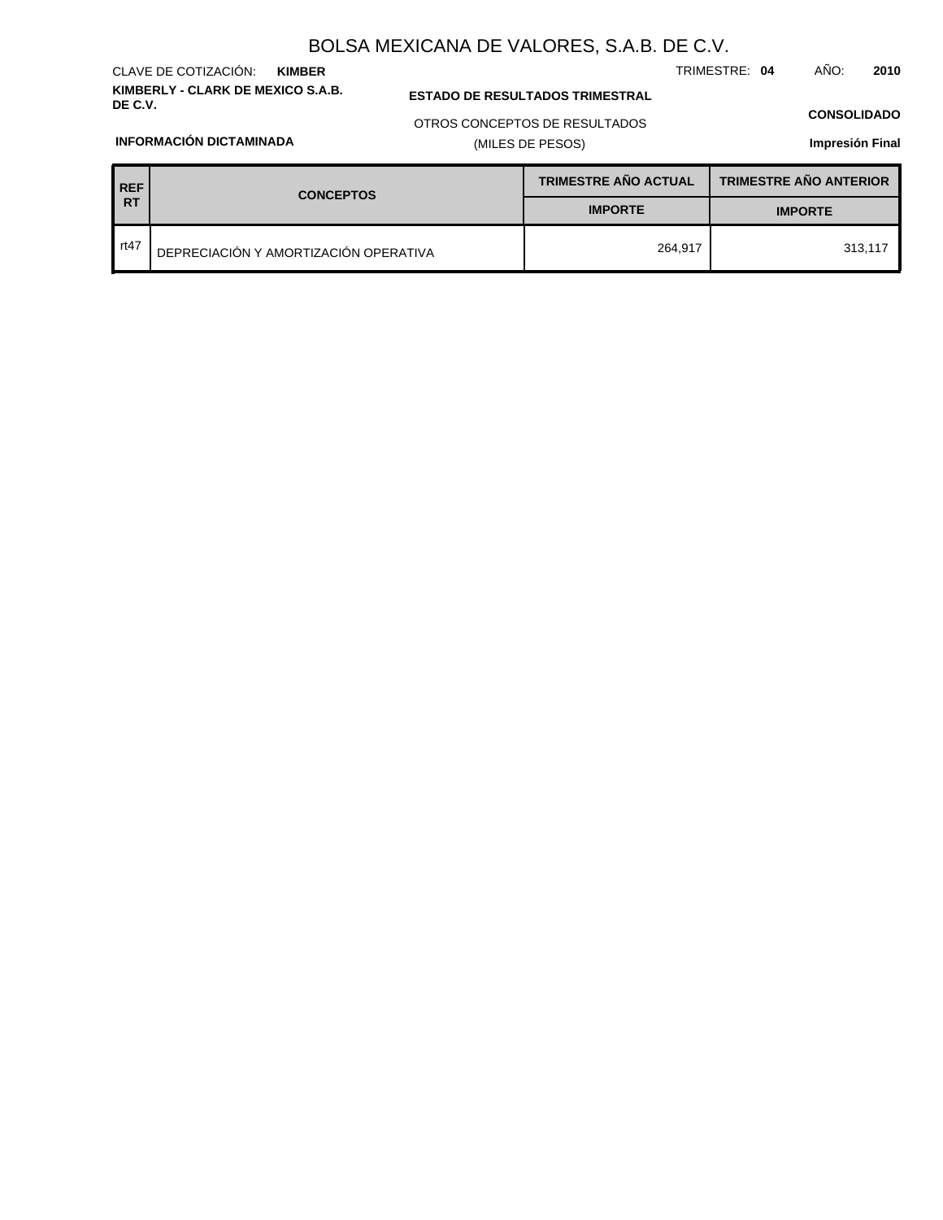**KIMBERLY - CLARK DE MEXICO S.A.B.** CLAVE DE COTIZACIÓN: **KIMBER**

### **ESTADO DE RESULTADOS TRIMESTRAL**

OTROS CONCEPTOS DE RESULTADOS

## (MILES DE PESOS)

### **CONSOLIDADO**

TRIMESTRE: **04** AÑO: **2010**

**Impresión Final**

| <b>REF</b> | <b>CONCEPTOS</b>                      | <b>TRIMESTRE AÑO ACTUAL</b> | <b>TRIMESTRE AÑO ANTERIOR</b> |
|------------|---------------------------------------|-----------------------------|-------------------------------|
| <b>RT</b>  |                                       | <b>IMPORTE</b>              | <b>IMPORTE</b>                |
| . rt47     | DEPRECIACIÓN Y AMORTIZACIÓN OPERATIVA | 264.917                     | 313.117                       |

## **INFORMACIÓN DICTAMINADA**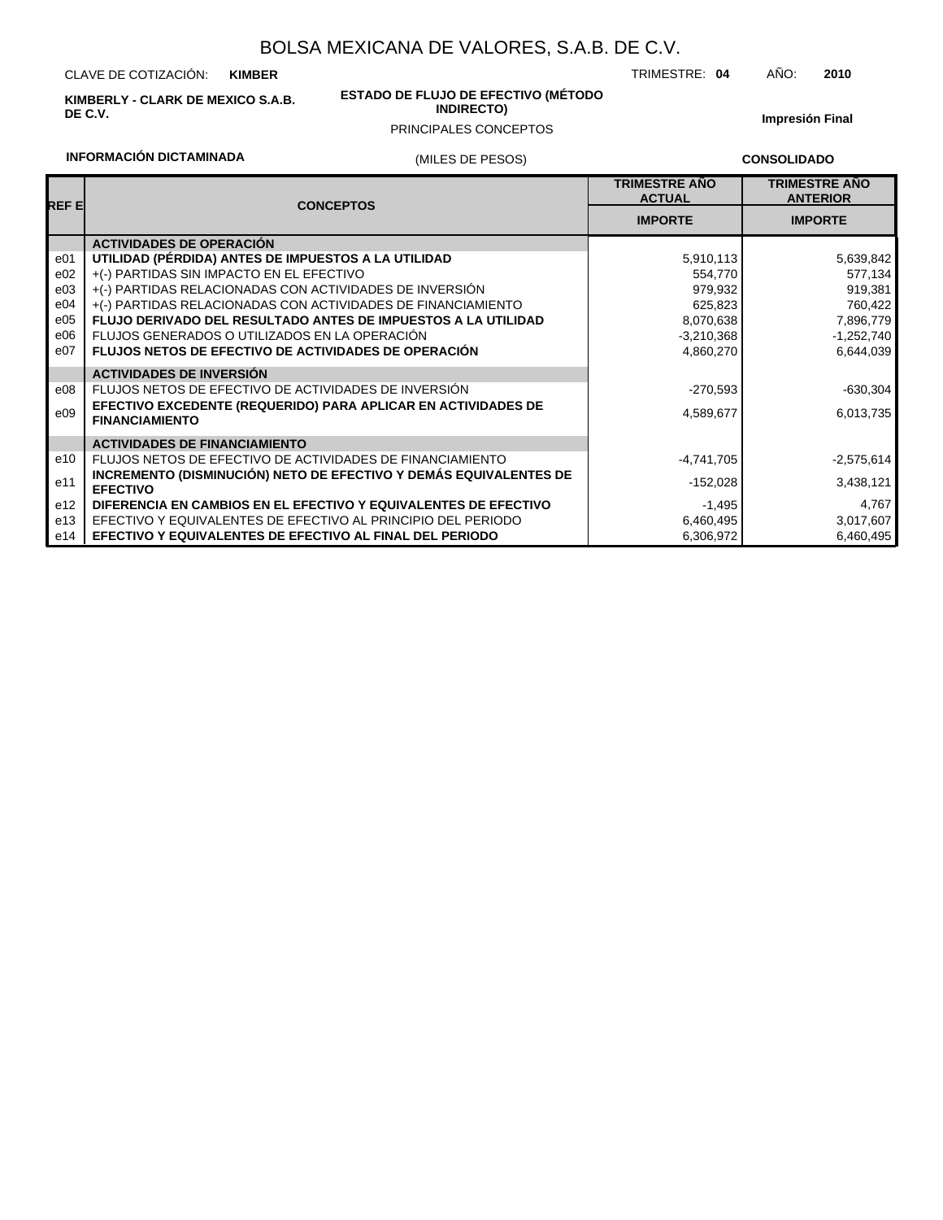CLAVE DE COTIZACIÓN: **KIMBER**

**KIMBERLY - CLARK DE MEXICO S.A.B. DE C.V.**

### **ESTADO DE FLUJO DE EFECTIVO (MÉTODO INDIRECTO)**

### PRINCIPALES CONCEPTOS

**Impresión Final**

## **INFORMACIÓN DICTAMINADA**

## (MILES DE PESOS)

**CONSOLIDADO**

TRIMESTRE: **04** AÑO: **2010**

| REF E           | <b>CONCEPTOS</b>                                                                       | <b>TRIMESTRE AÑO</b><br><b>ACTUAL</b> | <b>TRIMESTRE AÑO</b><br><b>ANTERIOR</b><br><b>IMPORTE</b> |  |
|-----------------|----------------------------------------------------------------------------------------|---------------------------------------|-----------------------------------------------------------|--|
|                 |                                                                                        | <b>IMPORTE</b>                        |                                                           |  |
|                 | <b>ACTIVIDADES DE OPERACIÓN</b>                                                        |                                       |                                                           |  |
| e01             | UTILIDAD (PÉRDIDA) ANTES DE IMPUESTOS A LA UTILIDAD                                    | 5,910,113                             | 5,639,842                                                 |  |
| e02             | +(-) PARTIDAS SIN IMPACTO EN EL EFECTIVO                                               | 554,770                               | 577,134                                                   |  |
| e03             | +(-) PARTIDAS RELACIONADAS CON ACTIVIDADES DE INVERSIÓN                                | 979,932                               | 919,381                                                   |  |
| e04             | +(-) PARTIDAS RELACIONADAS CON ACTIVIDADES DE FINANCIAMIENTO                           | 625,823                               | 760,422                                                   |  |
| e05             | <b>FLUJO DERIVADO DEL RESULTADO ANTES DE IMPUESTOS A LA UTILIDAD</b>                   | 8,070,638                             | 7,896,779                                                 |  |
| e06             | FLUJOS GENERADOS O UTILIZADOS EN LA OPERACIÓN                                          | $-3,210,368$                          | $-1,252,740$                                              |  |
| e07             | <b>FLUJOS NETOS DE EFECTIVO DE ACTIVIDADES DE OPERACIÓN</b>                            | 4,860,270                             | 6,644,039                                                 |  |
|                 | <b>ACTIVIDADES DE INVERSIÓN</b>                                                        |                                       |                                                           |  |
| e08             | FLUJOS NETOS DE EFECTIVO DE ACTIVIDADES DE INVERSIÓN                                   | $-270,593$                            | $-630,304$                                                |  |
| e09             | EFECTIVO EXCEDENTE (REQUERIDO) PARA APLICAR EN ACTIVIDADES DE<br><b>FINANCIAMIENTO</b> | 4,589,677                             | 6,013,735                                                 |  |
|                 | <b>ACTIVIDADES DE FINANCIAMIENTO</b>                                                   |                                       |                                                           |  |
| e10             | FLUJOS NETOS DE EFECTIVO DE ACTIVIDADES DE FINANCIAMIENTO                              | -4,741,705                            | $-2,575,614$                                              |  |
| e11             | INCREMENTO (DISMINUCIÓN) NETO DE EFECTIVO Y DEMÁS EQUIVALENTES DE<br><b>EFECTIVO</b>   | $-152,028$                            | 3,438,121                                                 |  |
| e <sub>12</sub> | DIFERENCIA EN CAMBIOS EN EL EFECTIVO Y EQUIVALENTES DE EFECTIVO                        | $-1,495$                              | 4,767                                                     |  |
| e13             | EFECTIVO Y EQUIVALENTES DE EFECTIVO AL PRINCIPIO DEL PERIODO                           | 6,460,495                             | 3,017,607                                                 |  |
| e14             | <b>EFECTIVO Y EQUIVALENTES DE EFECTIVO AL FINAL DEL PERIODO</b>                        | 6,306,972                             | 6,460,495                                                 |  |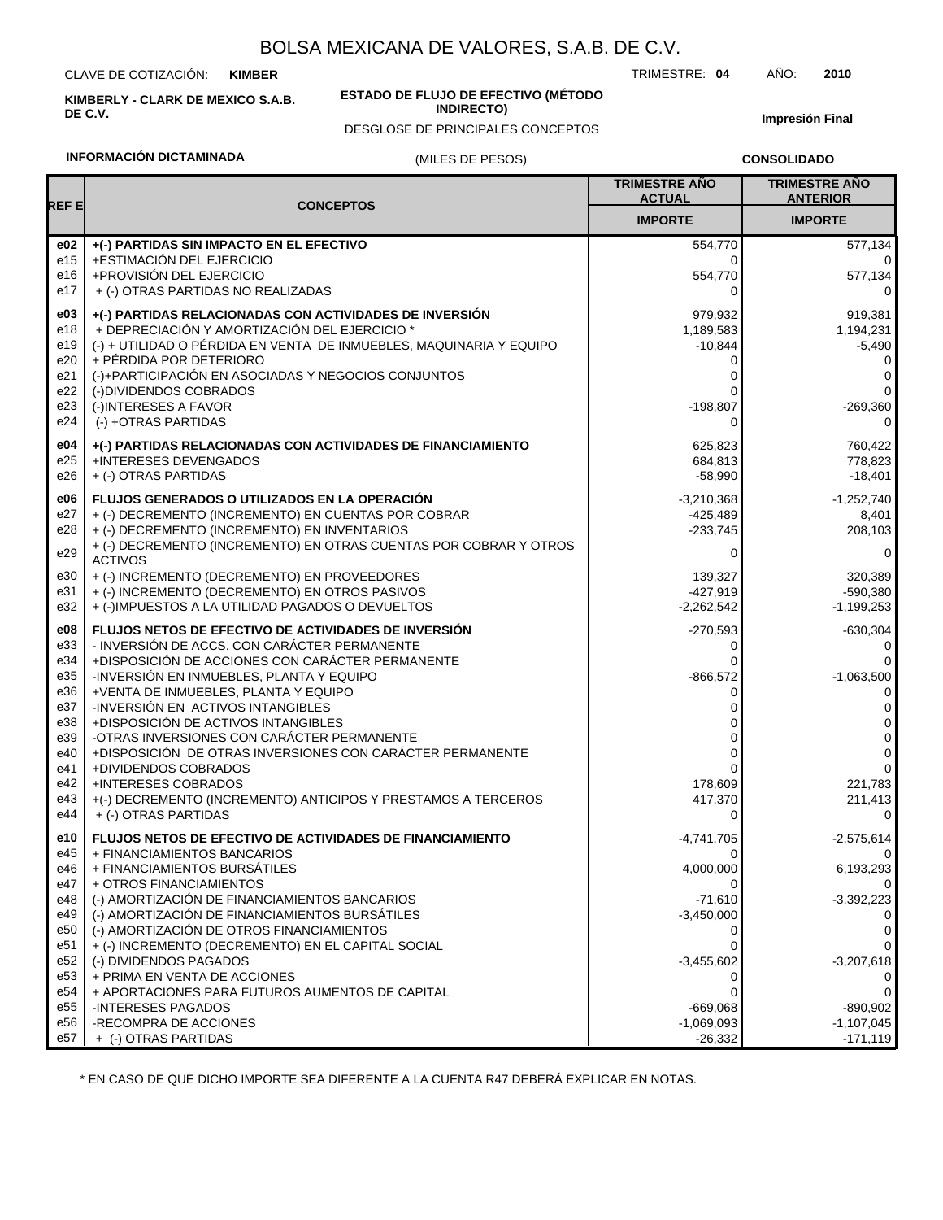CLAVE DE COTIZACIÓN: **KIMBER**

**KIMBERLY - CLARK DE MEXICO S.A.B. DE C.V.**

### **ESTADO DE FLUJO DE EFECTIVO (MÉTODO INDIRECTO)**

DESGLOSE DE PRINCIPALES CONCEPTOS

**Impresión Final**

## **INFORMACIÓN DICTAMINADA**

### (MILES DE PESOS)

**CONSOLIDADO**

TRIMESTRE: **04** AÑO: **2010**

|             |                                                                                                      | <b>TRIMESTRE AÑO</b><br><b>ACTUAL</b> | <b>TRIMESTRE AÑO</b><br><b>ANTERIOR</b> |
|-------------|------------------------------------------------------------------------------------------------------|---------------------------------------|-----------------------------------------|
| <b>REFE</b> | <b>CONCEPTOS</b>                                                                                     | <b>IMPORTE</b>                        | <b>IMPORTE</b>                          |
| e02         | +(-) PARTIDAS SIN IMPACTO EN EL EFECTIVO                                                             | 554,770                               | 577,134                                 |
| e15         | +ESTIMACIÓN DEL EJERCICIO                                                                            | 0                                     | 0                                       |
| e16         | +PROVISIÓN DEL EJERCICIO                                                                             | 554,770                               | 577,134                                 |
| e17         | + (-) OTRAS PARTIDAS NO REALIZADAS                                                                   | 0                                     | 0                                       |
| e03         | +(-) PARTIDAS RELACIONADAS CON ACTIVIDADES DE INVERSIÓN                                              | 979,932                               | 919,381                                 |
| e18         | + DEPRECIACIÓN Y AMORTIZACIÓN DEL EJERCICIO *                                                        | 1,189,583                             | 1,194,231                               |
| e19         | (-) + UTILIDAD O PÉRDIDA EN VENTA DE INMUEBLES, MAQUINARIA Y EQUIPO                                  | $-10,844$                             | $-5,490$                                |
| e20         | + PÉRDIDA POR DETERIORO                                                                              | 0                                     | 0                                       |
| e21         | (-)+PARTICIPACIÓN EN ASOCIADAS Y NEGOCIOS CONJUNTOS                                                  | 0                                     | 0                                       |
| e22         | (-)DIVIDENDOS COBRADOS                                                                               | 0                                     | $\Omega$                                |
| e23<br>e24  | (-)INTERESES A FAVOR<br>(-) +OTRAS PARTIDAS                                                          | $-198,807$<br>0                       | $-269,360$<br>0                         |
|             |                                                                                                      |                                       |                                         |
| e04         | +(-) PARTIDAS RELACIONADAS CON ACTIVIDADES DE FINANCIAMIENTO                                         | 625,823                               | 760,422                                 |
| e25         | +INTERESES DEVENGADOS                                                                                | 684,813                               | 778,823                                 |
| e26         | + (-) OTRAS PARTIDAS                                                                                 | $-58,990$                             | $-18,401$                               |
| e06         | <b>FLUJOS GENERADOS O UTILIZADOS EN LA OPERACIÓN</b>                                                 | $-3,210,368$                          | $-1,252,740$                            |
| e27         | + (-) DECREMENTO (INCREMENTO) EN CUENTAS POR COBRAR                                                  | $-425,489$                            | 8,401                                   |
| e28         | + (-) DECREMENTO (INCREMENTO) EN INVENTARIOS                                                         | $-233,745$                            | 208,103                                 |
| e29         | + (-) DECREMENTO (INCREMENTO) EN OTRAS CUENTAS POR COBRAR Y OTROS<br><b>ACTIVOS</b>                  | 0                                     | 0                                       |
| e30         | + (-) INCREMENTO (DECREMENTO) EN PROVEEDORES                                                         | 139.327                               | 320,389                                 |
| e31         | + (-) INCREMENTO (DECREMENTO) EN OTROS PASIVOS                                                       | $-427,919$                            | $-590,380$                              |
| e32         | + (-)IMPUESTOS A LA UTILIDAD PAGADOS O DEVUELTOS                                                     | $-2,262,542$                          | $-1,199,253$                            |
|             |                                                                                                      |                                       |                                         |
| e08<br>e33  | FLUJOS NETOS DE EFECTIVO DE ACTIVIDADES DE INVERSIÓN<br>- INVERSIÓN DE ACCS. CON CARÁCTER PERMANENTE | $-270,593$<br>0                       | $-630,304$<br>0                         |
| e34         | +DISPOSICIÓN DE ACCIONES CON CARÁCTER PERMANENTE                                                     | 0                                     | 0                                       |
| e35         | -INVERSIÓN EN INMUEBLES, PLANTA Y EQUIPO                                                             | $-866,572$                            | $-1,063,500$                            |
| e36         | +VENTA DE INMUEBLES, PLANTA Y EQUIPO                                                                 | 0                                     | 0                                       |
| e37         | -INVERSIÓN EN ACTIVOS INTANGIBLES                                                                    | 0                                     | 0                                       |
| e38         | +DISPOSICIÓN DE ACTIVOS INTANGIBLES                                                                  | 0                                     | 0                                       |
| e39         | -OTRAS INVERSIONES CON CARÁCTER PERMANENTE                                                           | 0                                     | 0                                       |
| e40         | +DISPOSICIÓN DE OTRAS INVERSIONES CON CARÁCTER PERMANENTE                                            | 0                                     | 0                                       |
| e41         | +DIVIDENDOS COBRADOS                                                                                 | 0                                     | $\Omega$                                |
| e42<br>e43  | +INTERESES COBRADOS<br>+(-) DECREMENTO (INCREMENTO) ANTICIPOS Y PRESTAMOS A TERCEROS                 | 178,609<br>417,370                    | 221,783<br>211,413                      |
| e44         | + (-) OTRAS PARTIDAS                                                                                 | 0                                     | 0                                       |
|             |                                                                                                      |                                       |                                         |
| e10         | FLUJOS NETOS DE EFECTIVO DE ACTIVIDADES DE FINANCIAMIENTO                                            | $-4,741,705$                          | $-2,575,614$                            |
| e45<br>e46  | + FINANCIAMIENTOS BANCARIOS<br>+ FINANCIAMIENTOS BURSÁTILES                                          | 0<br>4,000,000                        | 0<br>6,193,293                          |
| e47         | + OTROS FINANCIAMIENTOS                                                                              | 0                                     |                                         |
| e48         | (-) AMORTIZACIÓN DE FINANCIAMIENTOS BANCARIOS                                                        | $-71,610$                             | $-3,392,223$                            |
| e49         | (-) AMORTIZACIÓN DE FINANCIAMIENTOS BURSÁTILES                                                       | $-3,450,000$                          |                                         |
| e50         | (-) AMORTIZACIÓN DE OTROS FINANCIAMIENTOS                                                            | 0                                     | 0                                       |
| e51         | + (-) INCREMENTO (DECREMENTO) EN EL CAPITAL SOCIAL                                                   | 0                                     | 0                                       |
| e52         | (-) DIVIDENDOS PAGADOS                                                                               | $-3,455,602$                          | $-3,207,618$                            |
| e53         | + PRIMA EN VENTA DE ACCIONES                                                                         | 0                                     | $\mathbf{0}$                            |
| e54         | + APORTACIONES PARA FUTUROS AUMENTOS DE CAPITAL                                                      | 0                                     | 0                                       |
| e55         | -INTERESES PAGADOS                                                                                   | $-669,068$                            | $-890,902$                              |
| e56         | -RECOMPRA DE ACCIONES                                                                                | $-1,069,093$                          | $-1,107,045$                            |
| e57         | + (-) OTRAS PARTIDAS                                                                                 | $-26,332$                             | $-171,119$                              |

\* EN CASO DE QUE DICHO IMPORTE SEA DIFERENTE A LA CUENTA R47 DEBERÁ EXPLICAR EN NOTAS.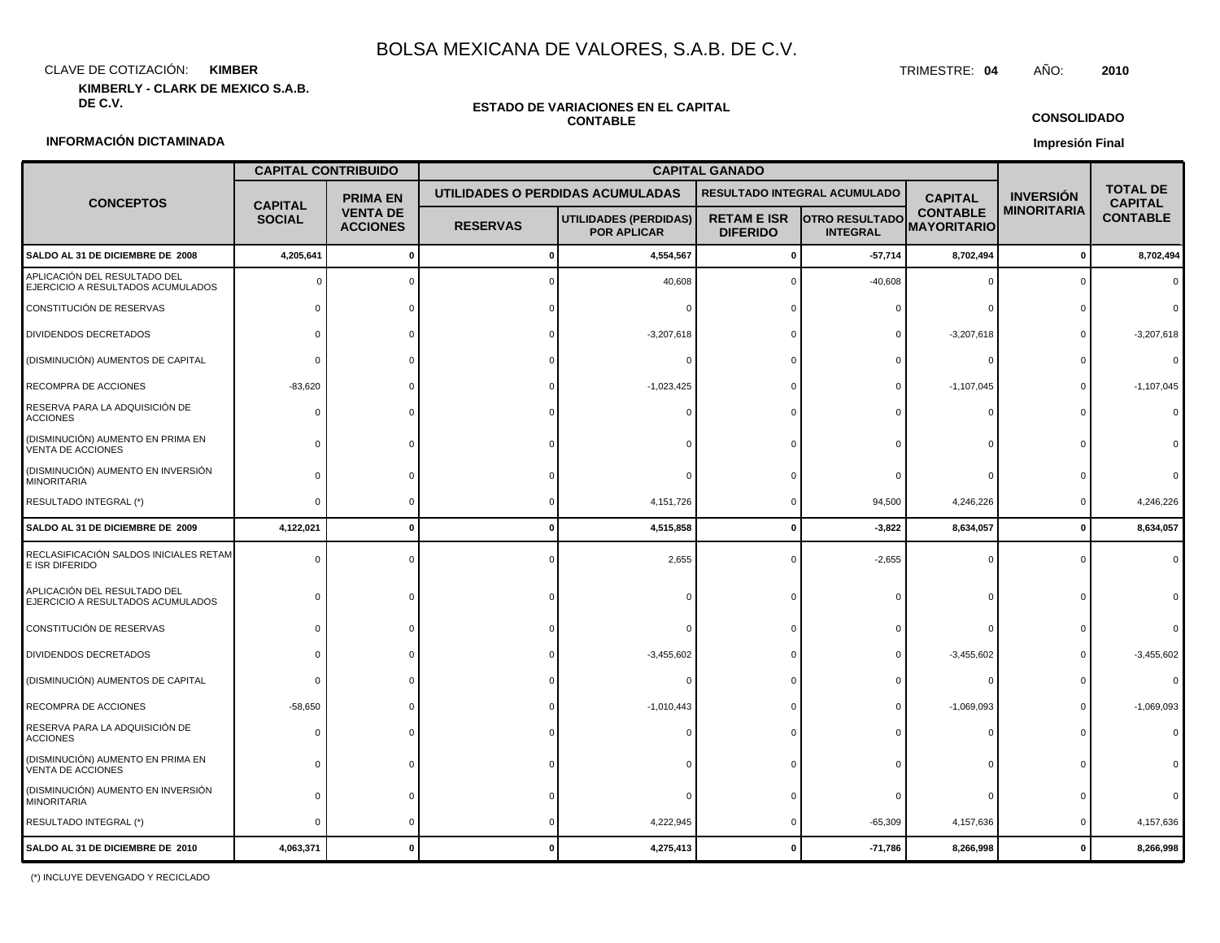CLAVE DE COTIZACIÓN: TRIMESTRE: **04** AÑO: **2010 KIMBER**

**KIMBERLY - CLARK DE MEXICO S.A.B.**

# **ESTADO DE VARIACIONES EN EL CAPITAL**

**CONSOLIDADO**

### **INFORMACIÓN DICTAMINADA**

# **CONTABLE**

**Impresión Final**

|                                                                   |                                   | <b>CAPITAL CONTRIBUIDO</b>         | <b>CAPITAL GANADO</b> |                                                    |                                       |                                          |                                       |                  |                                   |
|-------------------------------------------------------------------|-----------------------------------|------------------------------------|-----------------------|----------------------------------------------------|---------------------------------------|------------------------------------------|---------------------------------------|------------------|-----------------------------------|
| <b>CONCEPTOS</b>                                                  | <b>PRIMA EN</b><br><b>CAPITAL</b> |                                    |                       | UTILIDADES O PERDIDAS ACUMULADAS                   | RESULTADO INTEGRAL ACUMULADO          |                                          | <b>CAPITAL</b>                        | <b>INVERSIÓN</b> | <b>TOTAL DE</b><br><b>CAPITAL</b> |
|                                                                   | <b>SOCIAL</b>                     | <b>VENTA DE</b><br><b>ACCIONES</b> | <b>RESERVAS</b>       | <b>UTILIDADES (PERDIDAS)</b><br><b>POR APLICAR</b> | <b>RETAM E ISR</b><br><b>DIFERIDO</b> | <b>OTRO RESULTADO</b><br><b>INTEGRAL</b> | <b>CONTABLE</b><br><b>MAYORITARIO</b> | MINORITARIA      | <b>CONTABLE</b>                   |
| SALDO AL 31 DE DICIEMBRE DE 2008                                  | 4,205,641                         | 0                                  | O                     | 4,554,567                                          | $\Omega$                              | $-57,714$                                | 8,702,494                             | $\mathbf 0$      | 8,702,494                         |
| APLICACIÓN DEL RESULTADO DEL<br>EJERCICIO A RESULTADOS ACUMULADOS |                                   | $\Omega$                           |                       | 40,608                                             |                                       | $-40,608$                                | $\Omega$                              |                  |                                   |
| CONSTITUCIÓN DE RESERVAS                                          |                                   |                                    |                       |                                                    |                                       |                                          |                                       |                  |                                   |
| DIVIDENDOS DECRETADOS                                             | $\Omega$                          |                                    |                       | $-3,207,618$                                       |                                       |                                          | $-3,207,618$                          | $\Omega$         | $-3,207,618$                      |
| (DISMINUCIÓN) AUMENTOS DE CAPITAL                                 | $\Omega$                          |                                    |                       |                                                    |                                       |                                          | $\Omega$                              |                  |                                   |
| RECOMPRA DE ACCIONES                                              | $-83,620$                         |                                    |                       | $-1,023,425$                                       |                                       |                                          | $-1,107,045$                          | $\Omega$         | $-1,107,045$                      |
| RESERVA PARA LA ADQUISICIÓN DE<br><b>ACCIONES</b>                 | $\Omega$                          |                                    |                       |                                                    |                                       |                                          |                                       |                  |                                   |
| (DISMINUCIÓN) AUMENTO EN PRIMA EN<br><b>VENTA DE ACCIONES</b>     |                                   |                                    |                       |                                                    |                                       |                                          |                                       |                  |                                   |
| (DISMINUCIÓN) AUMENTO EN INVERSIÓN<br>MINORITARIA                 |                                   |                                    |                       |                                                    |                                       |                                          |                                       |                  |                                   |
| RESULTADO INTEGRAL (*)                                            | $\Omega$                          | $\Omega$                           |                       | 4,151,726                                          |                                       | 94,500                                   | 4,246,226                             | 0                | 4,246,226                         |
| SALDO AL 31 DE DICIEMBRE DE 2009                                  | 4,122,021                         | $\mathbf{0}$                       |                       | 4,515,858                                          | $\Omega$                              | $-3,822$                                 | 8,634,057                             | $\mathbf 0$      | 8,634,057                         |
| RECLASIFICACIÓN SALDOS INICIALES RETAM<br>E ISR DIFERIDO          | $\mathbf 0$                       | $\Omega$                           | $\Omega$              | 2,655                                              |                                       | $-2,655$                                 | 0                                     | $\Omega$         |                                   |
| APLICACIÓN DEL RESULTADO DEL<br>EJERCICIO A RESULTADOS ACUMULADOS | $\Omega$                          |                                    |                       |                                                    |                                       |                                          |                                       |                  |                                   |
| CONSTITUCIÓN DE RESERVAS                                          |                                   |                                    |                       |                                                    |                                       |                                          |                                       |                  |                                   |
| DIVIDENDOS DECRETADOS                                             |                                   |                                    |                       | $-3,455,602$                                       |                                       |                                          | $-3,455,602$                          |                  | $-3,455,602$                      |
| (DISMINUCIÓN) AUMENTOS DE CAPITAL                                 | $\Omega$                          |                                    |                       |                                                    |                                       |                                          | $\Omega$                              |                  |                                   |
| RECOMPRA DE ACCIONES                                              | $-58,650$                         |                                    |                       | $-1,010,443$                                       |                                       |                                          | $-1,069,093$                          |                  | $-1,069,093$                      |
| RESERVA PARA LA ADQUISICIÓN DE<br><b>ACCIONES</b>                 | $\Omega$                          |                                    |                       |                                                    |                                       |                                          |                                       |                  |                                   |
| (DISMINUCIÓN) AUMENTO EN PRIMA EN<br>VENTA DE ACCIONES            |                                   |                                    |                       |                                                    |                                       |                                          |                                       |                  |                                   |
| (DISMINUCIÓN) AUMENTO EN INVERSIÓN<br><b>MINORITARIA</b>          | $\Omega$                          |                                    |                       |                                                    |                                       |                                          |                                       |                  |                                   |
| RESULTADO INTEGRAL (*)                                            | $\Omega$                          | $\Omega$                           |                       | 4,222,945                                          |                                       | $-65,309$                                | 4,157,636                             | $\Omega$         | 4,157,636                         |
| SALDO AL 31 DE DICIEMBRE DE 2010                                  | 4,063,371                         | $\mathbf{0}$                       |                       | 4,275,413                                          |                                       | $-71,786$                                | 8,266,998                             | $\mathbf{0}$     | 8,266,998                         |

(\*) INCLUYE DEVENGADO Y RECICLADO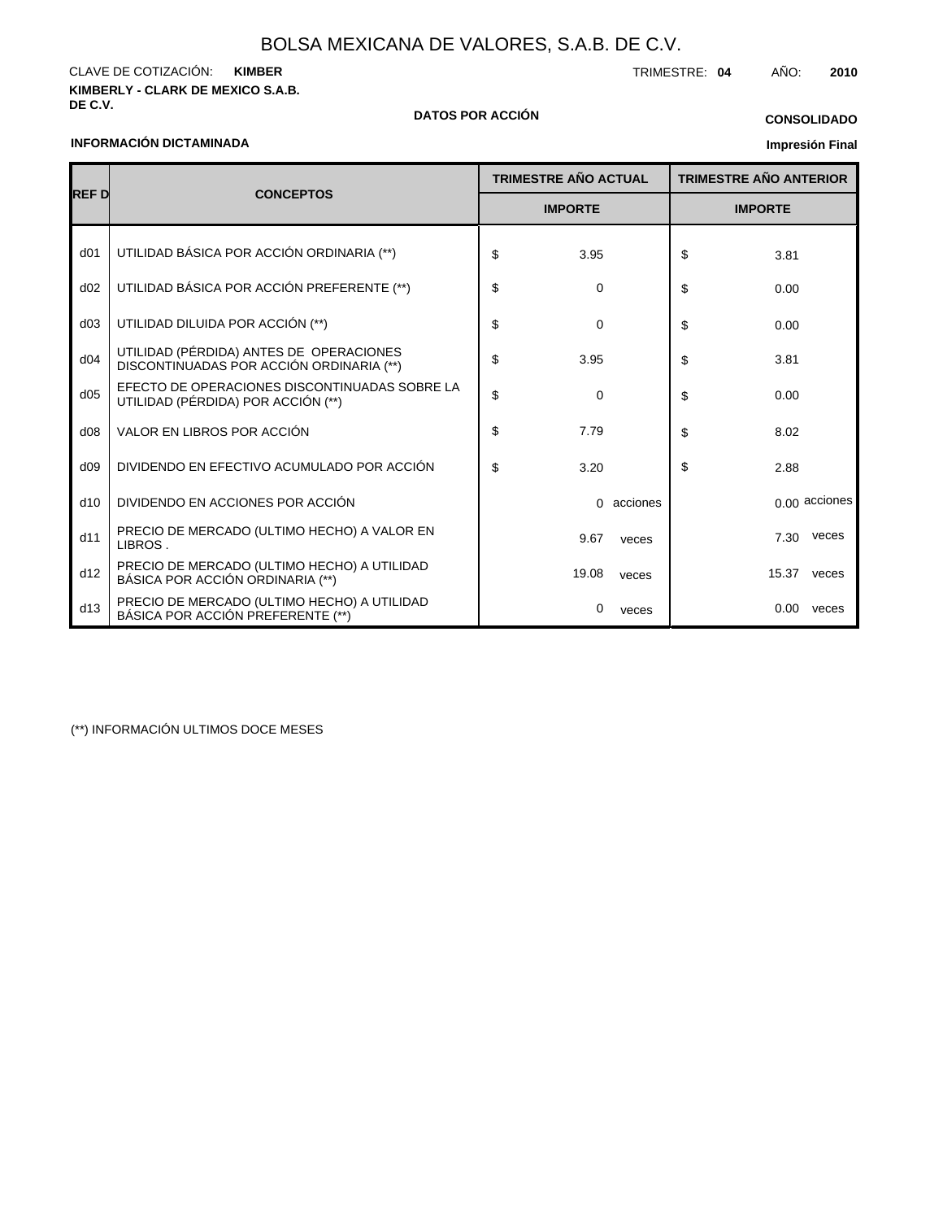**DE C.V. DATOS POR ACCIÓN**

**KIMBERLY - CLARK DE MEXICO S.A.B.** CLAVE DE COTIZACIÓN: TRIMESTRE: **04** AÑO: **2010 KIMBER**

### **INFORMACIÓN DICTAMINADA**

## **CONSOLIDADO**

## **Impresión Final**

|                 |                                                                                     |                | <b>TRIMESTRE AÑO ACTUAL</b> |                | <b>TRIMESTRE AÑO ANTERIOR</b> |       |                 |
|-----------------|-------------------------------------------------------------------------------------|----------------|-----------------------------|----------------|-------------------------------|-------|-----------------|
| <b>REFD</b>     | <b>CONCEPTOS</b>                                                                    | <b>IMPORTE</b> |                             | <b>IMPORTE</b> |                               |       |                 |
| d <sub>01</sub> | UTILIDAD BÁSICA POR ACCIÓN ORDINARIA (**)                                           | \$             | 3.95                        |                | \$                            | 3.81  |                 |
| d02             | UTILIDAD BÁSICA POR ACCIÓN PREFERENTE (**)                                          | \$             | 0                           |                | \$                            | 0.00  |                 |
| d03             | UTILIDAD DILUIDA POR ACCIÓN (**)                                                    | \$             | 0                           |                | \$                            | 0.00  |                 |
| d04             | UTILIDAD (PÉRDIDA) ANTES DE OPERACIONES<br>DISCONTINUADAS POR ACCIÓN ORDINARIA (**) | \$             | 3.95                        |                | \$                            | 3.81  |                 |
| d05             | EFECTO DE OPERACIONES DISCONTINUADAS SOBRE LA<br>UTILIDAD (PÉRDIDA) POR ACCIÓN (**) | \$             | 0                           |                | \$                            | 0.00  |                 |
| d08             | VALOR EN LIBROS POR ACCIÓN                                                          | \$             | 7.79                        |                | \$                            | 8.02  |                 |
| d09             | DIVIDENDO EN EFECTIVO ACUMULADO POR ACCIÓN                                          | \$             | 3.20                        |                | \$                            | 2.88  |                 |
| d10             | DIVIDENDO EN ACCIONES POR ACCIÓN                                                    |                | 0                           | acciones       |                               |       | $0.00$ acciones |
| d11             | PRECIO DE MERCADO (ULTIMO HECHO) A VALOR EN<br>LIBROS.                              |                | 9.67                        | veces          |                               | 7.30  | veces           |
| d12             | PRECIO DE MERCADO (ULTIMO HECHO) A UTILIDAD<br>BÁSICA POR ACCIÓN ORDINARIA (**)     |                | 19.08                       | veces          |                               | 15.37 | veces           |
| d13             | PRECIO DE MERCADO (ULTIMO HECHO) A UTILIDAD<br>BÁSICA POR ACCIÓN PREFERENTE (**)    |                | 0                           | veces          |                               | 0.00  | veces           |

(\*\*) INFORMACIÓN ULTIMOS DOCE MESES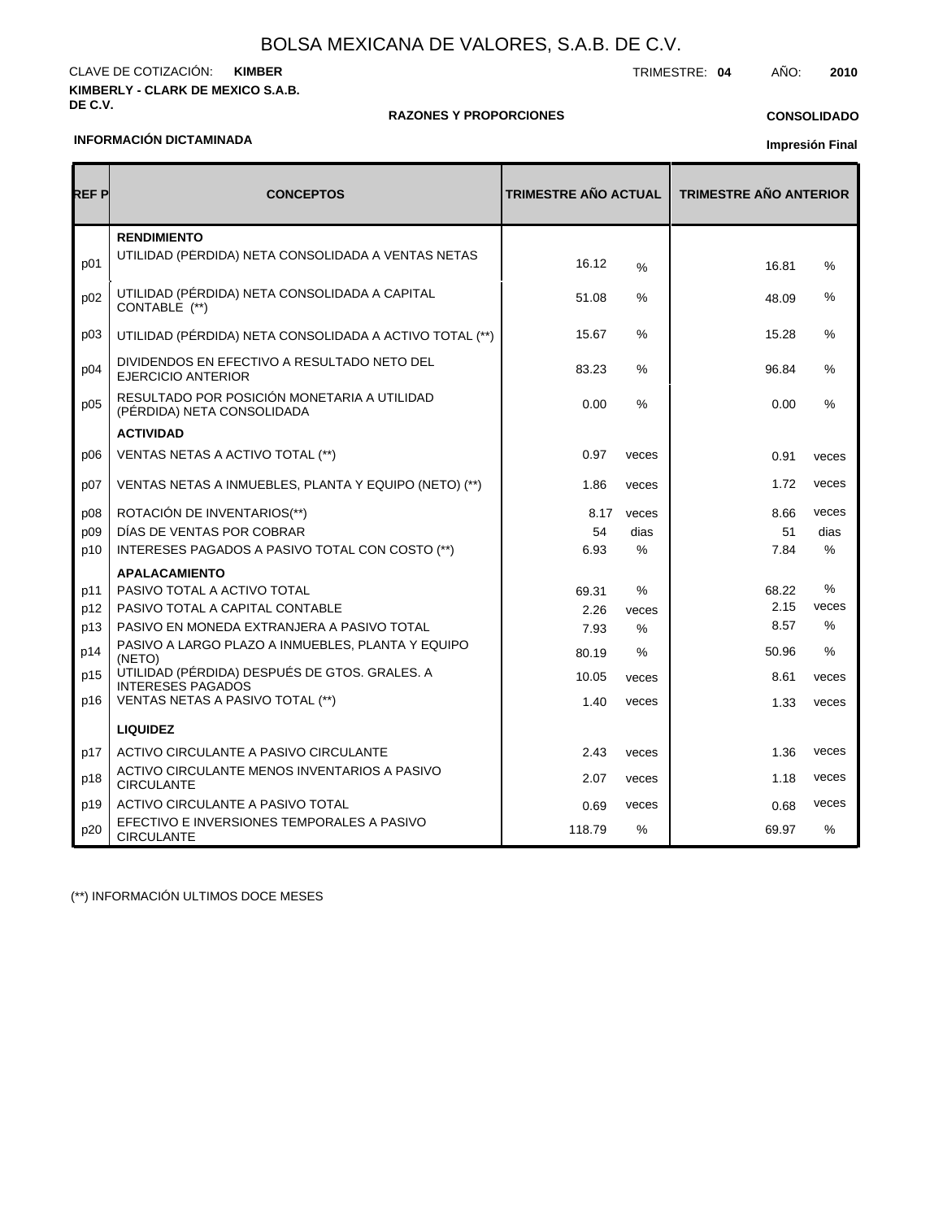### **KIMBERLY - CLARK DE MEXICO S.A.B. DE C.V.** CLAVE DE COTIZACIÓN: TRIMESTRE: **04** AÑO: **2010 KIMBER**

### **RAZONES Y PROPORCIONES**

## **CONSOLIDADO**

### **INFORMACIÓN DICTAMINADA**

# **Impresión Final**

| REF P | <b>CONCEPTOS</b>                                                          | <b>TRIMESTRE AÑO ACTUAL</b> |       | <b>TRIMESTRE AÑO ANTERIOR</b> |               |  |
|-------|---------------------------------------------------------------------------|-----------------------------|-------|-------------------------------|---------------|--|
| p01   | <b>RENDIMIENTO</b><br>UTILIDAD (PÉRDIDA) NETA CONSOLIDADA A VENTAS NETAS  | 16.12                       | $\%$  | 16.81                         | %             |  |
| p02   | UTILIDAD (PÉRDIDA) NETA CONSOLIDADA A CAPITAL<br>CONTABLE (**)            | 51.08                       | %     | 48.09                         | %             |  |
| p03   | UTILIDAD (PÉRDIDA) NETA CONSOLIDADA A ACTIVO TOTAL (**)                   | 15.67                       | $\%$  | 15.28                         | $\%$          |  |
| p04   | DIVIDENDOS EN EFECTIVO A RESULTADO NETO DEL<br><b>EJERCICIO ANTERIOR</b>  | 83.23                       | %     | 96.84                         | $\%$          |  |
| p05   | RESULTADO POR POSICIÓN MONETARIA A UTILIDAD<br>(PÉRDIDA) NETA CONSOLIDADA | 0.00                        | $\%$  | 0.00                          | $\frac{0}{0}$ |  |
|       | <b>ACTIVIDAD</b>                                                          |                             |       |                               |               |  |
| p06   | VENTAS NETAS A ACTIVO TOTAL (**)                                          | 0.97                        | veces | 0.91                          | veces         |  |
| p07   | VENTAS NETAS A INMUEBLES, PLANTA Y EQUIPO (NETO) (**)                     | 1.86                        | veces | 1.72                          | veces         |  |
| p08   | ROTACIÓN DE INVENTARIOS(**)                                               | 8.17                        | veces | 8.66                          | veces         |  |
| p09   | DÍAS DE VENTAS POR COBRAR                                                 | 54                          | dias  | 51                            | dias          |  |
| p10   | INTERESES PAGADOS A PASIVO TOTAL CON COSTO (**)                           | 6.93                        | $\%$  | 7.84                          | $\%$          |  |
|       | <b>APALACAMIENTO</b>                                                      |                             |       |                               |               |  |
| p11   | PASIVO TOTAL A ACTIVO TOTAL                                               | 69.31                       | $\%$  | 68.22                         | $\%$          |  |
| p12   | PASIVO TOTAL A CAPITAL CONTABLE                                           | 2.26                        | veces | 2.15                          | veces         |  |
| p13   | PASIVO EN MONEDA EXTRANJERA A PASIVO TOTAL                                | 7.93                        | $\%$  | 8.57                          | %             |  |
| p14   | PASIVO A LARGO PLAZO A INMUEBLES, PLANTA Y EQUIPO<br>(NETO)               | 80.19                       | $\%$  | 50.96                         | %             |  |
| p15   | UTILIDAD (PÉRDIDA) DESPUÉS DE GTOS. GRALES. A<br><b>INTERESES PAGADOS</b> | 10.05                       | veces | 8.61                          | veces         |  |
| p16   | VENTAS NETAS A PASIVO TOTAL (**)                                          | 1.40                        | veces | 1.33                          | veces         |  |
|       | <b>LIQUIDEZ</b>                                                           |                             |       |                               |               |  |
| p17   | ACTIVO CIRCULANTE A PASIVO CIRCULANTE                                     | 2.43                        | veces | 1.36                          | veces         |  |
| p18   | ACTIVO CIRCULANTE MENOS INVENTARIOS A PASIVO<br><b>CIRCULANTE</b>         | 2.07                        | veces | 1.18                          | veces         |  |
| p19   | ACTIVO CIRCULANTE A PASIVO TOTAL                                          | 0.69                        | veces | 0.68                          | veces         |  |
| p20   | EFECTIVO E INVERSIONES TEMPORALES A PASIVO<br><b>CIRCULANTE</b>           | 118.79                      | $\%$  | 69.97                         | $\frac{0}{0}$ |  |

(\*\*) INFORMACIÓN ULTIMOS DOCE MESES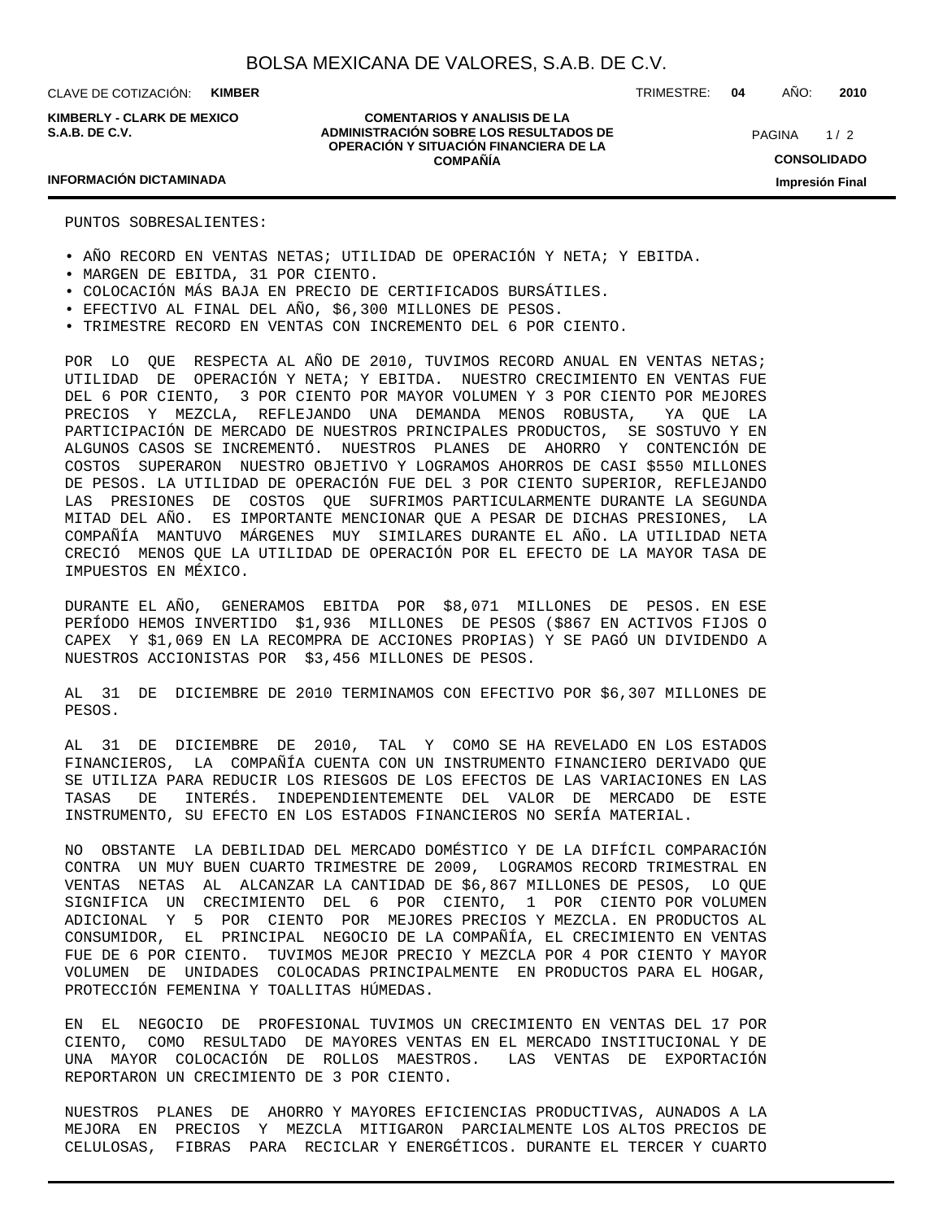**KIMBERLY - CLARK DE MEXICO S.A.B. DE C.V.**

**COMENTARIOS Y ANALISIS DE LA ADMINISTRACIÓN SOBRE LOS RESULTADOS DE OPERACIÓN Y SITUACIÓN FINANCIERA DE LA COMPAÑÍA**

 $1/2$ **CONSOLIDADO Impresión Final** PAGINA

TRIMESTRE: **04** AÑO: **2010**

### **INFORMACIÓN DICTAMINADA**

PUNTOS SOBRESALIENTES:

- AÑO RECORD EN VENTAS NETAS; UTILIDAD DE OPERACIÓN Y NETA; Y EBITDA.
- MARGEN DE EBITDA, 31 POR CIENTO.
- COLOCACIÓN MÁS BAJA EN PRECIO DE CERTIFICADOS BURSÁTILES.
- EFECTIVO AL FINAL DEL AÑO, \$6,300 MILLONES DE PESOS.
- TRIMESTRE RECORD EN VENTAS CON INCREMENTO DEL 6 POR CIENTO.

POR LO QUE RESPECTA AL AÑO DE 2010, TUVIMOS RECORD ANUAL EN VENTAS NETAS; UTILIDAD DE OPERACIÓN Y NETA; Y EBITDA. NUESTRO CRECIMIENTO EN VENTAS FUE DEL 6 POR CIENTO, 3 POR CIENTO POR MAYOR VOLUMEN Y 3 POR CIENTO POR MEJORES PRECIOS Y MEZCLA, REFLEJANDO UNA DEMANDA MENOS ROBUSTA, YA QUE LA PARTICIPACIÓN DE MERCADO DE NUESTROS PRINCIPALES PRODUCTOS, SE SOSTUVO Y EN ALGUNOS CASOS SE INCREMENTÓ. NUESTROS PLANES DE AHORRO Y CONTENCIÓN DE COSTOS SUPERARON NUESTRO OBJETIVO Y LOGRAMOS AHORROS DE CASI \$550 MILLONES DE PESOS. LA UTILIDAD DE OPERACIÓN FUE DEL 3 POR CIENTO SUPERIOR, REFLEJANDO LAS PRESIONES DE COSTOS QUE SUFRIMOS PARTICULARMENTE DURANTE LA SEGUNDA MITAD DEL AÑO. ES IMPORTANTE MENCIONAR QUE A PESAR DE DICHAS PRESIONES, LA COMPAÑÍA MANTUVO MÁRGENES MUY SIMILARES DURANTE EL AÑO. LA UTILIDAD NETA CRECIÓ MENOS QUE LA UTILIDAD DE OPERACIÓN POR EL EFECTO DE LA MAYOR TASA DE IMPUESTOS EN MÉXICO.

DURANTE EL AÑO, GENERAMOS EBITDA POR \$8,071 MILLONES DE PESOS. EN ESE PERÍODO HEMOS INVERTIDO \$1,936 MILLONES DE PESOS (\$867 EN ACTIVOS FIJOS O CAPEX Y \$1,069 EN LA RECOMPRA DE ACCIONES PROPIAS) Y SE PAGÓ UN DIVIDENDO A NUESTROS ACCIONISTAS POR \$3,456 MILLONES DE PESOS.

AL 31 DE DICIEMBRE DE 2010 TERMINAMOS CON EFECTIVO POR \$6,307 MILLONES DE PESOS.

AL 31 DE DICIEMBRE DE 2010, TAL Y COMO SE HA REVELADO EN LOS ESTADOS FINANCIEROS, LA COMPAÑÍA CUENTA CON UN INSTRUMENTO FINANCIERO DERIVADO QUE SE UTILIZA PARA REDUCIR LOS RIESGOS DE LOS EFECTOS DE LAS VARIACIONES EN LAS TASAS DE INTERÉS. INDEPENDIENTEMENTE DEL VALOR DE MERCADO DE ESTE INSTRUMENTO, SU EFECTO EN LOS ESTADOS FINANCIEROS NO SERÍA MATERIAL.

NO OBSTANTE LA DEBILIDAD DEL MERCADO DOMÉSTICO Y DE LA DIFÍCIL COMPARACIÓN CONTRA UN MUY BUEN CUARTO TRIMESTRE DE 2009, LOGRAMOS RECORD TRIMESTRAL EN VENTAS NETAS AL ALCANZAR LA CANTIDAD DE \$6,867 MILLONES DE PESOS, LO QUE SIGNIFICA UN CRECIMIENTO DEL 6 POR CIENTO, 1 POR CIENTO POR VOLUMEN ADICIONAL Y 5 POR CIENTO POR MEJORES PRECIOS Y MEZCLA. EN PRODUCTOS AL CONSUMIDOR, EL PRINCIPAL NEGOCIO DE LA COMPAÑÍA, EL CRECIMIENTO EN VENTAS FUE DE 6 POR CIENTO. TUVIMOS MEJOR PRECIO Y MEZCLA POR 4 POR CIENTO Y MAYOR VOLUMEN DE UNIDADES COLOCADAS PRINCIPALMENTE EN PRODUCTOS PARA EL HOGAR, PROTECCIÓN FEMENINA Y TOALLITAS HÚMEDAS.

EN EL NEGOCIO DE PROFESIONAL TUVIMOS UN CRECIMIENTO EN VENTAS DEL 17 POR CIENTO, COMO RESULTADO DE MAYORES VENTAS EN EL MERCADO INSTITUCIONAL Y DE UNA MAYOR COLOCACIÓN DE ROLLOS MAESTROS. LAS VENTAS DE EXPORTACIÓN REPORTARON UN CRECIMIENTO DE 3 POR CIENTO.

NUESTROS PLANES DE AHORRO Y MAYORES EFICIENCIAS PRODUCTIVAS, AUNADOS A LA MEJORA EN PRECIOS Y MEZCLA MITIGARON PARCIALMENTE LOS ALTOS PRECIOS DE CELULOSAS, FIBRAS PARA RECICLAR Y ENERGÉTICOS. DURANTE EL TERCER Y CUARTO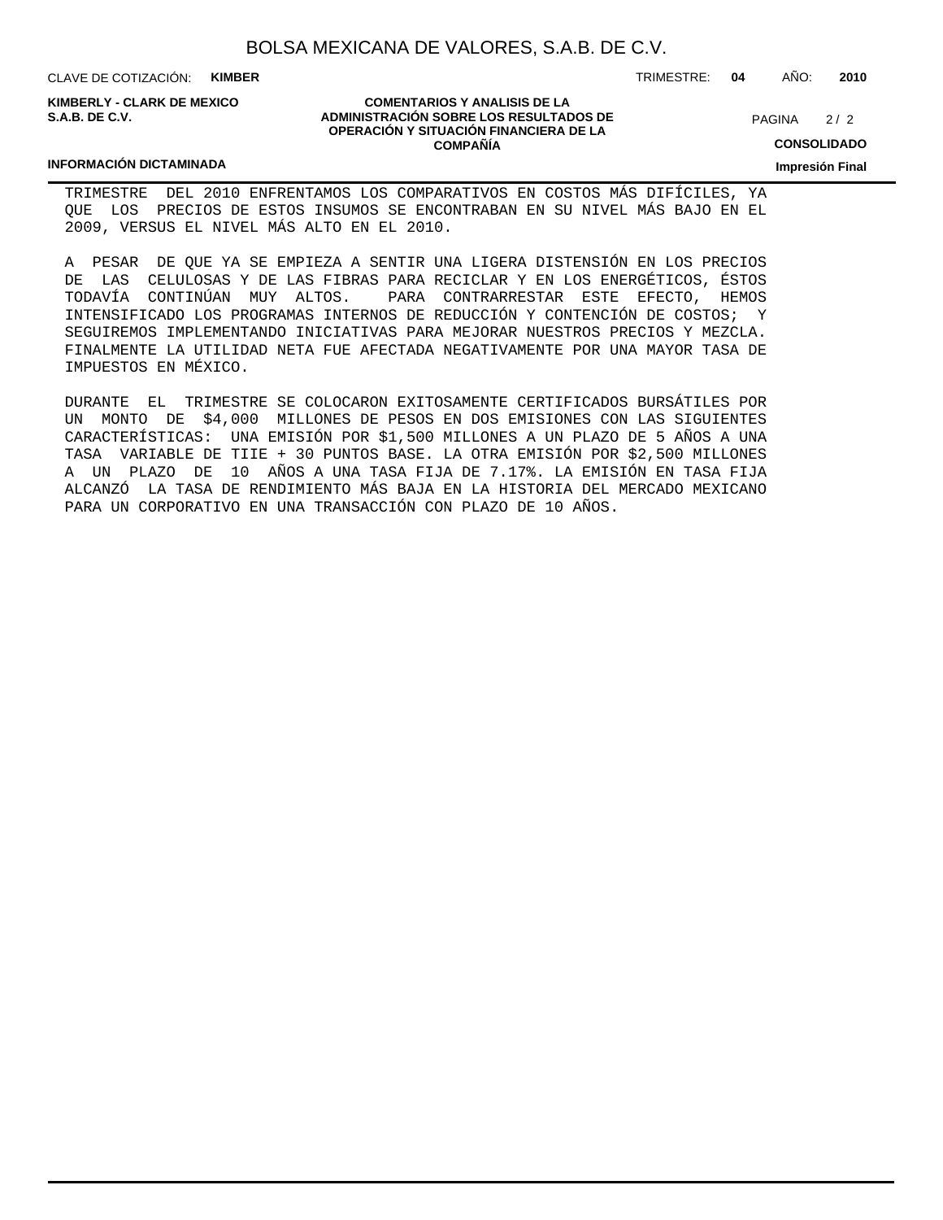CLAVE DE COTIZACIÓN: **KIMBER**

**KIMBERLY - CLARK DE MEXICO S.A.B. DE C.V.**

### **COMENTARIOS Y ANALISIS DE LA ADMINISTRACIÓN SOBRE LOS RESULTADOS DE OPERACIÓN Y SITUACIÓN FINANCIERA DE LA COMPAÑÍA**

 $2/2$ PAGINA

**CONSOLIDADO**

**Impresión Final**

### **INFORMACIÓN DICTAMINADA**

TRIMESTRE DEL 2010 ENFRENTAMOS LOS COMPARATIVOS EN COSTOS MÁS DIFÍCILES, YA QUE LOS PRECIOS DE ESTOS INSUMOS SE ENCONTRABAN EN SU NIVEL MÁS BAJO EN EL 2009, VERSUS EL NIVEL MÁS ALTO EN EL 2010.

A PESAR DE QUE YA SE EMPIEZA A SENTIR UNA LIGERA DISTENSIÓN EN LOS PRECIOS DE LAS CELULOSAS Y DE LAS FIBRAS PARA RECICLAR Y EN LOS ENERGÉTICOS, ÉSTOS TODAVÍA CONTINÚAN MUY ALTOS. PARA CONTRARRESTAR ESTE EFECTO, HEMOS INTENSIFICADO LOS PROGRAMAS INTERNOS DE REDUCCIÓN Y CONTENCIÓN DE COSTOS; Y SEGUIREMOS IMPLEMENTANDO INICIATIVAS PARA MEJORAR NUESTROS PRECIOS Y MEZCLA. FINALMENTE LA UTILIDAD NETA FUE AFECTADA NEGATIVAMENTE POR UNA MAYOR TASA DE IMPUESTOS EN MÉXICO.

DURANTE EL TRIMESTRE SE COLOCARON EXITOSAMENTE CERTIFICADOS BURSÁTILES POR UN MONTO DE \$4,000 MILLONES DE PESOS EN DOS EMISIONES CON LAS SIGUIENTES CARACTERÍSTICAS: UNA EMISIÓN POR \$1,500 MILLONES A UN PLAZO DE 5 AÑOS A UNA TASA VARIABLE DE TIIE + 30 PUNTOS BASE. LA OTRA EMISIÓN POR \$2,500 MILLONES A UN PLAZO DE 10 AÑOS A UNA TASA FIJA DE 7.17%. LA EMISIÓN EN TASA FIJA ALCANZÓ LA TASA DE RENDIMIENTO MÁS BAJA EN LA HISTORIA DEL MERCADO MEXICANO PARA UN CORPORATIVO EN UNA TRANSACCIÓN CON PLAZO DE 10 AÑOS.

TRIMESTRE: **04** AÑO: **2010**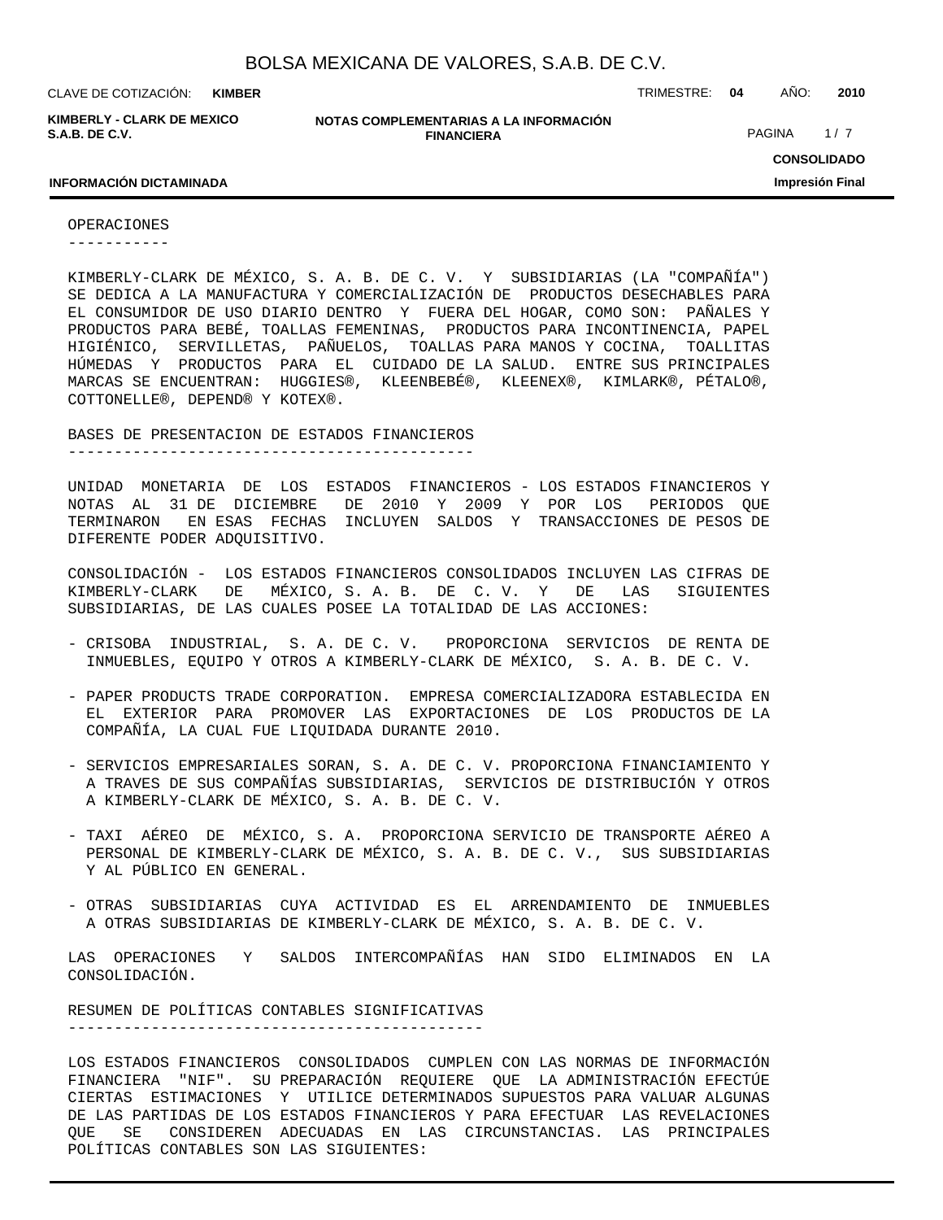**KIMBER**

**KIMBERLY - CLARK DE MEXICO S.A.B. DE C.V.**

**NOTAS COMPLEMENTARIAS A LA INFORMACIÓN FINANCIERA**

CLAVE DE COTIZACIÓN: TRIMESTRE: **04** AÑO: **2010**

PAGINA 1/7

## **CONSOLIDADO Impresión Final**

### **INFORMACIÓN DICTAMINADA**

OPERACIONES

-----------

KIMBERLY-CLARK DE MÉXICO, S. A. B. DE C. V. Y SUBSIDIARIAS (LA "COMPAÑÍA") SE DEDICA A LA MANUFACTURA Y COMERCIALIZACIÓN DE PRODUCTOS DESECHABLES PARA EL CONSUMIDOR DE USO DIARIO DENTRO Y FUERA DEL HOGAR, COMO SON: PAÑALES Y PRODUCTOS PARA BEBÉ, TOALLAS FEMENINAS, PRODUCTOS PARA INCONTINENCIA, PAPEL HIGIÉNICO, SERVILLETAS, PAÑUELOS, TOALLAS PARA MANOS Y COCINA, TOALLITAS HÚMEDAS Y PRODUCTOS PARA EL CUIDADO DE LA SALUD. ENTRE SUS PRINCIPALES MARCAS SE ENCUENTRAN: HUGGIES®, KLEENBEBÉ®, KLEENEX®, KIMLARK®, PÉTALO®, COTTONELLE®, DEPEND® Y KOTEX®.

BASES DE PRESENTACION DE ESTADOS FINANCIEROS

--------------------------------------------

UNIDAD MONETARIA DE LOS ESTADOS FINANCIEROS - LOS ESTADOS FINANCIEROS Y NOTAS AL 31 DE DICIEMBRE DE 2010 Y 2009 Y POR LOS PERIODOS QUE TERMINARON EN ESAS FECHAS INCLUYEN SALDOS Y TRANSACCIONES DE PESOS DE DIFERENTE PODER ADQUISITIVO.

CONSOLIDACIÓN - LOS ESTADOS FINANCIEROS CONSOLIDADOS INCLUYEN LAS CIFRAS DE KIMBERLY-CLARK DE MÉXICO, S. A. B. DE C. V. Y DE LAS SIGUIENTES SUBSIDIARIAS, DE LAS CUALES POSEE LA TOTALIDAD DE LAS ACCIONES:

- CRISOBA INDUSTRIAL, S. A. DE C. V. PROPORCIONA SERVICIOS DE RENTA DE INMUEBLES, EQUIPO Y OTROS A KIMBERLY-CLARK DE MÉXICO, S. A. B. DE C. V.
- PAPER PRODUCTS TRADE CORPORATION. EMPRESA COMERCIALIZADORA ESTABLECIDA EN EL EXTERIOR PARA PROMOVER LAS EXPORTACIONES DE LOS PRODUCTOS DE LA COMPAÑÍA, LA CUAL FUE LIQUIDADA DURANTE 2010.
- SERVICIOS EMPRESARIALES SORAN, S. A. DE C. V. PROPORCIONA FINANCIAMIENTO Y A TRAVES DE SUS COMPAÑÍAS SUBSIDIARIAS, SERVICIOS DE DISTRIBUCIÓN Y OTROS A KIMBERLY-CLARK DE MÉXICO, S. A. B. DE C. V.
- TAXI AÉREO DE MÉXICO, S. A. PROPORCIONA SERVICIO DE TRANSPORTE AÉREO A PERSONAL DE KIMBERLY-CLARK DE MÉXICO, S. A. B. DE C. V., SUS SUBSIDIARIAS Y AL PÚBLICO EN GENERAL.
- OTRAS SUBSIDIARIAS CUYA ACTIVIDAD ES EL ARRENDAMIENTO DE INMUEBLES A OTRAS SUBSIDIARIAS DE KIMBERLY-CLARK DE MÉXICO, S. A. B. DE C. V.

LAS OPERACIONES Y SALDOS INTERCOMPAÑÍAS HAN SIDO ELIMINADOS EN LA CONSOLIDACIÓN.

RESUMEN DE POLÍTICAS CONTABLES SIGNIFICATIVAS ---------------------------------------------

LOS ESTADOS FINANCIEROS CONSOLIDADOS CUMPLEN CON LAS NORMAS DE INFORMACIÓN FINANCIERA "NIF". SU PREPARACIÓN REQUIERE QUE LA ADMINISTRACIÓN EFECTÚE CIERTAS ESTIMACIONES Y UTILICE DETERMINADOS SUPUESTOS PARA VALUAR ALGUNAS DE LAS PARTIDAS DE LOS ESTADOS FINANCIEROS Y PARA EFECTUAR LAS REVELACIONES QUE SE CONSIDEREN ADECUADAS EN LAS CIRCUNSTANCIAS. LAS PRINCIPALES POLÍTICAS CONTABLES SON LAS SIGUIENTES: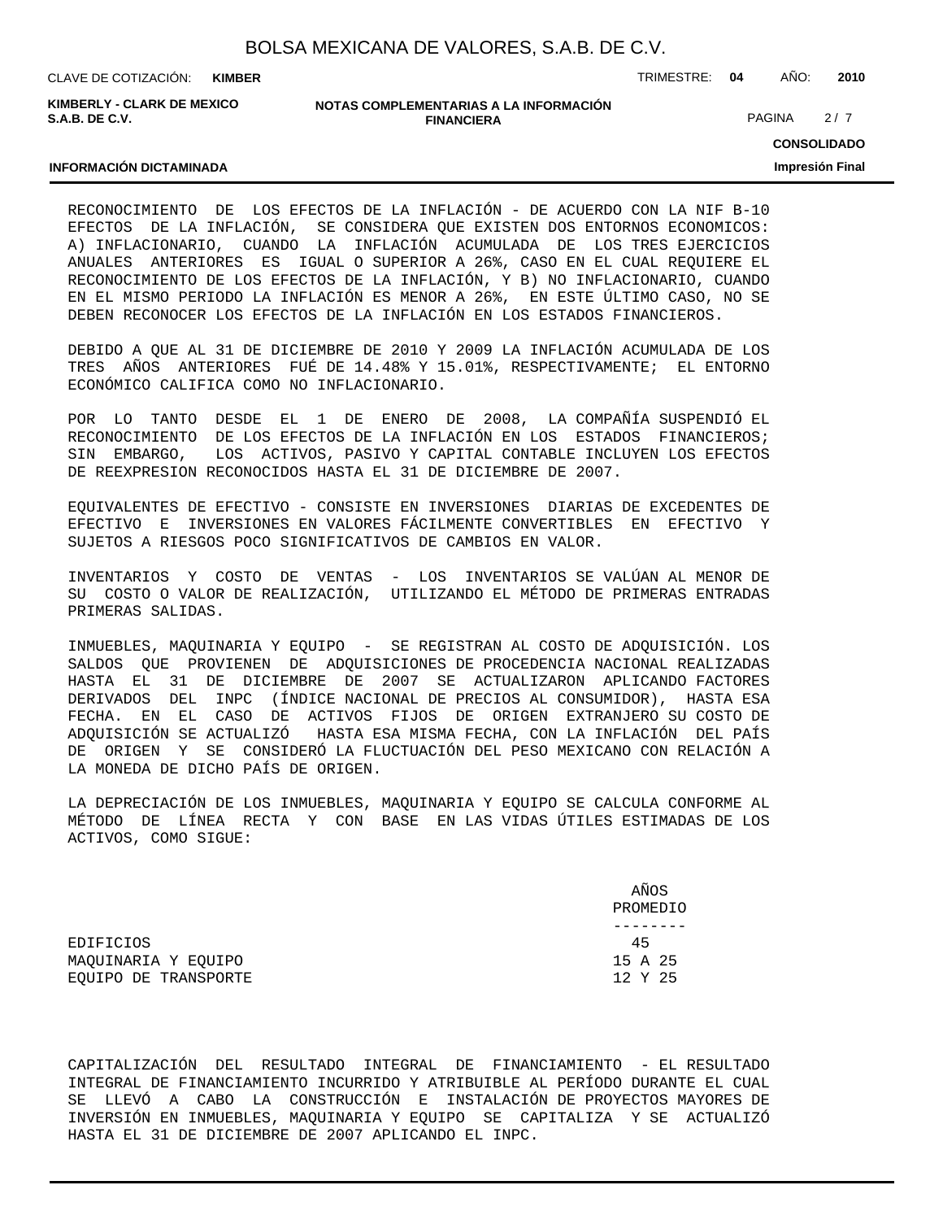| BOLSA MEXICANA DE VALORES, S.A.B. DE C.V. |  |  |  |
|-------------------------------------------|--|--|--|
|-------------------------------------------|--|--|--|

CLAVE DE COTIZACIÓN: TRIMESTRE: **04** AÑO: **2010 KIMBER**

**KIMBERLY - CLARK DE MEXICO S.A.B. DE C.V.**

### **NOTAS COMPLEMENTARIAS A LA INFORMACIÓN FINANCIERA**

PAGINA 2/7

**CONSOLIDADO Impresión Final**

### **INFORMACIÓN DICTAMINADA**

RECONOCIMIENTO DE LOS EFECTOS DE LA INFLACIÓN - DE ACUERDO CON LA NIF B-10 EFECTOS DE LA INFLACIÓN, SE CONSIDERA QUE EXISTEN DOS ENTORNOS ECONOMICOS: A) INFLACIONARIO, CUANDO LA INFLACIÓN ACUMULADA DE LOS TRES EJERCICIOS ANUALES ANTERIORES ES IGUAL O SUPERIOR A 26%, CASO EN EL CUAL REQUIERE EL RECONOCIMIENTO DE LOS EFECTOS DE LA INFLACIÓN, Y B) NO INFLACIONARIO, CUANDO EN EL MISMO PERIODO LA INFLACIÓN ES MENOR A 26%, EN ESTE ÚLTIMO CASO, NO SE DEBEN RECONOCER LOS EFECTOS DE LA INFLACIÓN EN LOS ESTADOS FINANCIEROS.

DEBIDO A QUE AL 31 DE DICIEMBRE DE 2010 Y 2009 LA INFLACIÓN ACUMULADA DE LOS TRES AÑOS ANTERIORES FUÉ DE 14.48% Y 15.01%, RESPECTIVAMENTE; EL ENTORNO ECONÓMICO CALIFICA COMO NO INFLACIONARIO.

POR LO TANTO DESDE EL 1 DE ENERO DE 2008, LA COMPAÑÍA SUSPENDIÓ EL RECONOCIMIENTO DE LOS EFECTOS DE LA INFLACIÓN EN LOS ESTADOS FINANCIEROS; SIN EMBARGO, LOS ACTIVOS, PASIVO Y CAPITAL CONTABLE INCLUYEN LOS EFECTOS DE REEXPRESION RECONOCIDOS HASTA EL 31 DE DICIEMBRE DE 2007.

EQUIVALENTES DE EFECTIVO - CONSISTE EN INVERSIONES DIARIAS DE EXCEDENTES DE EFECTIVO E INVERSIONES EN VALORES FÁCILMENTE CONVERTIBLES EN EFECTIVO Y SUJETOS A RIESGOS POCO SIGNIFICATIVOS DE CAMBIOS EN VALOR.

INVENTARIOS Y COSTO DE VENTAS - LOS INVENTARIOS SE VALÚAN AL MENOR DE SU COSTO O VALOR DE REALIZACIÓN, UTILIZANDO EL MÉTODO DE PRIMERAS ENTRADAS PRIMERAS SALIDAS.

INMUEBLES, MAQUINARIA Y EQUIPO - SE REGISTRAN AL COSTO DE ADQUISICIÓN. LOS SALDOS QUE PROVIENEN DE ADQUISICIONES DE PROCEDENCIA NACIONAL REALIZADAS HASTA EL 31 DE DICIEMBRE DE 2007 SE ACTUALIZARON APLICANDO FACTORES DERIVADOS DEL INPC (ÍNDICE NACIONAL DE PRECIOS AL CONSUMIDOR), HASTA ESA FECHA. EN EL CASO DE ACTIVOS FIJOS DE ORIGEN EXTRANJERO SU COSTO DE ADQUISICIÓN SE ACTUALIZÓ HASTA ESA MISMA FECHA, CON LA INFLACIÓN DEL PAÍS DE ORIGEN Y SE CONSIDERÓ LA FLUCTUACIÓN DEL PESO MEXICANO CON RELACIÓN A LA MONEDA DE DICHO PAÍS DE ORIGEN.

LA DEPRECIACIÓN DE LOS INMUEBLES, MAQUINARIA Y EQUIPO SE CALCULA CONFORME AL MÉTODO DE LÍNEA RECTA Y CON BASE EN LAS VIDAS ÚTILES ESTIMADAS DE LOS ACTIVOS, COMO SIGUE:

 AÑOS PROMEDIO -------- EDIFICIOS 45 MAQUINARIA Y EQUIPO 15 A 25 EQUIPO DE TRANSPORTE  $12$  Y 25

CAPITALIZACIÓN DEL RESULTADO INTEGRAL DE FINANCIAMIENTO - EL RESULTADO INTEGRAL DE FINANCIAMIENTO INCURRIDO Y ATRIBUIBLE AL PERÍODO DURANTE EL CUAL SE LLEVÓ A CABO LA CONSTRUCCIÓN E INSTALACIÓN DE PROYECTOS MAYORES DE INVERSIÓN EN INMUEBLES, MAQUINARIA Y EQUIPO SE CAPITALIZA Y SE ACTUALIZÓ HASTA EL 31 DE DICIEMBRE DE 2007 APLICANDO EL INPC.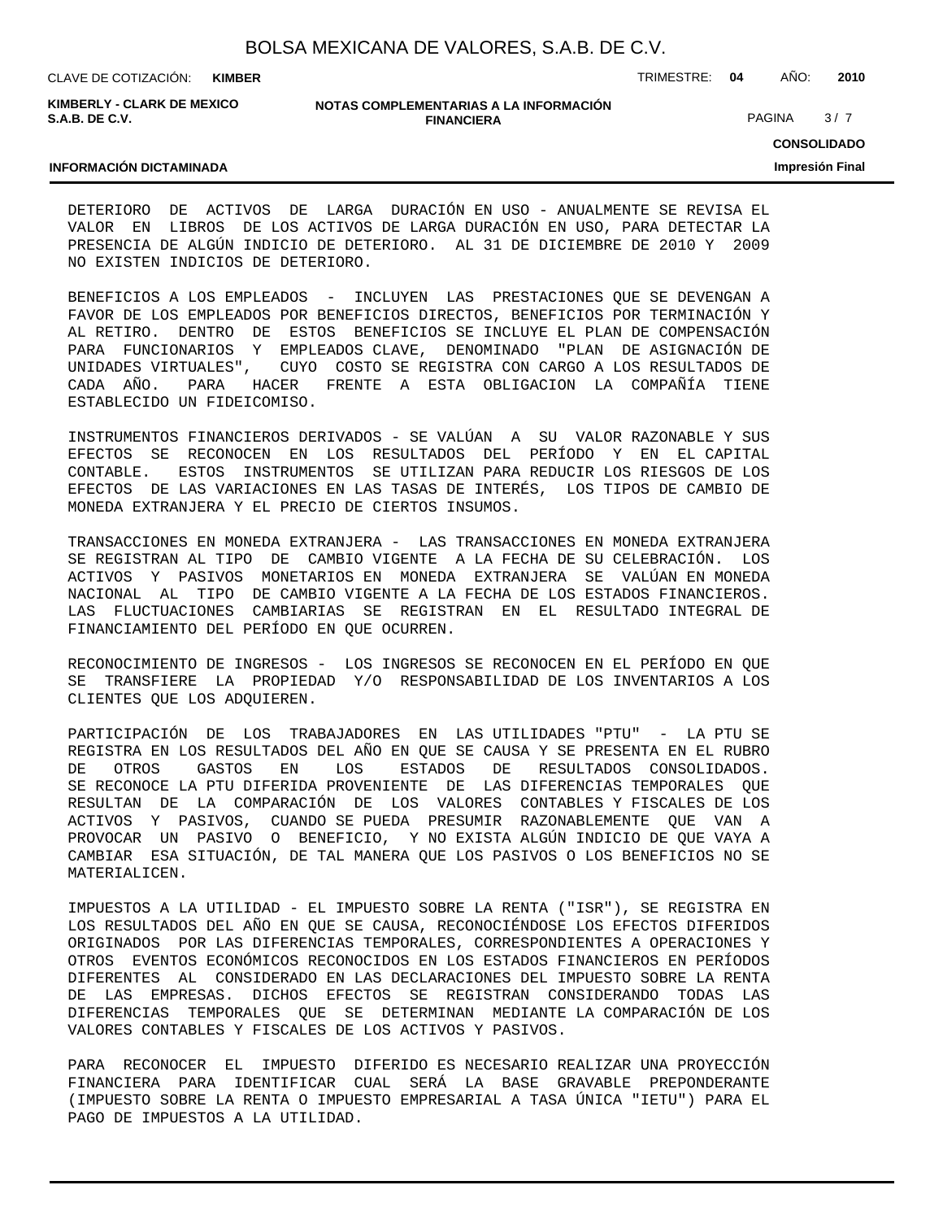CLAVE DE COTIZACIÓN: TRIMESTRE: **04** AÑO: **2010 KIMBER**

**KIMBERLY - CLARK DE MEXICO S.A.B. DE C.V.**

### **NOTAS COMPLEMENTARIAS A LA INFORMACIÓN FINANCIERA**

PAGINA 3/7

**CONSOLIDADO**

**Impresión Final**

### **INFORMACIÓN DICTAMINADA**

DETERIORO DE ACTIVOS DE LARGA DURACIÓN EN USO - ANUALMENTE SE REVISA EL VALOR EN LIBROS DE LOS ACTIVOS DE LARGA DURACIÓN EN USO, PARA DETECTAR LA PRESENCIA DE ALGÚN INDICIO DE DETERIORO. AL 31 DE DICIEMBRE DE 2010 Y 2009 NO EXISTEN INDICIOS DE DETERIORO.

BENEFICIOS A LOS EMPLEADOS - INCLUYEN LAS PRESTACIONES QUE SE DEVENGAN A FAVOR DE LOS EMPLEADOS POR BENEFICIOS DIRECTOS, BENEFICIOS POR TERMINACIÓN Y AL RETIRO. DENTRO DE ESTOS BENEFICIOS SE INCLUYE EL PLAN DE COMPENSACIÓN PARA FUNCIONARIOS Y EMPLEADOS CLAVE, DENOMINADO "PLAN DE ASIGNACIÓN DE UNIDADES VIRTUALES", CUYO COSTO SE REGISTRA CON CARGO A LOS RESULTADOS DE CADA AÑO. PARA HACER FRENTE A ESTA OBLIGACION LA COMPAÑÍA TIENE ESTABLECIDO UN FIDEICOMISO.

INSTRUMENTOS FINANCIEROS DERIVADOS - SE VALÚAN A SU VALOR RAZONABLE Y SUS EFECTOS SE RECONOCEN EN LOS RESULTADOS DEL PERÍODO Y EN EL CAPITAL CONTABLE. ESTOS INSTRUMENTOS SE UTILIZAN PARA REDUCIR LOS RIESGOS DE LOS EFECTOS DE LAS VARIACIONES EN LAS TASAS DE INTERÉS, LOS TIPOS DE CAMBIO DE MONEDA EXTRANJERA Y EL PRECIO DE CIERTOS INSUMOS.

TRANSACCIONES EN MONEDA EXTRANJERA - LAS TRANSACCIONES EN MONEDA EXTRANJERA SE REGISTRAN AL TIPO DE CAMBIO VIGENTE A LA FECHA DE SU CELEBRACIÓN. LOS ACTIVOS Y PASIVOS MONETARIOS EN MONEDA EXTRANJERA SE VALÚAN EN MONEDA NACIONAL AL TIPO DE CAMBIO VIGENTE A LA FECHA DE LOS ESTADOS FINANCIEROS. LAS FLUCTUACIONES CAMBIARIAS SE REGISTRAN EN EL RESULTADO INTEGRAL DE FINANCIAMIENTO DEL PERÍODO EN QUE OCURREN.

RECONOCIMIENTO DE INGRESOS - LOS INGRESOS SE RECONOCEN EN EL PERÍODO EN QUE SE TRANSFIERE LA PROPIEDAD Y/O RESPONSABILIDAD DE LOS INVENTARIOS A LOS CLIENTES QUE LOS ADQUIEREN.

PARTICIPACIÓN DE LOS TRABAJADORES EN LAS UTILIDADES "PTU" - LA PTU SE REGISTRA EN LOS RESULTADOS DEL AÑO EN QUE SE CAUSA Y SE PRESENTA EN EL RUBRO DE OTROS GASTOS EN LOS ESTADOS DE RESULTADOS CONSOLIDADOS. SE RECONOCE LA PTU DIFERIDA PROVENIENTE DE LAS DIFERENCIAS TEMPORALES QUE RESULTAN DE LA COMPARACIÓN DE LOS VALORES CONTABLES Y FISCALES DE LOS ACTIVOS Y PASIVOS, CUANDO SE PUEDA PRESUMIR RAZONABLEMENTE QUE VAN A PROVOCAR UN PASIVO O BENEFICIO, Y NO EXISTA ALGÚN INDICIO DE QUE VAYA A CAMBIAR ESA SITUACIÓN, DE TAL MANERA QUE LOS PASIVOS O LOS BENEFICIOS NO SE MATERIALICEN.

IMPUESTOS A LA UTILIDAD - EL IMPUESTO SOBRE LA RENTA ("ISR"), SE REGISTRA EN LOS RESULTADOS DEL AÑO EN QUE SE CAUSA, RECONOCIÉNDOSE LOS EFECTOS DIFERIDOS ORIGINADOS POR LAS DIFERENCIAS TEMPORALES, CORRESPONDIENTES A OPERACIONES Y OTROS EVENTOS ECONÓMICOS RECONOCIDOS EN LOS ESTADOS FINANCIEROS EN PERÍODOS DIFERENTES AL CONSIDERADO EN LAS DECLARACIONES DEL IMPUESTO SOBRE LA RENTA DE LAS EMPRESAS. DICHOS EFECTOS SE REGISTRAN CONSIDERANDO TODAS LAS DIFERENCIAS TEMPORALES QUE SE DETERMINAN MEDIANTE LA COMPARACIÓN DE LOS VALORES CONTABLES Y FISCALES DE LOS ACTIVOS Y PASIVOS.

PARA RECONOCER EL IMPUESTO DIFERIDO ES NECESARIO REALIZAR UNA PROYECCIÓN FINANCIERA PARA IDENTIFICAR CUAL SERÁ LA BASE GRAVABLE PREPONDERANTE (IMPUESTO SOBRE LA RENTA O IMPUESTO EMPRESARIAL A TASA ÚNICA "IETU") PARA EL PAGO DE IMPUESTOS A LA UTILIDAD.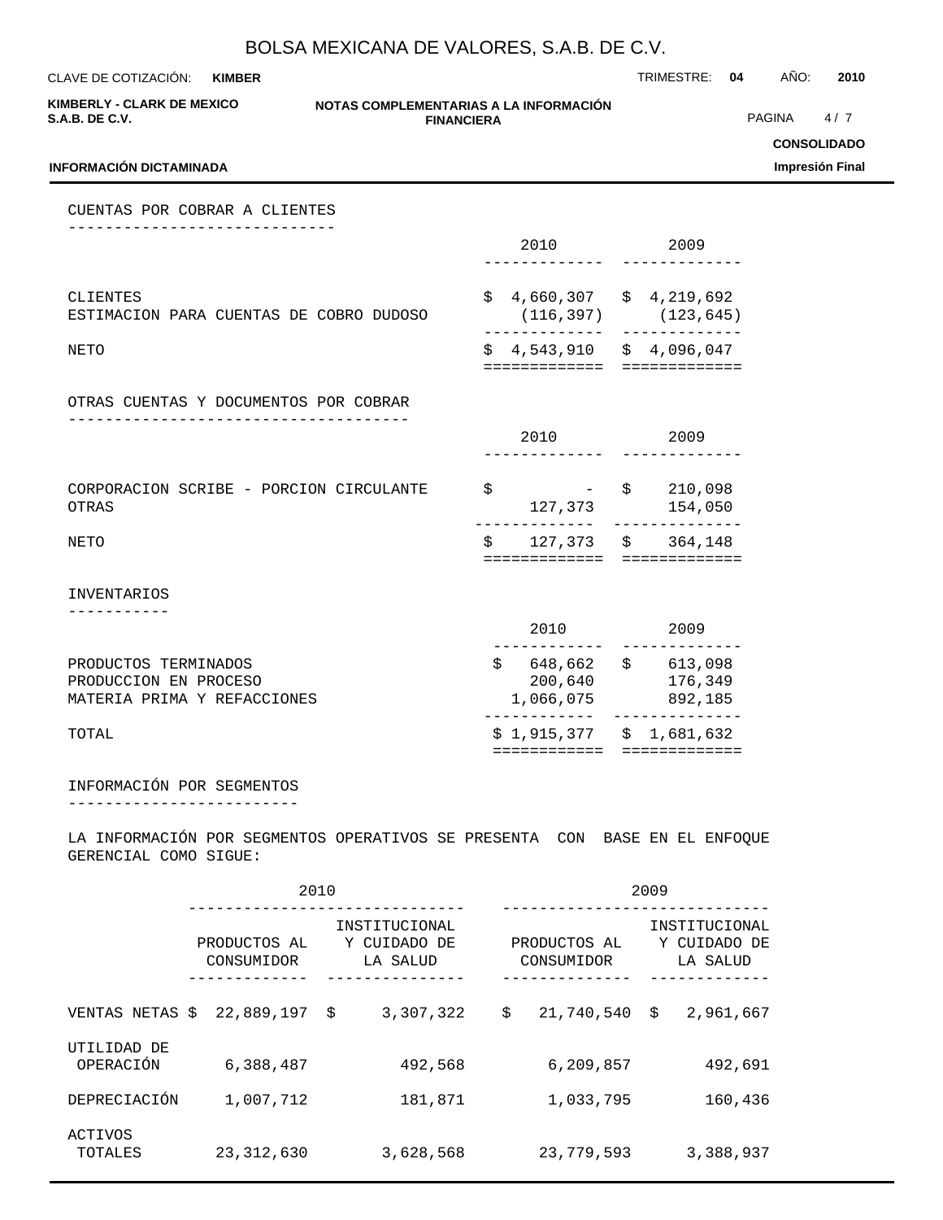CLAVE DE COTIZACIÓN: TRIMESTRE: **04** AÑO: **2010 KIMBER**

**KIMBERLY - CLARK DE MEXICO S.A.B. DE C.V.**

### **NOTAS COMPLEMENTARIAS A LA INFORMACIÓN FINANCIERA**

PAGINA 4/7

**CONSOLIDADO**

**Impresión Final**

### **INFORMACIÓN DICTAMINADA**

CUENTAS POR COBRAR A CLIENTES -----------------------------

|                                                     | 2010 |                                      | 2009                      |
|-----------------------------------------------------|------|--------------------------------------|---------------------------|
| CLIENTES<br>ESTIMACION PARA CUENTAS DE COBRO DUDOSO | \$   | 4,660,307 \$ 4,219,692               | $(116, 397)$ $(123, 645)$ |
| <b>NETO</b>                                         | \$   | 4,543,910 \$ 4,096,047<br>========== |                           |
| OTRAS CUENTAS Y DOCUMENTOS POR COBRAR               |      |                                      |                           |
|                                                     |      | 2010                                 | 2009                      |
| CORPORACION SCRIBE - PORCION CIRCULANTE<br>OTRAS    | \$   | 127,373                              | $-$ \$ 210,098<br>154,050 |
| <b>NETO</b>                                         | \$   | 127,373 \$                           | 364,148                   |
| <b>INVENTARIOS</b>                                  |      |                                      |                           |

| TOTAL                       | \$1,915,377 | \$1,681,632 |
|-----------------------------|-------------|-------------|
| MATERIA PRIMA Y REFACCIONES | 1,066,075   | 892,185     |
| PRODUCCION EN PROCESO       | 200,640     | 176,349     |
| PRODUCTOS TERMINADOS        | 648,662     | 613,098     |
|                             | 2010        | 2009        |

## INFORMACIÓN POR SEGMENTOS

-------------------------

LA INFORMACIÓN POR SEGMENTOS OPERATIVOS SE PRESENTA CON BASE EN EL ENFOQUE GERENCIAL COMO SIGUE:

|                          |                            | 2010                                      | 2009                       |                                           |  |  |  |
|--------------------------|----------------------------|-------------------------------------------|----------------------------|-------------------------------------------|--|--|--|
|                          | PRODUCTOS AL<br>CONSUMIDOR | INSTITUCIONAL<br>Y CUIDADO DE<br>LA SALUD | PRODUCTOS AL<br>CONSUMIDOR | INSTITUCIONAL<br>Y CUIDADO DE<br>LA SALUD |  |  |  |
| VENTAS NETAS \$          | 22,889,197                 | 3,307,322<br>\$                           | \$<br>21,740,540           | \$<br>2,961,667                           |  |  |  |
| UTILIDAD DE<br>OPERACIÓN | 6,388,487                  | 492,568                                   | 6,209,857                  | 492,691                                   |  |  |  |
| DEPRECIACIÓN             | 1,007,712                  | 181,871                                   | 1,033,795                  | 160,436                                   |  |  |  |
| ACTIVOS<br>TOTALES       | 23, 312, 630               | 3,628,568                                 | 23,779,593                 | 3,388,937                                 |  |  |  |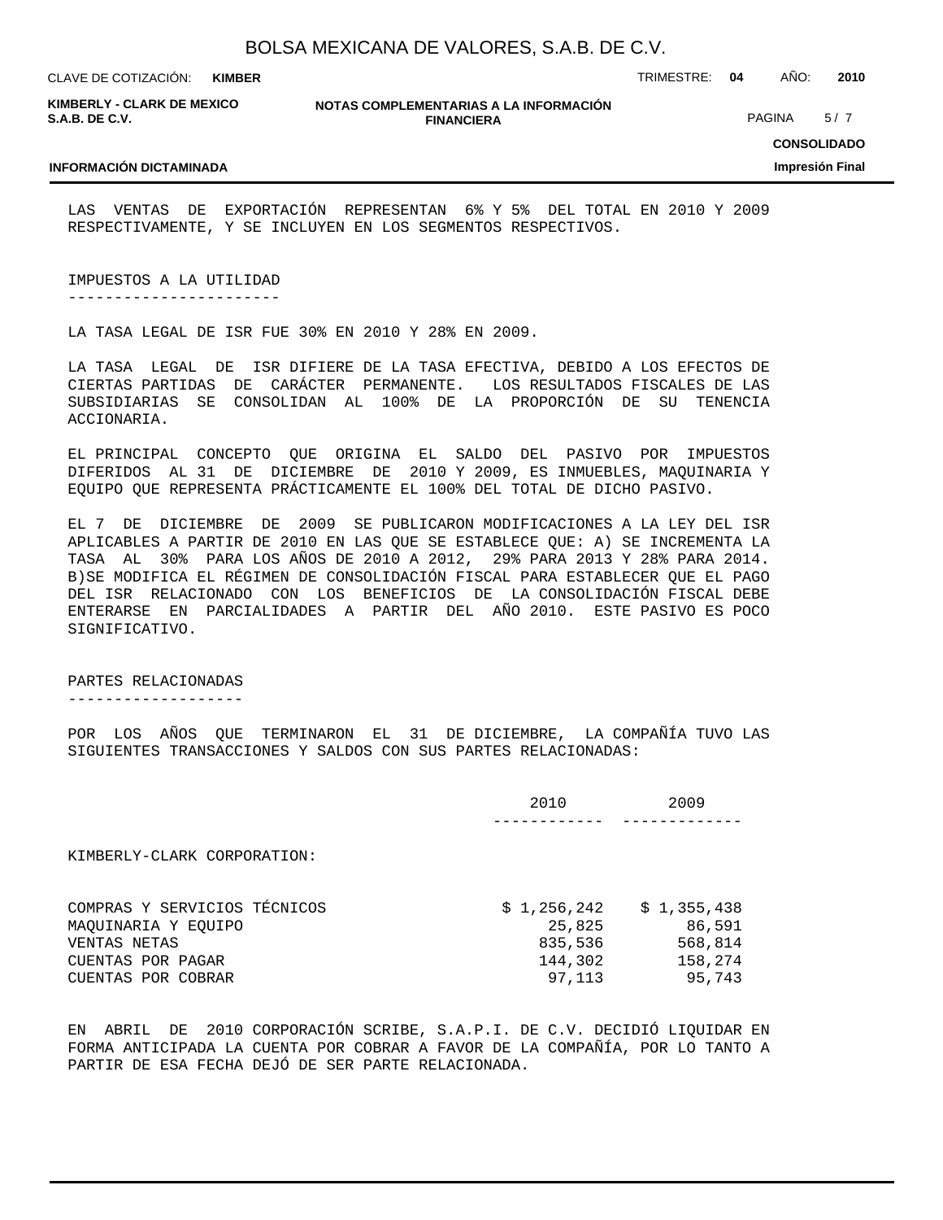**KIMBER**

CLAVE DE COTIZACIÓN: TRIMESTRE: **04** AÑO: **2010**

**KIMBERLY - CLARK DE MEXICO S.A.B. DE C.V.**

**INFORMACIÓN DICTAMINADA**

**NOTAS COMPLEMENTARIAS A LA INFORMACIÓN FINANCIERA**

PAGINA 5/7

**CONSOLIDADO**

### **Impresión Final**

LAS VENTAS DE EXPORTACIÓN REPRESENTAN 6% Y 5% DEL TOTAL EN 2010 Y 2009 RESPECTIVAMENTE, Y SE INCLUYEN EN LOS SEGMENTOS RESPECTIVOS.

IMPUESTOS A LA UTILIDAD

-----------------------

LA TASA LEGAL DE ISR FUE 30% EN 2010 Y 28% EN 2009.

LA TASA LEGAL DE ISR DIFIERE DE LA TASA EFECTIVA, DEBIDO A LOS EFECTOS DE CIERTAS PARTIDAS DE CARÁCTER PERMANENTE. LOS RESULTADOS FISCALES DE LAS SUBSIDIARIAS SE CONSOLIDAN AL 100% DE LA PROPORCIÓN DE SU TENENCIA ACCIONARIA.

EL PRINCIPAL CONCEPTO QUE ORIGINA EL SALDO DEL PASIVO POR IMPUESTOS DIFERIDOS AL 31 DE DICIEMBRE DE 2010 Y 2009, ES INMUEBLES, MAQUINARIA Y EQUIPO QUE REPRESENTA PRÁCTICAMENTE EL 100% DEL TOTAL DE DICHO PASIVO.

EL 7 DE DICIEMBRE DE 2009 SE PUBLICARON MODIFICACIONES A LA LEY DEL ISR APLICABLES A PARTIR DE 2010 EN LAS QUE SE ESTABLECE QUE: A) SE INCREMENTA LA TASA AL 30% PARA LOS AÑOS DE 2010 A 2012, 29% PARA 2013 Y 28% PARA 2014. B)SE MODIFICA EL RÉGIMEN DE CONSOLIDACIÓN FISCAL PARA ESTABLECER QUE EL PAGO DEL ISR RELACIONADO CON LOS BENEFICIOS DE LA CONSOLIDACIÓN FISCAL DEBE ENTERARSE EN PARCIALIDADES A PARTIR DEL AÑO 2010. ESTE PASIVO ES POCO SIGNIFICATIVO.

### PARTES RELACIONADAS

-------------------

POR LOS AÑOS QUE TERMINARON EL 31 DE DICIEMBRE, LA COMPAÑÍA TUVO LAS SIGUIENTES TRANSACCIONES Y SALDOS CON SUS PARTES RELACIONADAS:

|                                                                                                                | 2010                                                  | 2009                                                  |
|----------------------------------------------------------------------------------------------------------------|-------------------------------------------------------|-------------------------------------------------------|
| KIMBERLY-CLARK CORPORATION:                                                                                    |                                                       |                                                       |
| COMPRAS Y SERVICIOS TÉCNICOS<br>MAQUINARIA Y EQUIPO<br>VENTAS NETAS<br>CUENTAS POR PAGAR<br>CUENTAS POR COBRAR | \$1,256,242<br>25,825<br>835,536<br>144,302<br>97,113 | \$1,355,438<br>86,591<br>568,814<br>158,274<br>95,743 |

EN ABRIL DE 2010 CORPORACIÓN SCRIBE, S.A.P.I. DE C.V. DECIDIÓ LIQUIDAR EN FORMA ANTICIPADA LA CUENTA POR COBRAR A FAVOR DE LA COMPAÑÍA, POR LO TANTO A PARTIR DE ESA FECHA DEJÓ DE SER PARTE RELACIONADA.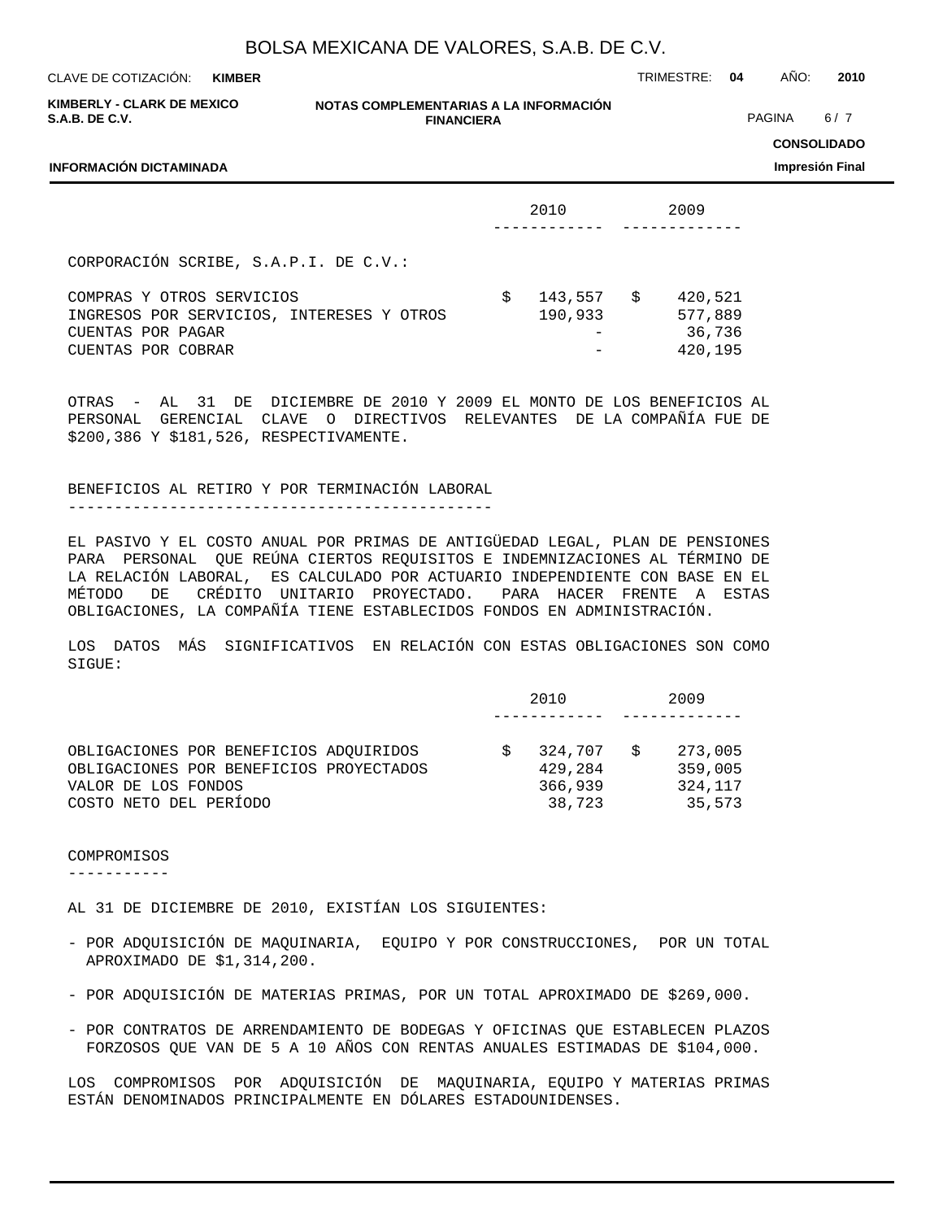**KIMBER**

CLAVE DE COTIZACIÓN: TRIMESTRE: **04** AÑO: **2010**

| KIMBERLY - CLARK DE MEXICO |  |
|----------------------------|--|
| <b>S.A.B. DE C.V.</b>      |  |

**INFORMACIÓN DICTAMINADA**

**NOTAS COMPLEMENTARIAS A LA INFORMACIÓN FINANCIERA**

PAGINA 6/7

**CONSOLIDADO**

**Impresión Final**

|                                                                                                                   |   | 2010               |    | 2009                                    |
|-------------------------------------------------------------------------------------------------------------------|---|--------------------|----|-----------------------------------------|
| CORPORACIÓN SCRIBE, S.A.P.I. DE C.V.:                                                                             |   |                    |    |                                         |
| COMPRAS Y OTROS SERVICIOS<br>INGRESOS POR SERVICIOS, INTERESES Y OTROS<br>CUENTAS POR PAGAR<br>CUENTAS POR COBRAR | S | 143,557<br>190,933 | S. | 420,521<br>577,889<br>36,736<br>420,195 |

OTRAS - AL 31 DE DICIEMBRE DE 2010 Y 2009 EL MONTO DE LOS BENEFICIOS AL PERSONAL GERENCIAL CLAVE O DIRECTIVOS RELEVANTES DE LA COMPAÑÍA FUE DE \$200,386 Y \$181,526, RESPECTIVAMENTE.

BENEFICIOS AL RETIRO Y POR TERMINACIÓN LABORAL ----------------------------------------------

EL PASIVO Y EL COSTO ANUAL POR PRIMAS DE ANTIGÜEDAD LEGAL, PLAN DE PENSIONES PARA PERSONAL QUE REÚNA CIERTOS REQUISITOS E INDEMNIZACIONES AL TÉRMINO DE LA RELACIÓN LABORAL, ES CALCULADO POR ACTUARIO INDEPENDIENTE CON BASE EN EL MÉTODO DE CRÉDITO UNITARIO PROYECTADO. PARA HACER FRENTE A ESTAS OBLIGACIONES, LA COMPAÑÍA TIENE ESTABLECIDOS FONDOS EN ADMINISTRACIÓN.

LOS DATOS MÁS SIGNIFICATIVOS EN RELACIÓN CON ESTAS OBLIGACIONES SON COMO SIGUE:

|                                         | 2010    |     | 2009    |
|-----------------------------------------|---------|-----|---------|
|                                         |         |     |         |
| OBLIGACIONES POR BENEFICIOS ADOUIRIDOS  | 324,707 | - S | 273,005 |
| OBLIGACIONES POR BENEFICIOS PROYECTADOS | 429,284 |     | 359,005 |
| VALOR DE LOS FONDOS                     | 366,939 |     | 324,117 |
| COSTO NETO DEL PERÍODO                  | 38,723  |     | 35,573  |

COMPROMISOS

-----------

AL 31 DE DICIEMBRE DE 2010, EXISTÍAN LOS SIGUIENTES:

- POR ADQUISICIÓN DE MAQUINARIA, EQUIPO Y POR CONSTRUCCIONES, POR UN TOTAL APROXIMADO DE \$1,314,200.
- POR ADQUISICIÓN DE MATERIAS PRIMAS, POR UN TOTAL APROXIMADO DE \$269,000.
- POR CONTRATOS DE ARRENDAMIENTO DE BODEGAS Y OFICINAS QUE ESTABLECEN PLAZOS FORZOSOS QUE VAN DE 5 A 10 AÑOS CON RENTAS ANUALES ESTIMADAS DE \$104,000.

LOS COMPROMISOS POR ADQUISICIÓN DE MAQUINARIA, EQUIPO Y MATERIAS PRIMAS ESTÁN DENOMINADOS PRINCIPALMENTE EN DÓLARES ESTADOUNIDENSES.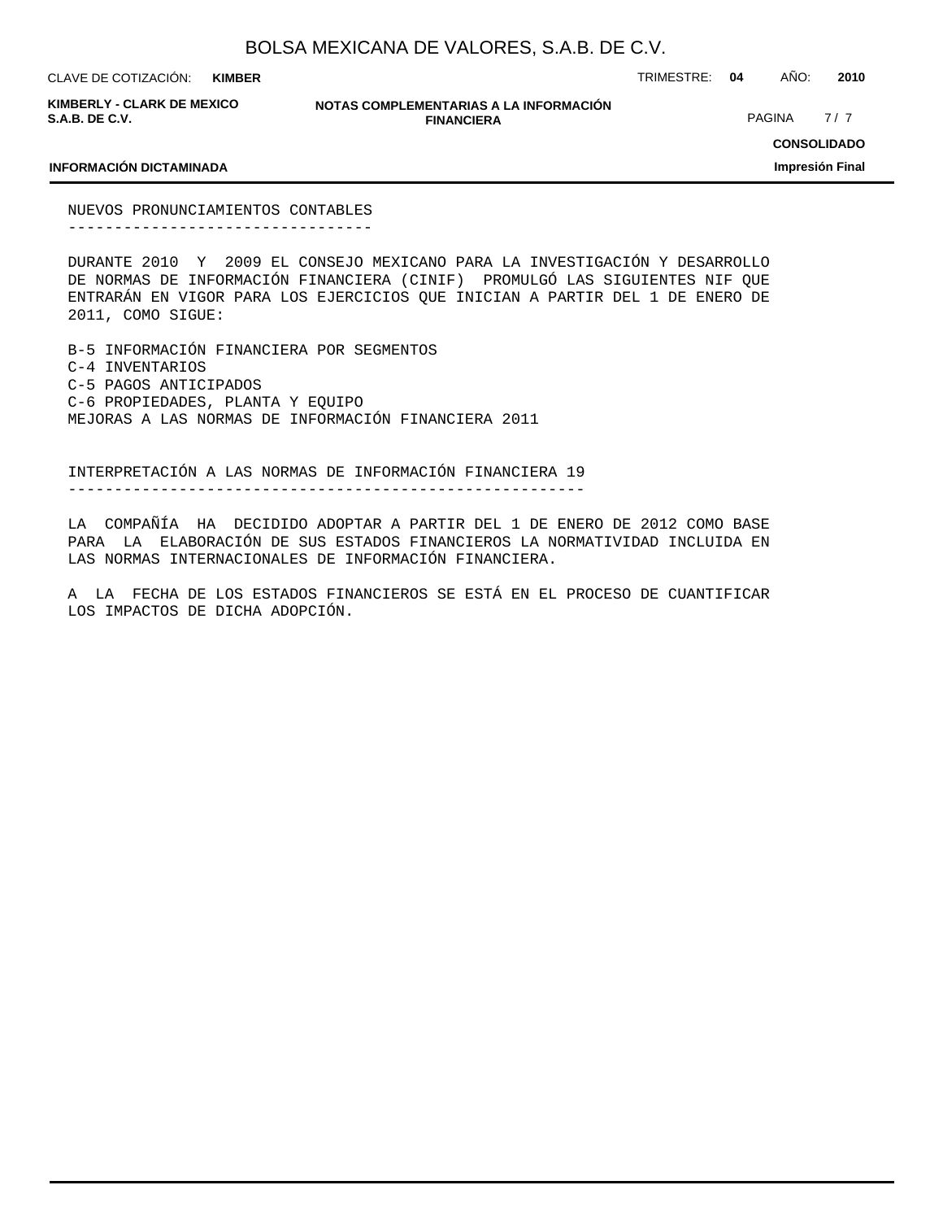**KIMBER**

CLAVE DE COTIZACIÓN: TRIMESTRE: **04** AÑO: **2010**

**KIMBERLY - CLARK DE MEXICO S.A.B. DE C.V.**

**NOTAS COMPLEMENTARIAS A LA INFORMACIÓN FINANCIERA**

PAGINA 7/7

### **INFORMACIÓN DICTAMINADA**

**CONSOLIDADO**

### **Impresión Final**

NUEVOS PRONUNCIAMIENTOS CONTABLES ---------------------------------

DURANTE 2010 Y 2009 EL CONSEJO MEXICANO PARA LA INVESTIGACIÓN Y DESARROLLO DE NORMAS DE INFORMACIÓN FINANCIERA (CINIF) PROMULGÓ LAS SIGUIENTES NIF QUE ENTRARÁN EN VIGOR PARA LOS EJERCICIOS QUE INICIAN A PARTIR DEL 1 DE ENERO DE 2011, COMO SIGUE:

B-5 INFORMACIÓN FINANCIERA POR SEGMENTOS C-4 INVENTARIOS C-5 PAGOS ANTICIPADOS C-6 PROPIEDADES, PLANTA Y EQUIPO MEJORAS A LAS NORMAS DE INFORMACIÓN FINANCIERA 2011

INTERPRETACIÓN A LAS NORMAS DE INFORMACIÓN FINANCIERA 19 --------------------------------------------------------

LA COMPAÑÍA HA DECIDIDO ADOPTAR A PARTIR DEL 1 DE ENERO DE 2012 COMO BASE PARA LA ELABORACIÓN DE SUS ESTADOS FINANCIEROS LA NORMATIVIDAD INCLUIDA EN LAS NORMAS INTERNACIONALES DE INFORMACIÓN FINANCIERA.

A LA FECHA DE LOS ESTADOS FINANCIEROS SE ESTÁ EN EL PROCESO DE CUANTIFICAR LOS IMPACTOS DE DICHA ADOPCIÓN.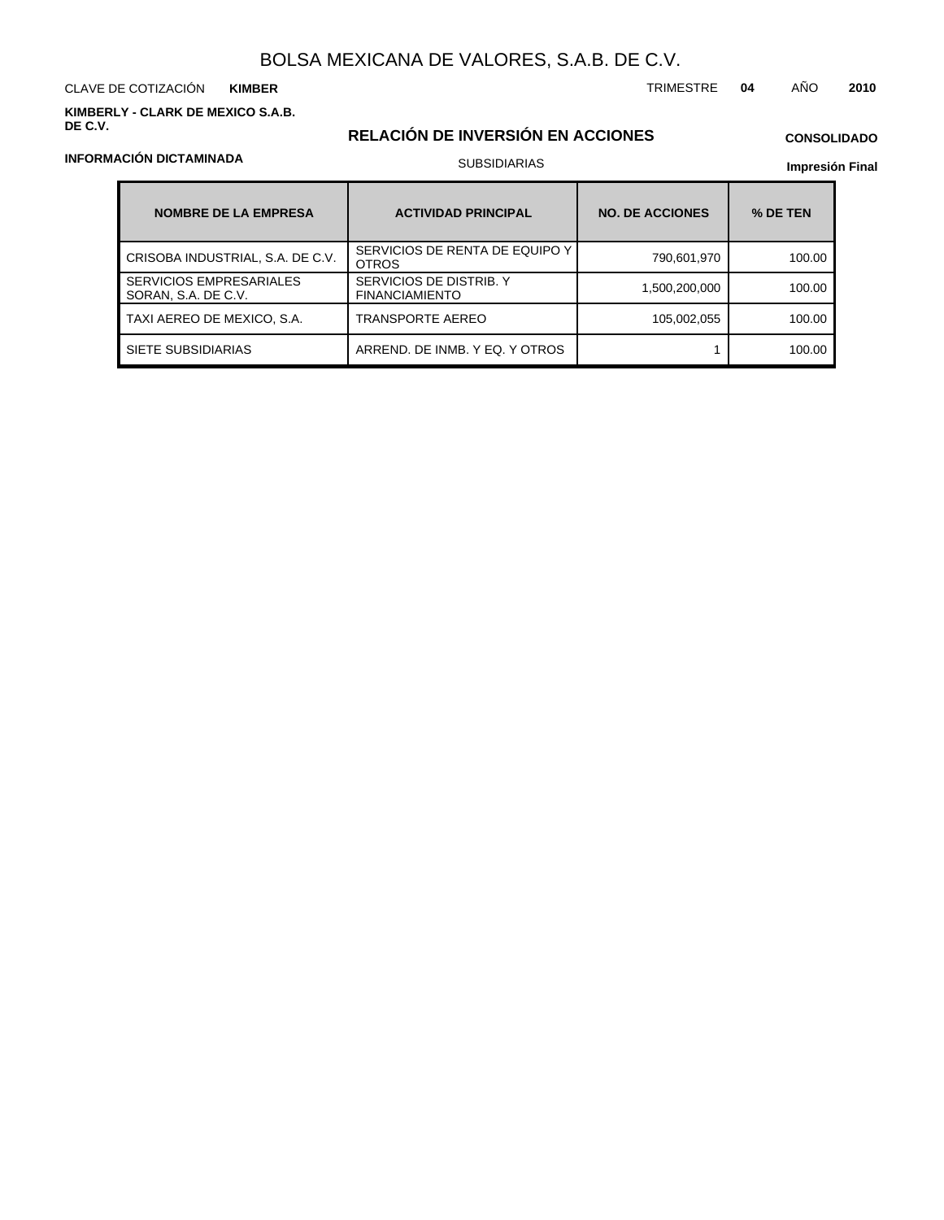CLAVE DE COTIZACIÓN TRIMESTRE **04** AÑO **2010 KIMBER**

**KIMBERLY - CLARK DE MEXICO S.A.B. DE C.V.**

## **RELACIÓN DE INVERSIÓN EN ACCIONES**

## **CONSOLIDADO**

**Impresión Final**

| <b>NOMBRE DE LA EMPRESA</b>                           | <b>ACTIVIDAD PRINCIPAL</b>                       | <b>NO. DE ACCIONES</b> | % DE TEN |
|-------------------------------------------------------|--------------------------------------------------|------------------------|----------|
| CRISOBA INDUSTRIAL, S.A. DE C.V.                      | SERVICIOS DE RENTA DE EQUIPO Y<br><b>OTROS</b>   | 790,601,970            | 100.00   |
| <b>SERVICIOS EMPRESARIALES</b><br>SORAN, S.A. DE C.V. | SERVICIOS DE DISTRIB. Y<br><b>FINANCIAMIENTO</b> | 1,500,200,000          | 100.00   |
| TAXI AEREO DE MEXICO, S.A.                            | <b>TRANSPORTE AEREO</b>                          | 105,002,055            | 100.00   |
| SIETE SUBSIDIARIAS                                    | ARREND. DE INMB. Y EQ. Y OTROS                   |                        | 100.00   |

## **INFORMACIÓN DICTAMINADA**

## SUBSIDIARIAS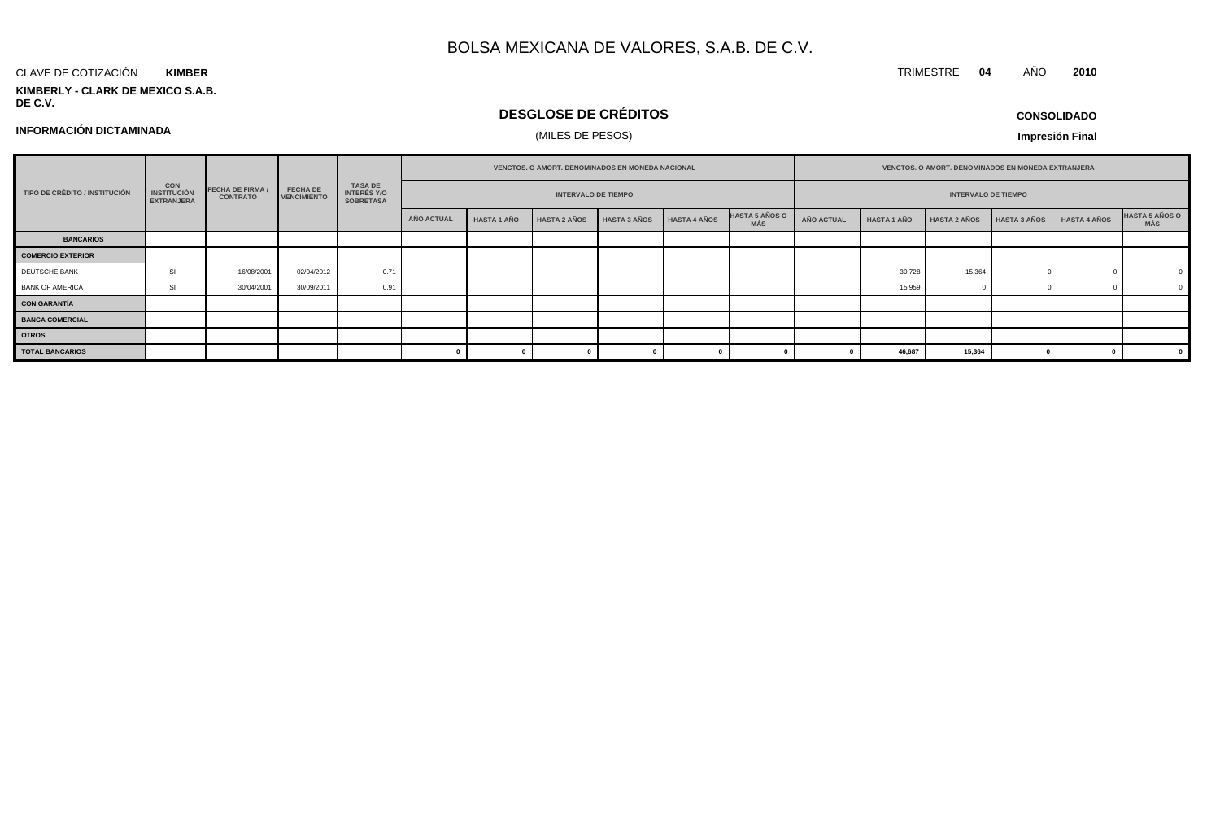### CLAVE DE COTIZACIÓN **KIMBER**

**KIMBERLY - CLARK DE MEXICO S.A.B. DE C.V.**

## **DESGLOSE DE CRÉDITOS**

**CONSOLIDADO**

TRIMESTRE **04** AÑO **2010**

## **INFORMACIÓN DICTAMINADA**

## (MILES DE PESOS)

|                               |                                                       |                                            |                                       |                                                          | <b>VENCTOS, O AMORT, DENOMINADOS EN MONEDA NACIONAL</b> |                            |                     |                     | <b>VENCTOS, O AMORT, DENOMINADOS EN MONEDA EXTRANJERA</b> |                              |            |                    |                     |              |                     |                              |
|-------------------------------|-------------------------------------------------------|--------------------------------------------|---------------------------------------|----------------------------------------------------------|---------------------------------------------------------|----------------------------|---------------------|---------------------|-----------------------------------------------------------|------------------------------|------------|--------------------|---------------------|--------------|---------------------|------------------------------|
| TIPO DE CRÉDITO / INSTITUCIÓN | <b>CON</b><br><b>INSTITUCIÓN</b><br><b>EXTRANJERA</b> | <b>FECHA DE FIRMA /</b><br><b>CONTRATO</b> | <b>FECHA DE</b><br><b>VENCIMIENTO</b> | <b>TASA DE</b><br><b>INTERÉS Y/O</b><br><b>SOBRETASA</b> |                                                         | <b>INTERVALO DE TIEMPO</b> |                     |                     |                                                           | <b>INTERVALO DE TIEMPO</b>   |            |                    |                     |              |                     |                              |
|                               |                                                       |                                            |                                       |                                                          | AÑO ACTUAL                                              | <b>HASTA 1 AÑO</b>         | <b>HASTA 2 AÑOS</b> | <b>HASTA 3 AÑOS</b> | <b>HASTA 4 AÑOS</b>                                       | <b>HASTA 5 AÑOS O</b><br>MÁS | AÑO ACTUAL | <b>HASTA 1 AÑO</b> | <b>HASTA 2 AÑOS</b> | HASTA 3 AÑOS | <b>HASTA 4 AÑOS</b> | <b>HASTA 5 AÑOS O</b><br>MÁS |
| <b>BANCARIOS</b>              |                                                       |                                            |                                       |                                                          |                                                         |                            |                     |                     |                                                           |                              |            |                    |                     |              |                     |                              |
| <b>COMERCIO EXTERIOR</b>      |                                                       |                                            |                                       |                                                          |                                                         |                            |                     |                     |                                                           |                              |            |                    |                     |              |                     |                              |
| DEUTSCHE BANK                 | <b>SI</b>                                             | 16/08/2001                                 | 02/04/2012                            | 0.71                                                     |                                                         |                            |                     |                     |                                                           |                              |            | 30,728             | 15,364              |              |                     |                              |
| <b>BANK OF AMERICA</b>        | SI                                                    | 30/04/2001                                 | 30/09/2011                            | 0.91                                                     |                                                         |                            |                     |                     |                                                           |                              |            | 15,959             |                     |              |                     |                              |
| <b>CON GARANTÍA</b>           |                                                       |                                            |                                       |                                                          |                                                         |                            |                     |                     |                                                           |                              |            |                    |                     |              |                     |                              |
| <b>BANCA COMERCIAL</b>        |                                                       |                                            |                                       |                                                          |                                                         |                            |                     |                     |                                                           |                              |            |                    |                     |              |                     |                              |
| <b>OTROS</b>                  |                                                       |                                            |                                       |                                                          |                                                         |                            |                     |                     |                                                           |                              |            |                    |                     |              |                     |                              |
| <b>TOTAL BANCARIOS</b>        |                                                       |                                            |                                       |                                                          |                                                         |                            |                     |                     |                                                           |                              |            | 46,687             | 15,364              |              |                     |                              |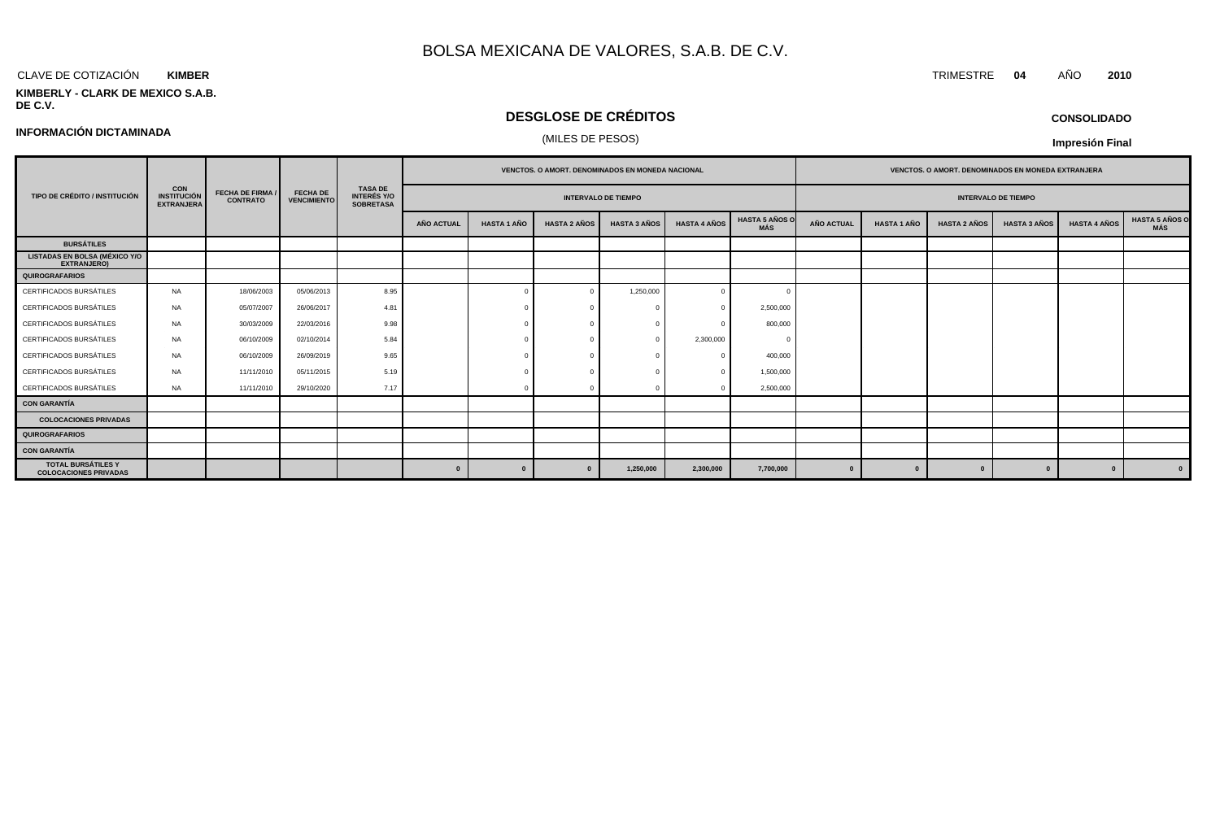### CLAVE DE COTIZACIÓN TRIMESTRE **04** AÑO **2010 KIMBER**

### **KIMBERLY - CLARK DE MEXICO S.A.B. DE C.V.**

## **DESGLOSE DE CRÉDITOS**

# (MILES DE PESOS) **INFORMACIÓN DICTAMINADA**

**CONSOLIDADO**

|                                                            |                                                       |                                            |                                       |                                                          |                   |                    |                     | <b>VENCTOS, O AMORT, DENOMINADOS EN MONEDA NACIONAL</b> |                     |                              | <b>VENCTOS, O AMORT, DENOMINADOS EN MONEDA EXTRANJERA</b> |                    |                     |                     |                     |                              |  |
|------------------------------------------------------------|-------------------------------------------------------|--------------------------------------------|---------------------------------------|----------------------------------------------------------|-------------------|--------------------|---------------------|---------------------------------------------------------|---------------------|------------------------------|-----------------------------------------------------------|--------------------|---------------------|---------------------|---------------------|------------------------------|--|
| TIPO DE CRÉDITO / INSTITUCIÓN                              | <b>CON</b><br><b>INSTITUCIÓN</b><br><b>EXTRANJERA</b> | <b>FECHA DE FIRMA /</b><br><b>CONTRATO</b> | <b>FECHA DE</b><br><b>VENCIMIENTO</b> | <b>TASA DE</b><br><b>INTERÉS Y/O</b><br><b>SOBRETASA</b> |                   |                    |                     | <b>INTERVALO DE TIEMPO</b>                              |                     |                              | <b>INTERVALO DE TIEMPO</b>                                |                    |                     |                     |                     |                              |  |
|                                                            |                                                       |                                            |                                       |                                                          | <b>AÑO ACTUAL</b> | <b>HASTA 1 AÑO</b> | <b>HASTA 2 AÑOS</b> | <b>HASTA 3 AÑOS</b>                                     | <b>HASTA 4 AÑOS</b> | <b>HASTA 5 AÑOS O</b><br>MÁS | <b>AÑO ACTUAL</b>                                         | <b>HASTA 1 AÑO</b> | <b>HASTA 2 AÑOS</b> | <b>HASTA 3 AÑOS</b> | <b>HASTA 4 AÑOS</b> | <b>HASTA 5 AÑOS O</b><br>MÁS |  |
| <b>BURSÁTILES</b>                                          |                                                       |                                            |                                       |                                                          |                   |                    |                     |                                                         |                     |                              |                                                           |                    |                     |                     |                     |                              |  |
| <b>LISTADAS EN BOLSA (MÉXICO Y/O</b><br><b>EXTRANJERO)</b> |                                                       |                                            |                                       |                                                          |                   |                    |                     |                                                         |                     |                              |                                                           |                    |                     |                     |                     |                              |  |
| <b>QUIROGRAFARIOS</b>                                      |                                                       |                                            |                                       |                                                          |                   |                    |                     |                                                         |                     |                              |                                                           |                    |                     |                     |                     |                              |  |
| <b>CERTIFICADOS BURSÁTILES</b>                             | <b>NA</b>                                             | 18/06/2003                                 | 05/06/2013                            | 8.95                                                     |                   | $\Omega$           |                     | 1,250,000                                               | $\Omega$            |                              |                                                           |                    |                     |                     |                     |                              |  |
| <b>CERTIFICADOS BURSÁTILES</b>                             | NA.                                                   | 05/07/2007                                 | 26/06/2017                            | 4.81                                                     |                   |                    |                     |                                                         |                     | 2,500,000                    |                                                           |                    |                     |                     |                     |                              |  |
| CERTIFICADOS BURSÁTILES                                    | <b>NA</b>                                             | 30/03/2009                                 | 22/03/2016                            | 9.98                                                     |                   |                    |                     |                                                         |                     | 800,000                      |                                                           |                    |                     |                     |                     |                              |  |
| <b>CERTIFICADOS BURSÁTILES</b>                             | <b>NA</b>                                             | 06/10/2009                                 | 02/10/2014                            | 5.84                                                     |                   |                    |                     |                                                         | 2,300,000           |                              |                                                           |                    |                     |                     |                     |                              |  |
| <b>CERTIFICADOS BURSÁTILES</b>                             | <b>NA</b>                                             | 06/10/2009                                 | 26/09/2019                            | 9.65                                                     |                   |                    |                     |                                                         |                     | 400,000                      |                                                           |                    |                     |                     |                     |                              |  |
| CERTIFICADOS BURSÁTILES                                    | <b>NA</b>                                             | 11/11/2010                                 | 05/11/2015                            | 5.19                                                     |                   |                    |                     |                                                         |                     | 1,500,000                    |                                                           |                    |                     |                     |                     |                              |  |
| CERTIFICADOS BURSÁTILES                                    | <b>NA</b>                                             | 11/11/2010                                 | 29/10/2020                            | 7.17                                                     |                   |                    |                     |                                                         |                     | 2,500,000                    |                                                           |                    |                     |                     |                     |                              |  |
| <b>CON GARANTÍA</b>                                        |                                                       |                                            |                                       |                                                          |                   |                    |                     |                                                         |                     |                              |                                                           |                    |                     |                     |                     |                              |  |
| <b>COLOCACIONES PRIVADAS</b>                               |                                                       |                                            |                                       |                                                          |                   |                    |                     |                                                         |                     |                              |                                                           |                    |                     |                     |                     |                              |  |
| <b>QUIROGRAFARIOS</b>                                      |                                                       |                                            |                                       |                                                          |                   |                    |                     |                                                         |                     |                              |                                                           |                    |                     |                     |                     |                              |  |
| <b>CON GARANTÍA</b>                                        |                                                       |                                            |                                       |                                                          |                   |                    |                     |                                                         |                     |                              |                                                           |                    |                     |                     |                     |                              |  |
| <b>TOTAL BURSÁTILES Y</b><br><b>COLOCACIONES PRIVADAS</b>  |                                                       |                                            |                                       |                                                          | $\mathbf{0}$      | $\mathbf{a}$       | $\mathbf{0}$        | 1,250,000                                               | 2,300,000           | 7,700,000                    | $\Omega$                                                  | $\bf{0}$           | $\Omega$            | $\mathbf{a}$        | $\mathbf{0}$        |                              |  |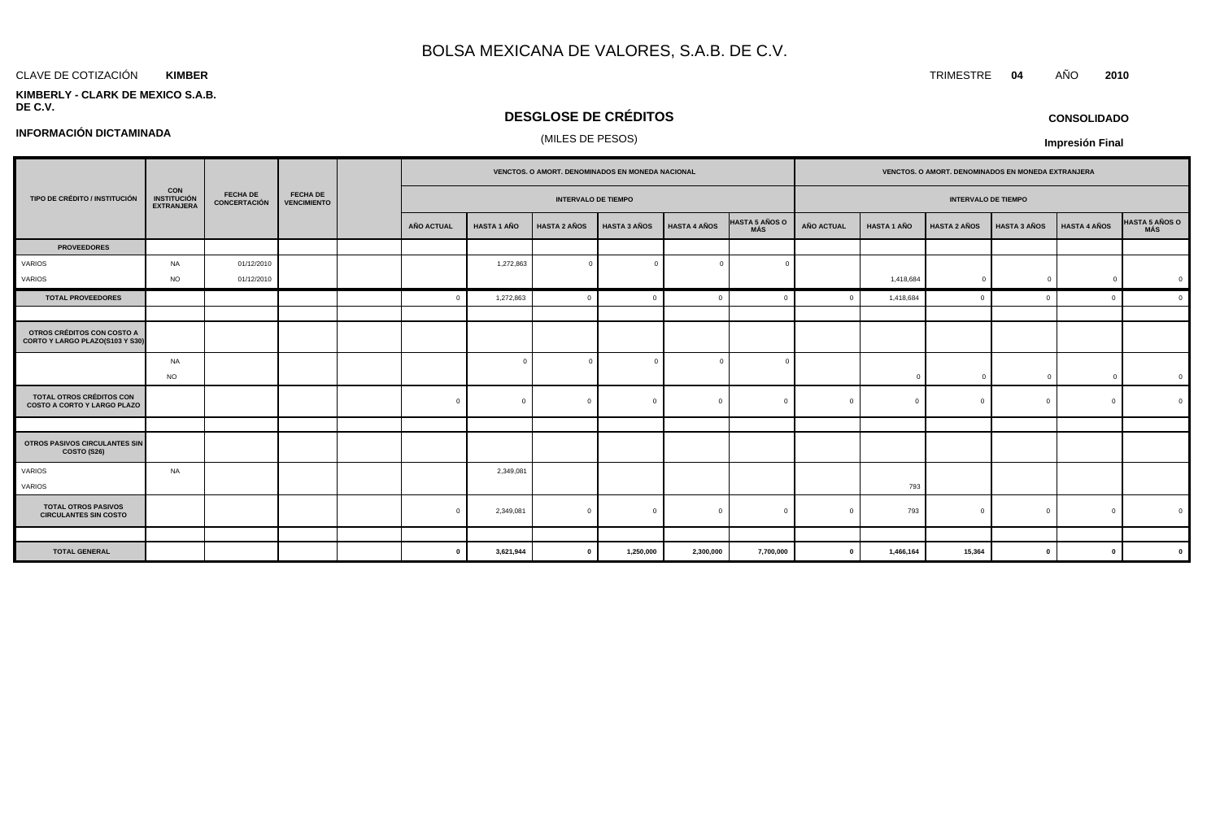### CLAVE DE COTIZACIÓN TRIMESTRE **04** AÑO **2010 KIMBER**

**INFORMACIÓN DICTAMINADA**

### **KIMBERLY - CLARK DE MEXICO S.A.B. DE C.V.**

## **DESGLOSE DE CRÉDITOS**

## (MILES DE PESOS)

**CONSOLIDADO**

|                                                                |                                                 |                                 |                                       |                   |                    |                            | VENCTOS. O AMORT. DENOMINADOS EN MONEDA NACIONAL |                     |                              |                   |                    | VENCTOS. O AMORT. DENOMINADOS EN MONEDA EXTRANJERA |                     |                     |                |
|----------------------------------------------------------------|-------------------------------------------------|---------------------------------|---------------------------------------|-------------------|--------------------|----------------------------|--------------------------------------------------|---------------------|------------------------------|-------------------|--------------------|----------------------------------------------------|---------------------|---------------------|----------------|
| TIPO DE CRÉDITO / INSTITUCIÓN                                  | <b>CON<br/>INSTITUCIÓN</b><br><b>EXTRANJERA</b> | <b>FECHA DE</b><br>CONCERTACIÓN | <b>FECHA DE</b><br><b>VENCIMIENTO</b> |                   |                    | <b>INTERVALO DE TIEMPO</b> |                                                  |                     |                              |                   |                    | <b>INTERVALO DE TIEMPO</b>                         |                     |                     |                |
|                                                                |                                                 |                                 |                                       | <b>AÑO ACTUAL</b> | <b>HASTA 1 AÑO</b> | <b>HASTA 2 AÑOS</b>        | <b>HASTA 3 AÑOS</b>                              | <b>HASTA 4 AÑOS</b> | <b>HASTA 5 AÑOS O</b><br>MÁS | <b>AÑO ACTUAL</b> | <b>HASTA 1 AÑO</b> | <b>HASTA 2 AÑOS</b>                                | <b>HASTA 3 AÑOS</b> | <b>HASTA 4 AÑOS</b> | HASTA 5 AÑOS O |
| <b>PROVEEDORES</b>                                             |                                                 |                                 |                                       |                   |                    |                            |                                                  |                     |                              |                   |                    |                                                    |                     |                     |                |
| VARIOS                                                         | <b>NA</b>                                       | 01/12/2010                      |                                       |                   | 1,272,863          | $\overline{0}$             |                                                  | $\Omega$            |                              |                   |                    |                                                    |                     |                     |                |
| VARIOS                                                         | <b>NO</b>                                       | 01/12/2010                      |                                       |                   |                    |                            |                                                  |                     |                              |                   | 1,418,684          | $\mathbf 0$                                        | $\overline{0}$      | $\overline{0}$      | $\overline{0}$ |
| <b>TOTAL PROVEEDORES</b>                                       |                                                 |                                 |                                       |                   | 1,272,863          | $\overline{0}$             |                                                  | $\Omega$            |                              |                   | 1,418,684          |                                                    | $\Omega$            | $\Omega$            | $\Omega$       |
|                                                                |                                                 |                                 |                                       |                   |                    |                            |                                                  |                     |                              |                   |                    |                                                    |                     |                     |                |
| OTROS CRÉDITOS CON COSTO A<br>CORTO Y LARGO PLAZO(S103 Y S30)  |                                                 |                                 |                                       |                   |                    |                            |                                                  |                     |                              |                   |                    |                                                    |                     |                     |                |
|                                                                | <b>NA</b>                                       |                                 |                                       |                   | $\Omega$           | $\Omega$                   | $\Omega$                                         | $\Omega$            |                              |                   |                    |                                                    |                     |                     |                |
|                                                                | <b>NO</b>                                       |                                 |                                       |                   |                    |                            |                                                  |                     |                              |                   | $\Omega$           |                                                    | $\Omega$            | $\Omega$            | $\overline{0}$ |
| TOTAL OTROS CRÉDITOS CON<br><b>COSTO A CORTO Y LARGO PLAZO</b> |                                                 |                                 |                                       | $\Omega$          | $\Omega$           | $\Omega$                   |                                                  | $\mathbf{0}$        | $\sqrt{ }$                   |                   | $\Omega$           |                                                    | $\Omega$            | $\mathbf{0}$        |                |
|                                                                |                                                 |                                 |                                       |                   |                    |                            |                                                  |                     |                              |                   |                    |                                                    |                     |                     |                |
| OTROS PASIVOS CIRCULANTES SIN<br>COSTO (S26)                   |                                                 |                                 |                                       |                   |                    |                            |                                                  |                     |                              |                   |                    |                                                    |                     |                     |                |
| VARIOS                                                         | <b>NA</b>                                       |                                 |                                       |                   | 2,349,081          |                            |                                                  |                     |                              |                   |                    |                                                    |                     |                     |                |
| VARIOS                                                         |                                                 |                                 |                                       |                   |                    |                            |                                                  |                     |                              |                   | 793                |                                                    |                     |                     |                |
| <b>TOTAL OTROS PASIVOS</b><br><b>CIRCULANTES SIN COSTO</b>     |                                                 |                                 |                                       |                   | 2,349,081          | $\Omega$                   |                                                  | $\mathbf{0}$        | $\Omega$                     | $\Omega$          | 793                |                                                    | $\Omega$            | $\mathbf{0}$        | $\Omega$       |
|                                                                |                                                 |                                 |                                       |                   |                    |                            |                                                  |                     |                              |                   |                    |                                                    |                     |                     |                |
| <b>TOTAL GENERAL</b>                                           |                                                 |                                 |                                       | $\Omega$          | 3,621,944          | $\mathbf{0}$               | 1,250,000                                        | 2,300,000           | 7,700,000                    | $\mathbf{0}$      | 1,466,164          | 15,364                                             | $\mathbf{0}$        | $\mathbf{0}$        | $\mathbf{0}$   |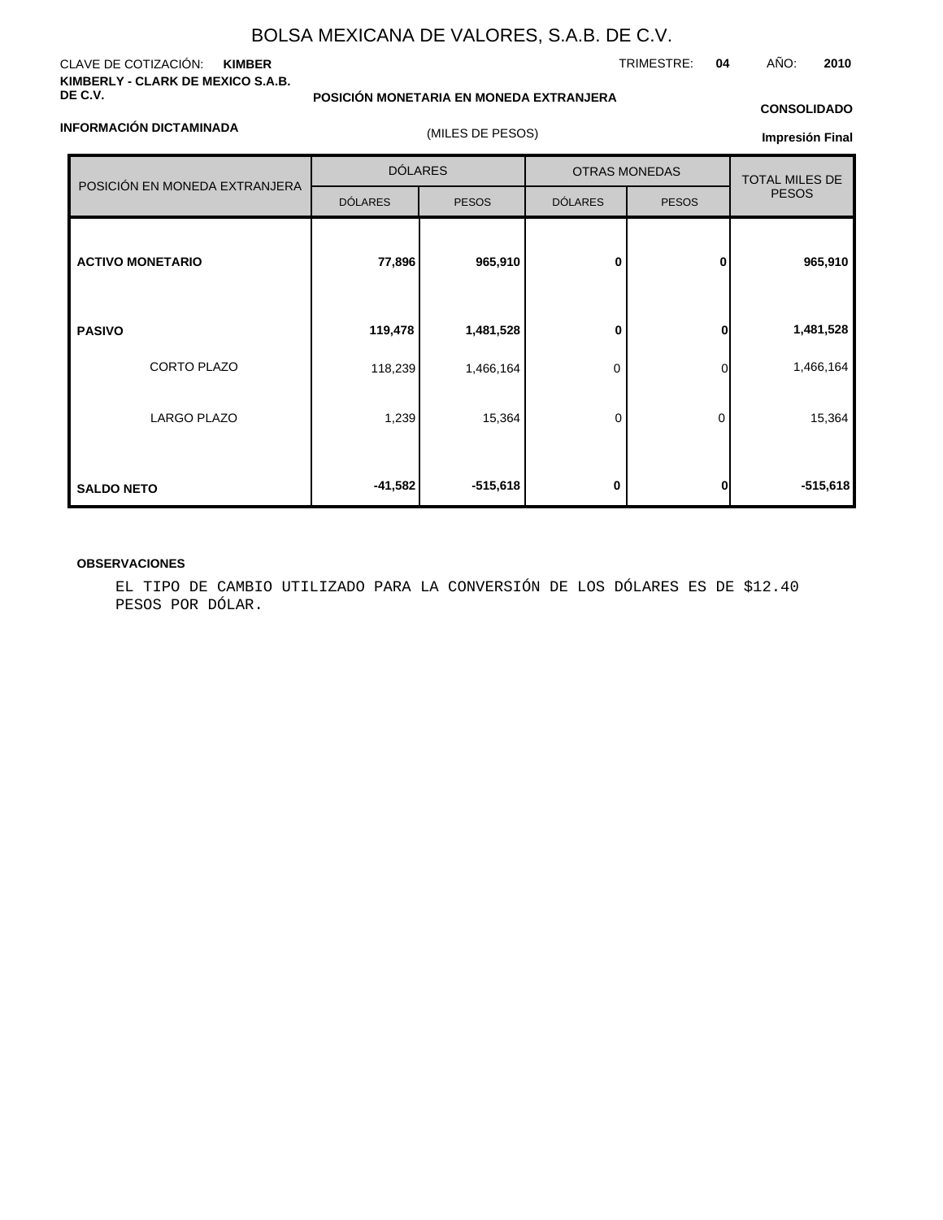### CLAVE DE COTIZACIÓN: **KIMBER KIMBERLY - CLARK DE MEXICO S.A.B. DE C.V.**

**INFORMACIÓN DICTAMINADA**

## **POSICIÓN MONETARIA EN MONEDA EXTRANJERA**

## **CONSOLIDADO**

| (MILES DE PESOS) |  |
|------------------|--|
|                  |  |

## **Impresión Final**

|                               | <b>DÓLARES</b> |              | <b>OTRAS MONEDAS</b> | <b>TOTAL MILES DE</b> |              |  |
|-------------------------------|----------------|--------------|----------------------|-----------------------|--------------|--|
| POSICIÓN EN MONEDA EXTRANJERA | <b>DÓLARES</b> | <b>PESOS</b> | <b>DÓLARES</b>       | <b>PESOS</b>          | <b>PESOS</b> |  |
| <b>ACTIVO MONETARIO</b>       | 77,896         | 965,910      | 0                    | 0                     | 965,910      |  |
| <b>PASIVO</b>                 | 119,478        | 1,481,528    | 0                    | 0                     | 1,481,528    |  |
| <b>CORTO PLAZO</b>            | 118,239        | 1,466,164    | 0                    | $\Omega$              | 1,466,164    |  |
| LARGO PLAZO                   | 1,239          | 15,364       | 0                    | 0                     | 15,364       |  |
| <b>SALDO NETO</b>             | $-41,582$      | $-515,618$   | 0                    | $\mathbf{0}$          | $-515,618$   |  |

## **OBSERVACIONES**

EL TIPO DE CAMBIO UTILIZADO PARA LA CONVERSIÓN DE LOS DÓLARES ES DE \$12.40 PESOS POR DÓLAR.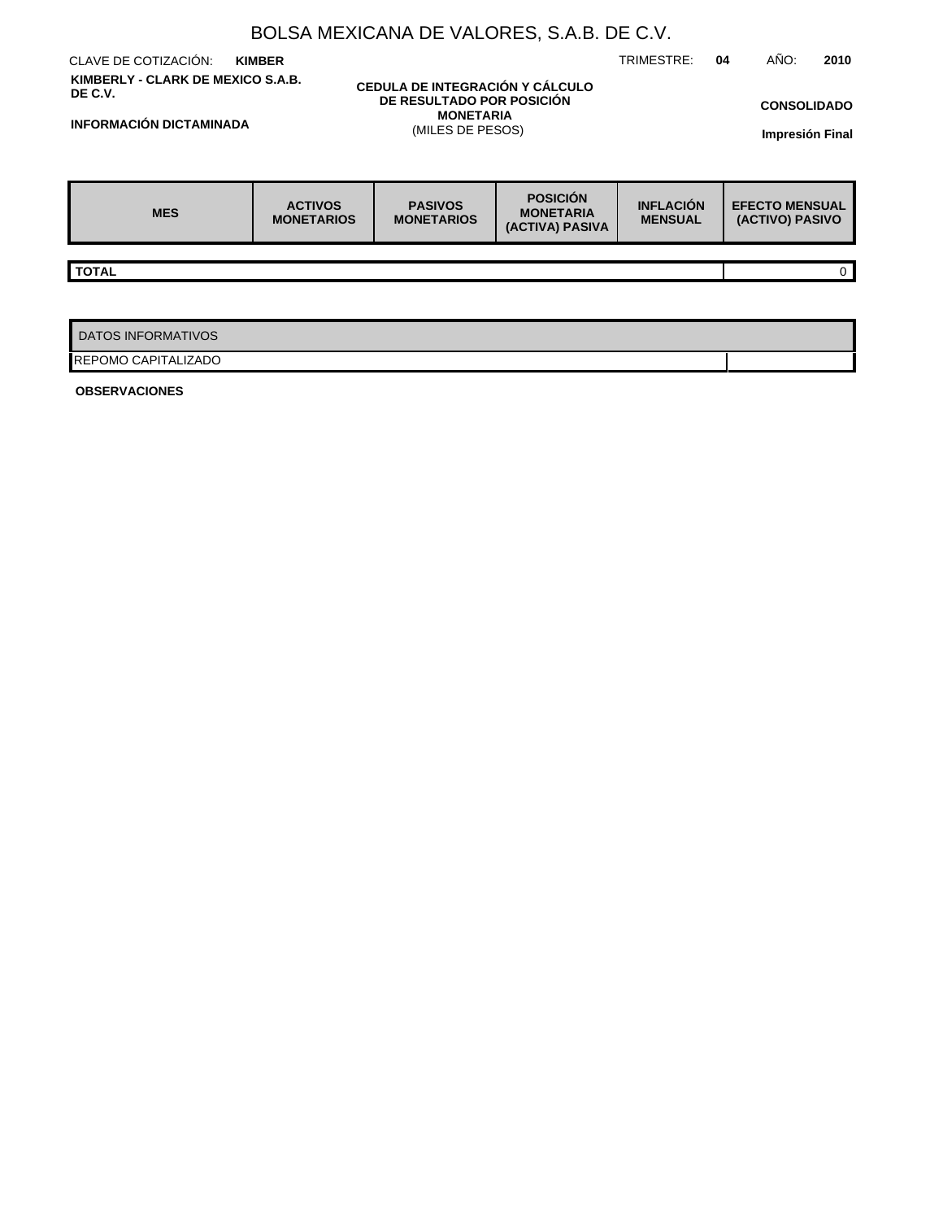|                                                           | BOLSA MEXICANA DE VALORES, S.A.B. DE C.V. |                                                              |                                                        |                                    |  |                                              |              |  |  |  |  |
|-----------------------------------------------------------|-------------------------------------------|--------------------------------------------------------------|--------------------------------------------------------|------------------------------------|--|----------------------------------------------|--------------|--|--|--|--|
| CLAVE DE COTIZACIÓN:<br>TRIMESTRE:<br>04<br><b>KIMBER</b> |                                           |                                                              |                                                        |                                    |  |                                              |              |  |  |  |  |
| KIMBERLY - CLARK DE MEXICO S.A.B.<br>DE C.V.              |                                           | CEDULA DE INTEGRACIÓN Y CÁLCULO<br>DE RESULTADO POR POSICIÓN |                                                        |                                    |  |                                              |              |  |  |  |  |
| <b>INFORMACIÓN DICTAMINADA</b>                            |                                           | <b>MONETARIA</b>                                             |                                                        |                                    |  | <b>CONSOLIDADO</b><br><b>Impresión Final</b> |              |  |  |  |  |
|                                                           | (MILES DE PESOS)                          |                                                              |                                                        |                                    |  |                                              |              |  |  |  |  |
|                                                           |                                           |                                                              |                                                        |                                    |  |                                              |              |  |  |  |  |
| <b>MES</b>                                                | <b>ACTIVOS</b><br><b>MONETARIOS</b>       | <b>PASIVOS</b><br><b>MONETARIOS</b>                          | <b>POSICIÓN</b><br><b>MONETARIA</b><br>(ACTIVA) PASIVA | <b>INFLACIÓN</b><br><b>MENSUAL</b> |  | <b>EFECTO MENSUAL</b><br>(ACTIVO) PASIVO     |              |  |  |  |  |
| <b>TOTAL</b>                                              |                                           |                                                              |                                                        |                                    |  |                                              |              |  |  |  |  |
|                                                           |                                           |                                                              |                                                        |                                    |  |                                              | $\mathbf{0}$ |  |  |  |  |
|                                                           |                                           |                                                              |                                                        |                                    |  |                                              |              |  |  |  |  |
| <b>DATOS INFORMATIVOS</b>                                 |                                           |                                                              |                                                        |                                    |  |                                              |              |  |  |  |  |
| IREPOMO CAPITALIZADO                                      |                                           |                                                              |                                                        |                                    |  |                                              |              |  |  |  |  |

**OBSERVACIONES**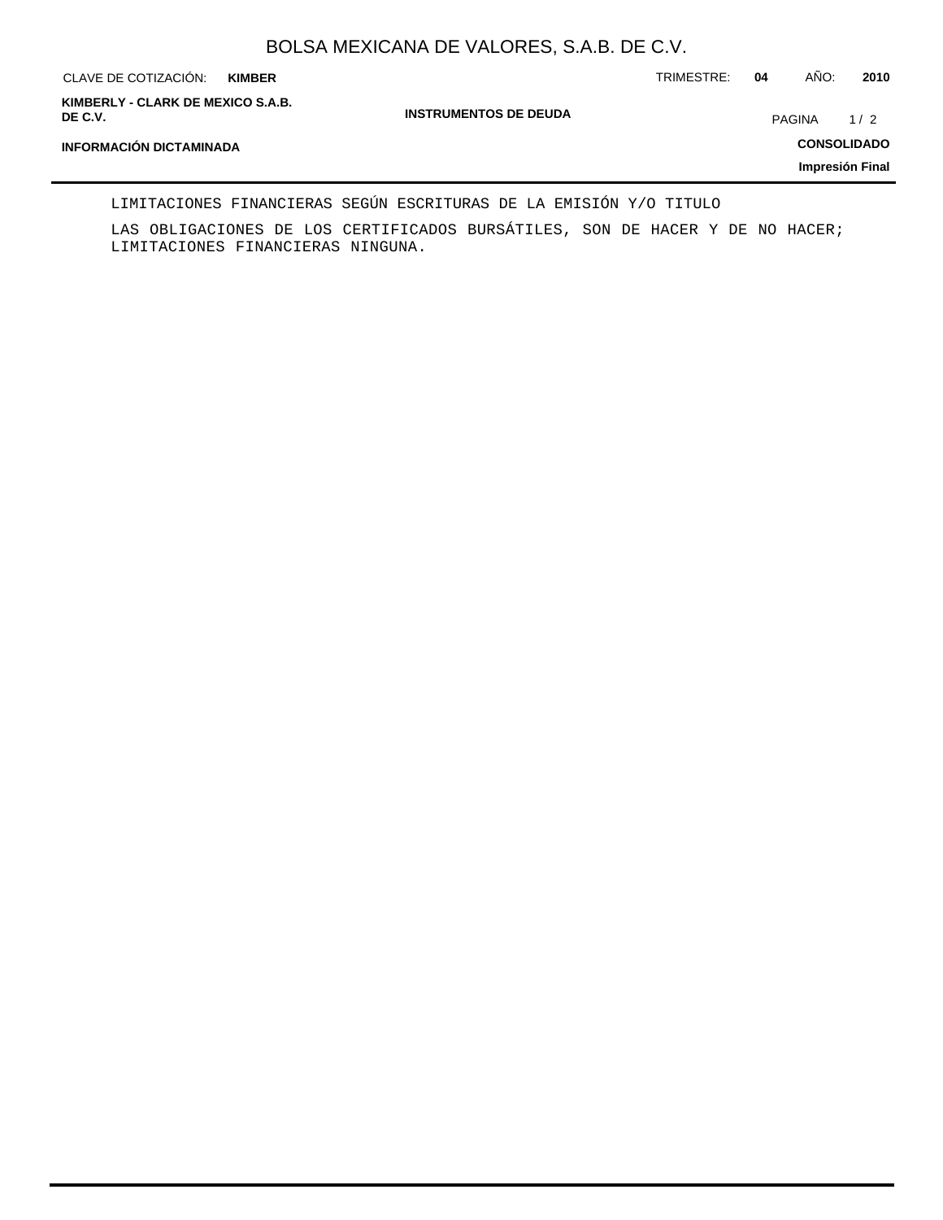| CLAVE DE COTIZACIÓN:<br><b>KIMBER</b>        |                              | TRIMESTRE: | 04            | AÑO: | 2010               |
|----------------------------------------------|------------------------------|------------|---------------|------|--------------------|
| KIMBERLY - CLARK DE MEXICO S.A.B.<br>DE C.V. | <b>INSTRUMENTOS DE DEUDA</b> |            | <b>PAGINA</b> |      | 1/2                |
| INFORMACIÓN DICTAMINADA                      |                              |            |               |      | <b>CONSOLIDADO</b> |
|                                              |                              |            |               |      | Impresión Final    |

LIMITACIONES FINANCIERAS SEGÚN ESCRITURAS DE LA EMISIÓN Y/O TITULO

LAS OBLIGACIONES DE LOS CERTIFICADOS BURSÁTILES, SON DE HACER Y DE NO HACER; LIMITACIONES FINANCIERAS NINGUNA.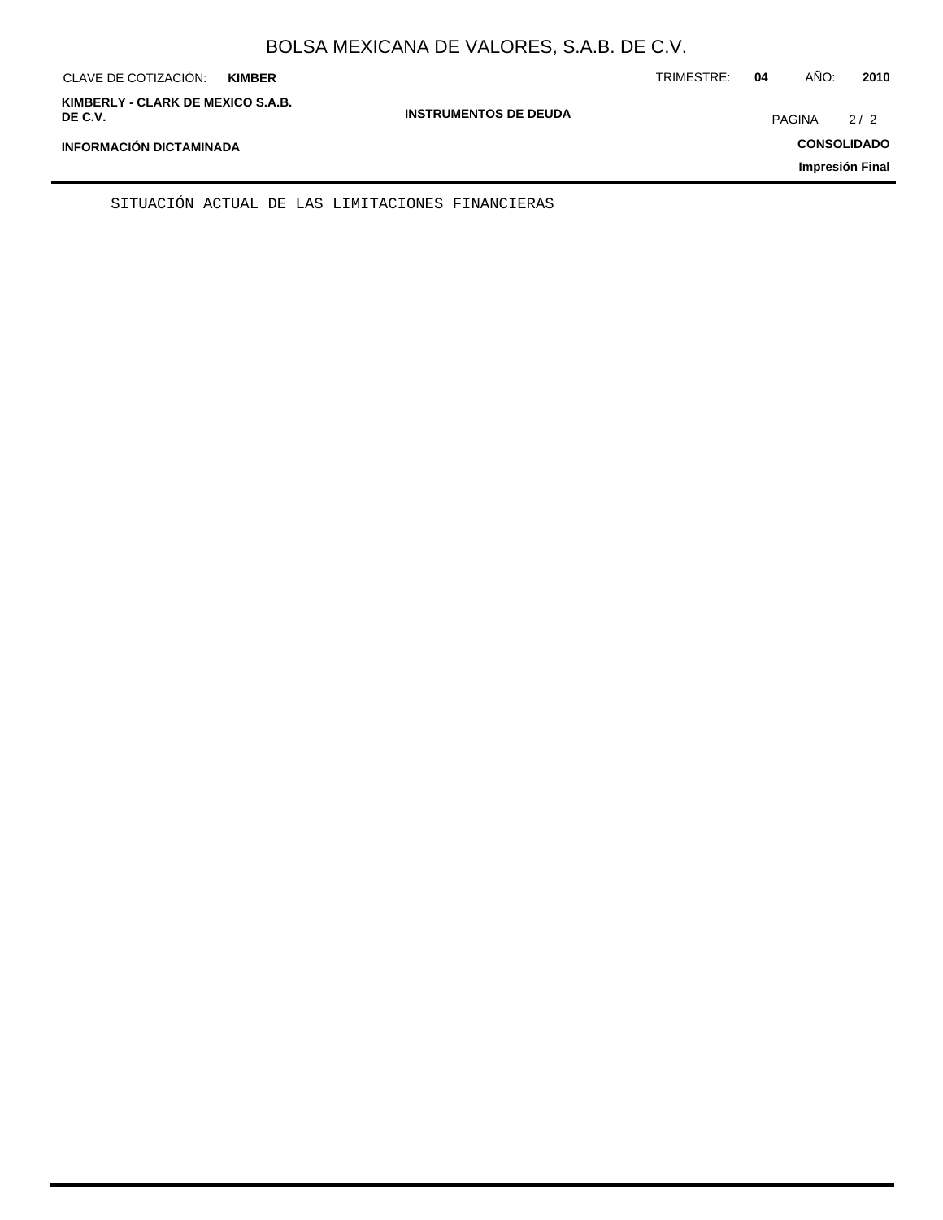| CLAVE DE COTIZACIÓN:<br><b>KIMBER</b>        |                              | TRIMESTRE: | 04 | AÑO:          | 2010               |
|----------------------------------------------|------------------------------|------------|----|---------------|--------------------|
| KIMBERLY - CLARK DE MEXICO S.A.B.<br>DE C.V. | <b>INSTRUMENTOS DE DEUDA</b> |            |    | <b>PAGINA</b> | 2/2                |
| <b>INFORMACIÓN DICTAMINADA</b>               |                              |            |    |               | <b>CONSOLIDADO</b> |
|                                              |                              |            |    |               | Impresión Final    |

SITUACIÓN ACTUAL DE LAS LIMITACIONES FINANCIERAS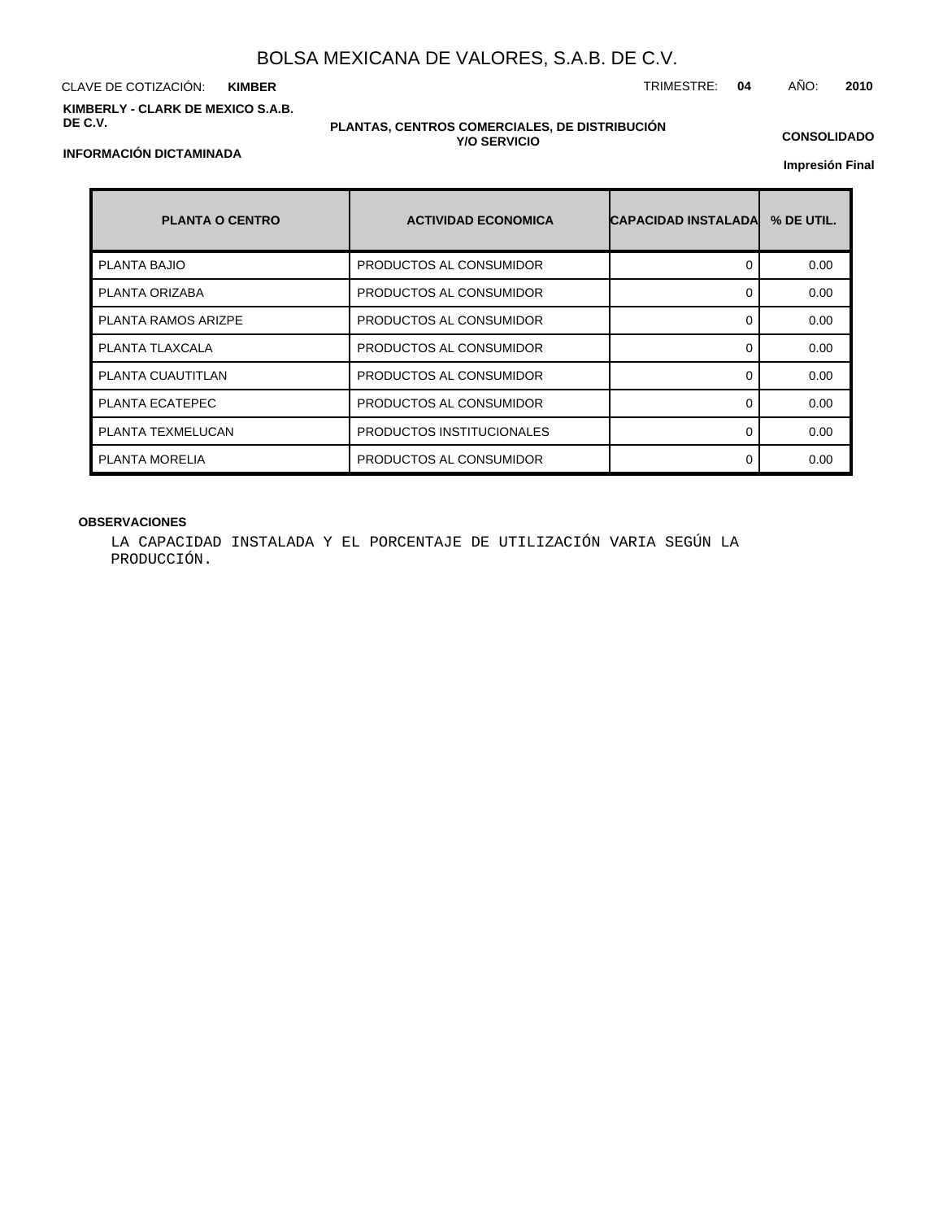CLAVE DE COTIZACIÓN: TRIMESTRE: **04** AÑO: **2010 KIMBER KIMBERLY - CLARK DE MEXICO S.A.B. DE C.V.**

### **PLANTAS, CENTROS COMERCIALES, DE DISTRIBUCIÓN Y/O SERVICIO**

**CONSOLIDADO**

**Impresión Final**

| <b>PLANTA O CENTRO</b>     | <b>ACTIVIDAD ECONOMICA</b> | <b>CAPACIDAD INSTALADA</b> | % DE UTIL. |
|----------------------------|----------------------------|----------------------------|------------|
| <b>PLANTA BAJIO</b>        | PRODUCTOS AL CONSUMIDOR    | 0                          | 0.00       |
| PLANTA ORIZABA             | PRODUCTOS AL CONSUMIDOR    | O                          | 0.00       |
| <b>PLANTA RAMOS ARIZPE</b> | PRODUCTOS AL CONSUMIDOR    | ∩                          | 0.00       |
| PLANTA TLAXCALA            | PRODUCTOS AL CONSUMIDOR    | 0                          | 0.00       |
| PLANTA CUAUTITLAN          | PRODUCTOS AL CONSUMIDOR    | ∩                          | 0.00       |
| PLANTA ECATEPEC            | PRODUCTOS AL CONSUMIDOR    | ∩                          | 0.00       |
| PLANTA TEXMELUCAN          | PRODUCTOS INSTITUCIONALES  | 0                          | 0.00       |
| PLANTA MORELIA             | PRODUCTOS AL CONSUMIDOR    |                            | 0.00       |

## **OBSERVACIONES**

LA CAPACIDAD INSTALADA Y EL PORCENTAJE DE UTILIZACIÓN VARIA SEGÚN LA PRODUCCIÓN.

## **INFORMACIÓN DICTAMINADA**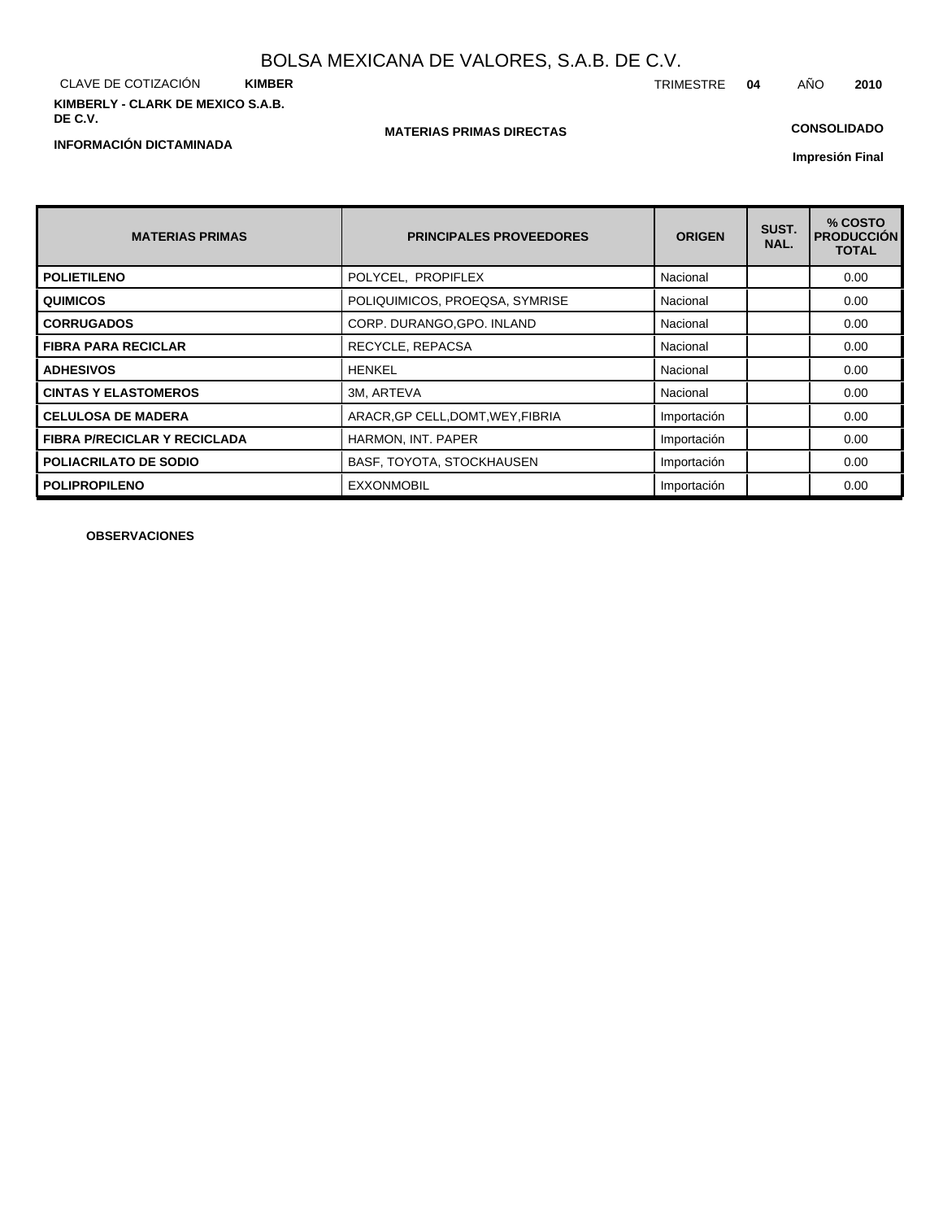CLAVE DE COTIZACIÓN **KIMBER KIMBERLY - CLARK DE MEXICO S.A.B. DE C.V.**

**INFORMACIÓN DICTAMINADA**

## **MATERIAS PRIMAS DIRECTAS**

## **CONSOLIDADO**

**Impresión Final**

| <b>MATERIAS PRIMAS</b>              | <b>PRINCIPALES PROVEEDORES</b>    | <b>ORIGEN</b> | SUST.<br>NAL. | % COSTO<br><b>PRODUCCIÓN</b><br><b>TOTAL</b> |
|-------------------------------------|-----------------------------------|---------------|---------------|----------------------------------------------|
| <b>POLIETILENO</b>                  | POLYCEL, PROPIFLEX                | Nacional      |               | 0.00                                         |
| <b>QUIMICOS</b>                     | POLIQUIMICOS, PROEQSA, SYMRISE    | Nacional      |               | 0.00                                         |
| <b>CORRUGADOS</b>                   | CORP. DURANGO, GPO. INLAND        | Nacional      |               | 0.00                                         |
| <b>FIBRA PARA RECICLAR</b>          | RECYCLE, REPACSA                  | Nacional      |               | 0.00                                         |
| <b>ADHESIVOS</b>                    | <b>HENKEL</b>                     | Nacional      |               | 0.00                                         |
| <b>CINTAS Y ELASTOMEROS</b>         | 3M, ARTEVA                        | Nacional      |               | 0.00                                         |
| <b>CELULOSA DE MADERA</b>           | ARACR, GP CELL, DOMT, WEY, FIBRIA | Importación   |               | 0.00                                         |
| <b>FIBRA P/RECICLAR Y RECICLADA</b> | HARMON, INT. PAPER                | Importación   |               | 0.00                                         |
| <b>POLIACRILATO DE SODIO</b>        | BASF, TOYOTA, STOCKHAUSEN         | Importación   |               | 0.00                                         |
| <b>POLIPROPILENO</b>                | <b>EXXONMOBIL</b>                 | Importación   |               | 0.00                                         |

**OBSERVACIONES**

TRIMESTRE **04** AÑO **2010**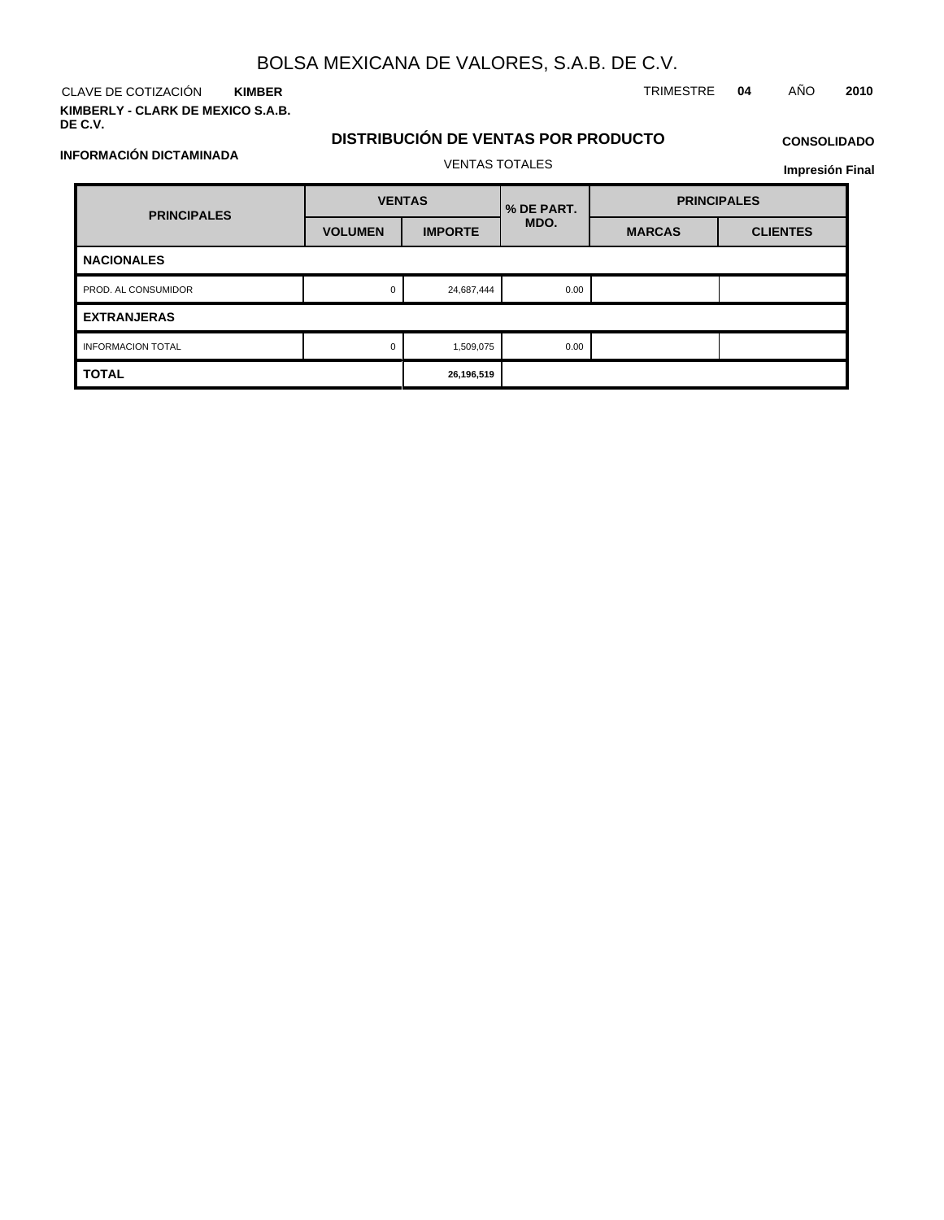CLAVE DE COTIZACIÓN TRIMESTRE **04** AÑO **2010 KIMBER KIMBERLY - CLARK DE MEXICO S.A.B.**

**INFORMACIÓN DICTAMINADA**

**DE C.V.**

## **DISTRIBUCIÓN DE VENTAS POR PRODUCTO**

## **CONSOLIDADO**

**Impresión Final**

| <b>PRINCIPALES</b>       | <b>VENTAS</b>  |                | % DE PART. | <b>PRINCIPALES</b> |                 |  |
|--------------------------|----------------|----------------|------------|--------------------|-----------------|--|
|                          | <b>VOLUMEN</b> | <b>IMPORTE</b> | MDO.       | <b>MARCAS</b>      | <b>CLIENTES</b> |  |
| <b>NACIONALES</b>        |                |                |            |                    |                 |  |
| PROD. AL CONSUMIDOR      | $\mathbf 0$    | 24,687,444     | 0.00       |                    |                 |  |
| <b>EXTRANJERAS</b>       |                |                |            |                    |                 |  |
| <b>INFORMACION TOTAL</b> | $\mathbf 0$    | 1,509,075      | 0.00       |                    |                 |  |
| <b>TOTAL</b>             |                | 26,196,519     |            |                    |                 |  |

VENTAS TOTALES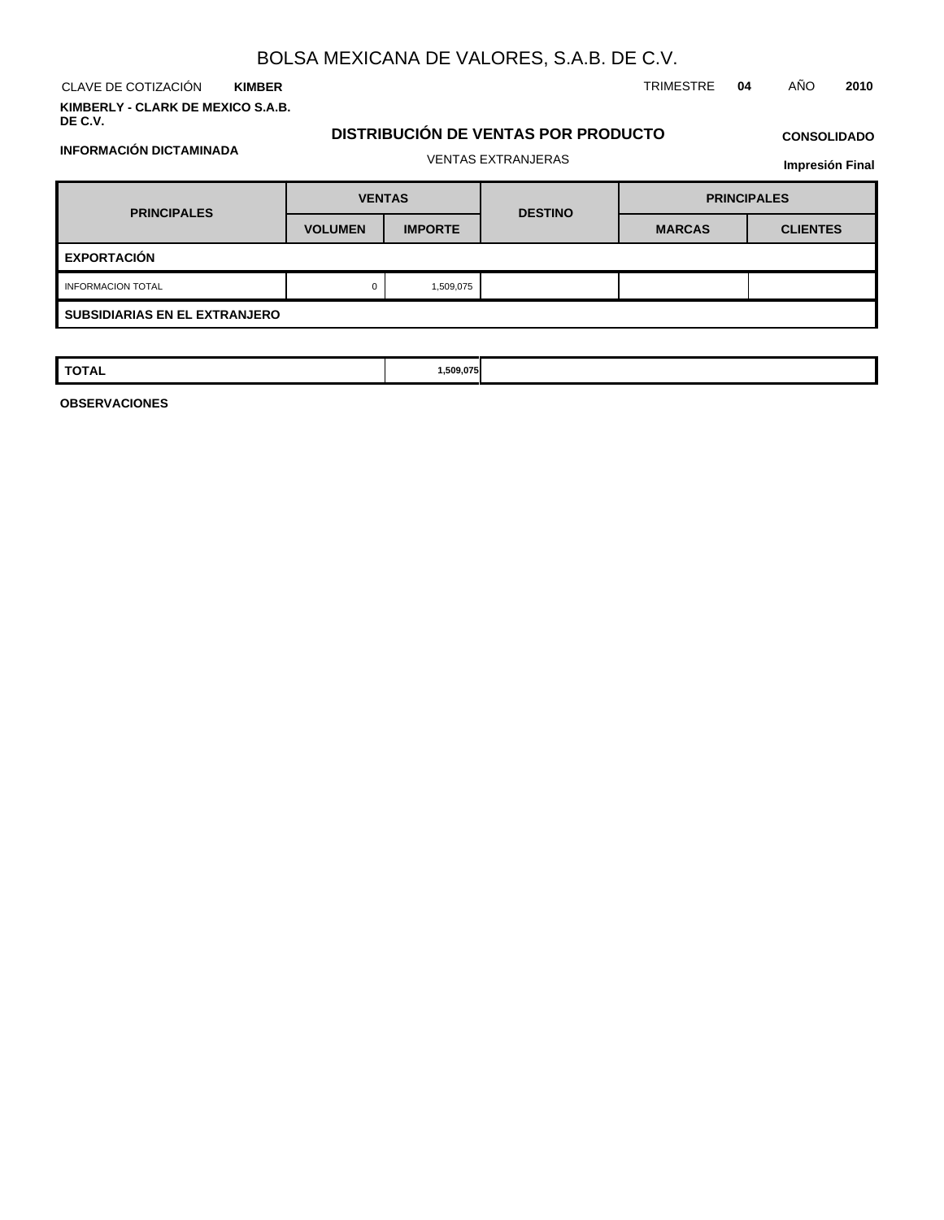**KIMBER**

**KIMBERLY - CLARK DE MEXICO S.A.B. DE C.V.**

**INFORMACIÓN DICTAMINADA**

CLAVE DE COTIZACIÓN TRIMESTRE **04** AÑO **2010**

## **DISTRIBUCIÓN DE VENTAS POR PRODUCTO**

# **CONSOLIDADO**

| <b>Impresión Final</b> |  |
|------------------------|--|
|------------------------|--|

| <b>PRINCIPALES</b>                   | <b>VENTAS</b>  |                | <b>DESTINO</b> | <b>PRINCIPALES</b> |                 |  |  |  |
|--------------------------------------|----------------|----------------|----------------|--------------------|-----------------|--|--|--|
|                                      | <b>VOLUMEN</b> | <b>IMPORTE</b> |                | <b>MARCAS</b>      | <b>CLIENTES</b> |  |  |  |
| <b>EXPORTACIÓN</b>                   |                |                |                |                    |                 |  |  |  |
| <b>INFORMACION TOTAL</b>             | 0              | 1,509,075      |                |                    |                 |  |  |  |
| <b>SUBSIDIARIAS EN EL EXTRANJERO</b> |                |                |                |                    |                 |  |  |  |

| TOTAL | ,509.075 |  |  |
|-------|----------|--|--|
|       |          |  |  |

**OBSERVACIONES**

VENTAS EXTRANJERAS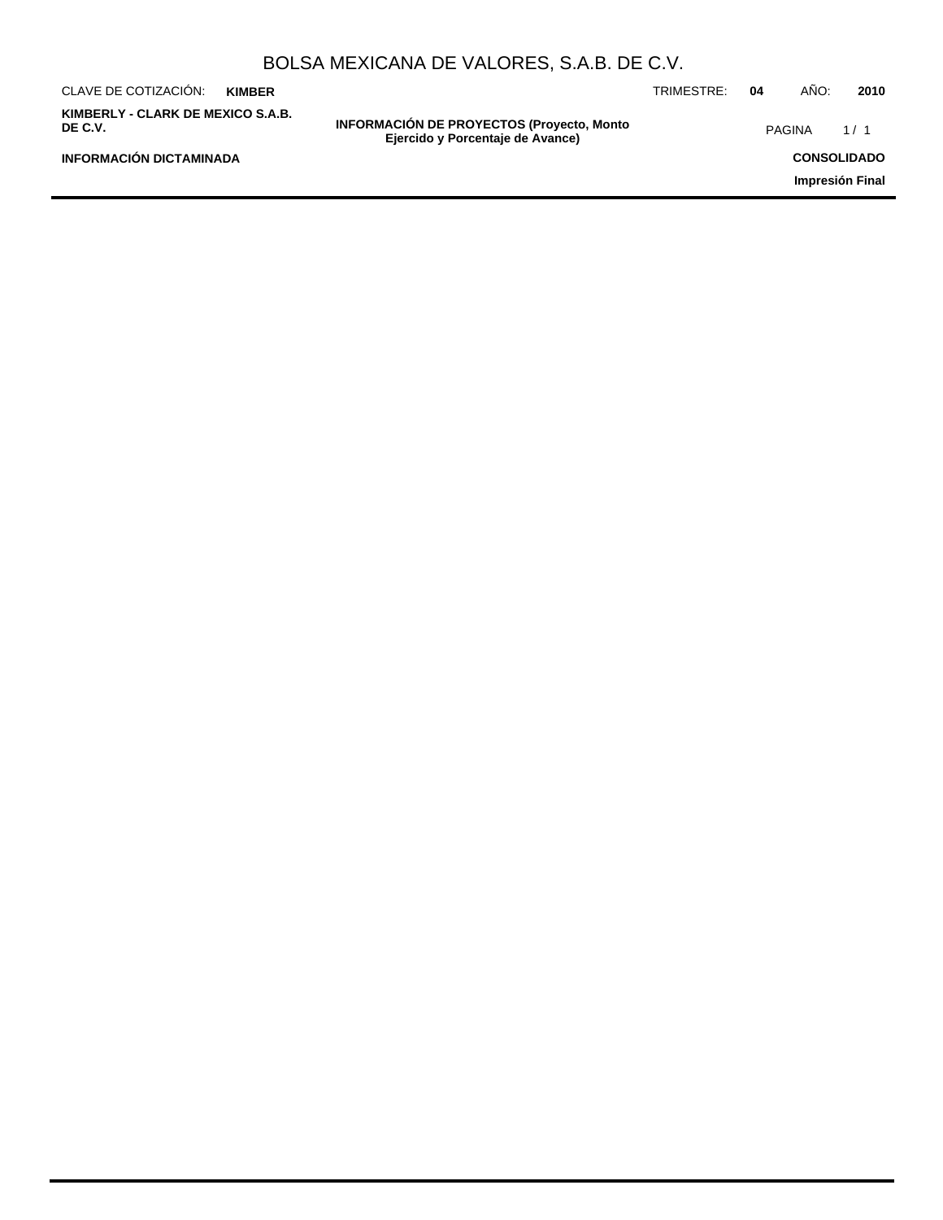|                                              |               | BULSA MEXICANA DE VALURES, S.A.B. DE C.V.                                            |            |    |               |                    |
|----------------------------------------------|---------------|--------------------------------------------------------------------------------------|------------|----|---------------|--------------------|
| CLAVE DE COTIZACIÓN:                         | <b>KIMBER</b> |                                                                                      | TRIMESTRE: | 04 | AÑO:          | 2010               |
| KIMBERLY - CLARK DE MEXICO S.A.B.<br>DE C.V. |               | <b>INFORMACIÓN DE PROYECTOS (Proyecto, Monto</b><br>Ejercido y Porcentaje de Avance) |            |    | <b>PAGINA</b> | 1/1                |
| <b>INFORMACIÓN DICTAMINADA</b>               |               |                                                                                      |            |    |               | <b>CONSOLIDADO</b> |
|                                              |               |                                                                                      |            |    |               | Impresión Final    |
|                                              |               |                                                                                      |            |    |               |                    |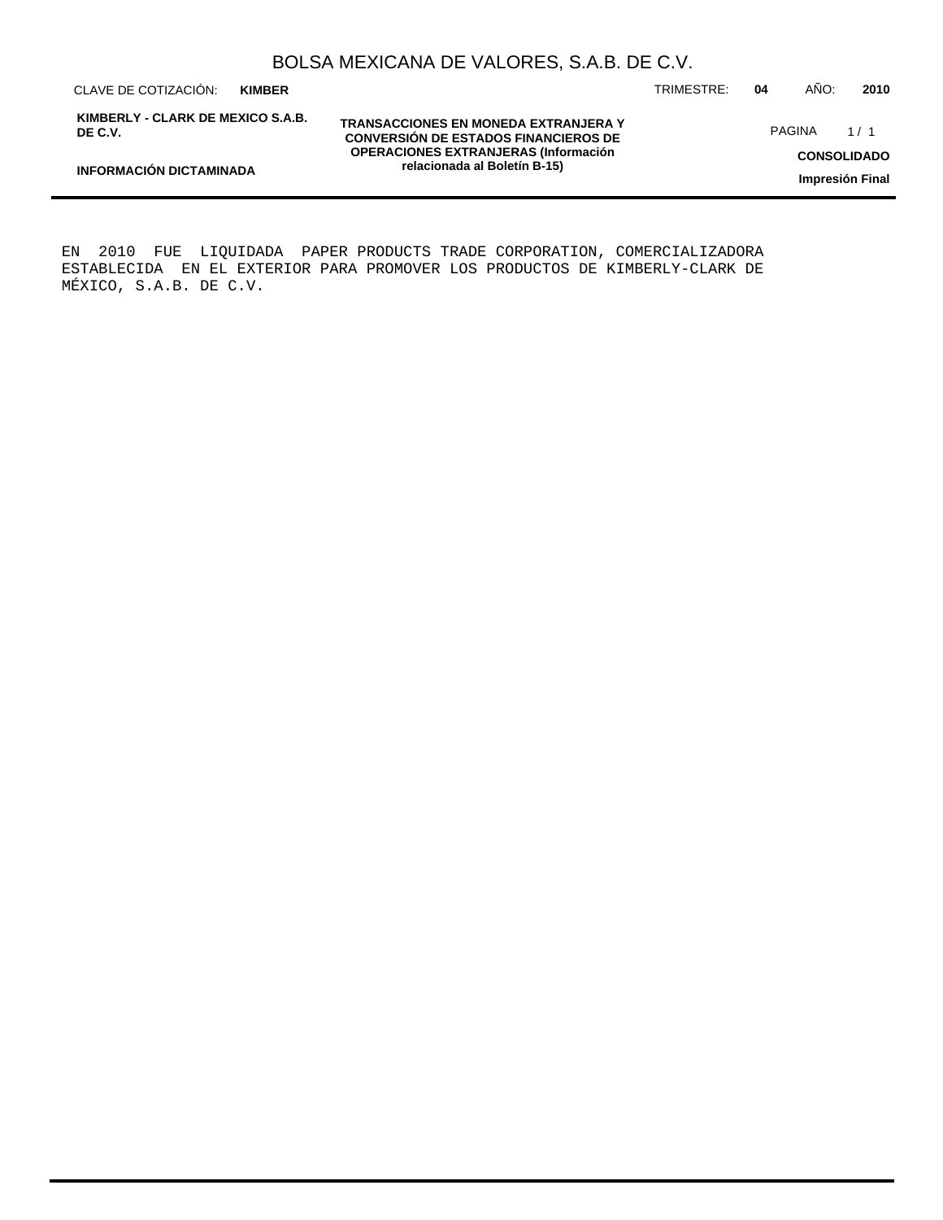CLAVE DE COTIZACIÓN: TRIMESTRE: **04** AÑO: **2010 KIMBER**

**INFORMACIÓN DICTAMINADA**

**KIMBERLY - CLARK DE MEXICO S.A.B. DE C.V.**

**TRANSACCIONES EN MONEDA EXTRANJERA Y CONVERSIÓN DE ESTADOS FINANCIEROS DE OPERACIONES EXTRANJERAS (Información relacionada al Boletín B-15)**

PAGINA 1/1

**CONSOLIDADO**

**Impresión Final**

EN 2010 FUE LIQUIDADA PAPER PRODUCTS TRADE CORPORATION, COMERCIALIZADORA ESTABLECIDA EN EL EXTERIOR PARA PROMOVER LOS PRODUCTOS DE KIMBERLY-CLARK DE MÉXICO, S.A.B. DE C.V.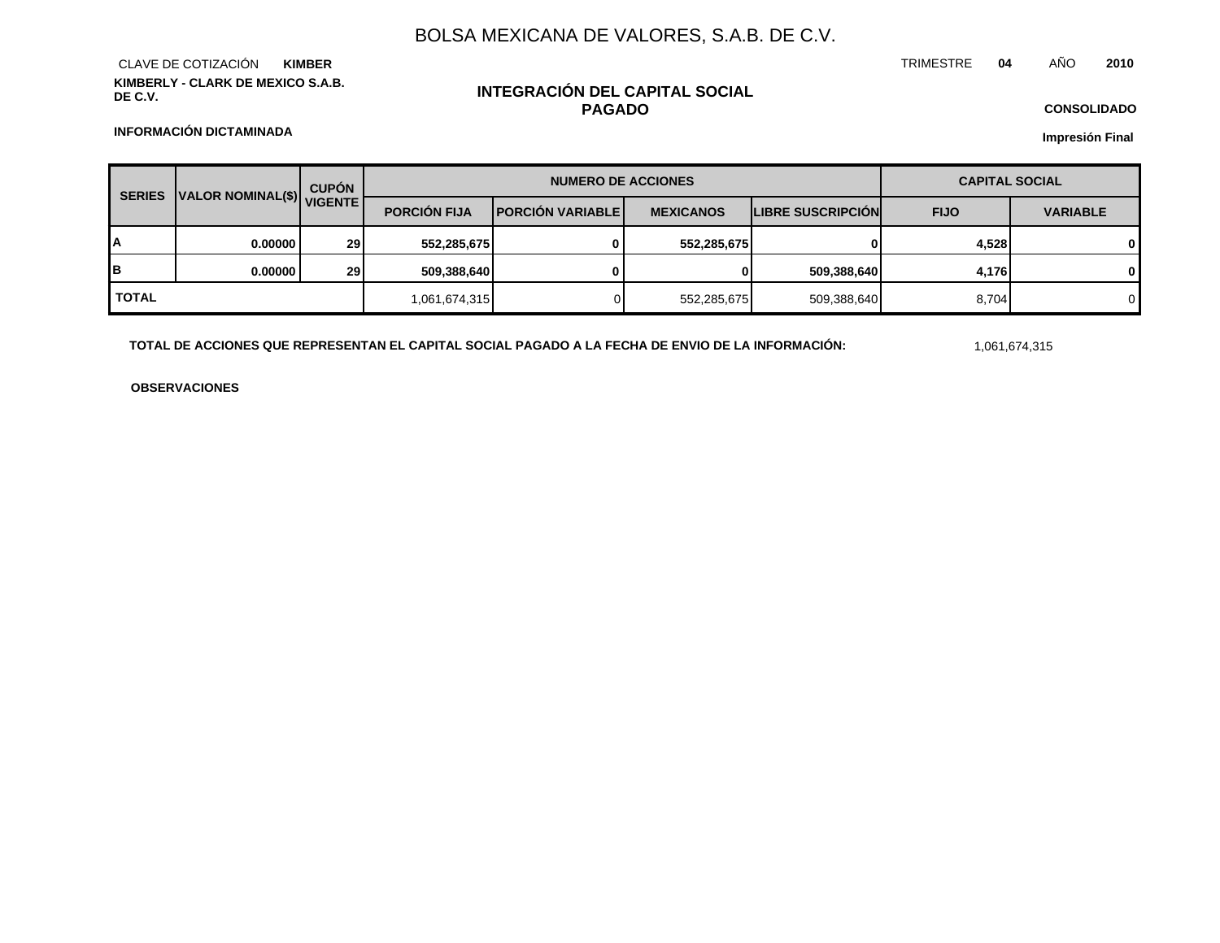**KIMBERLY - CLARK DE MEXICO S.A.B. DE C.V.** CLAVE DE COTIZACIÓN **KIMBER**

## **INTEGRACIÓN DEL CAPITAL SOCIAL PAGADO**

TRIMESTRE **04** AÑO **2010**

**CONSOLIDADO Impresión Final**

**INFORMACIÓN DICTAMINADA**

| <b>SERIES</b> | VALOR NOMINAL(\$) VIGENTE | <b>CUPÓN</b> |                     | <b>NUMERO DE ACCIONES</b> | <b>CAPITAL SOCIAL</b> |                          |             |                 |
|---------------|---------------------------|--------------|---------------------|---------------------------|-----------------------|--------------------------|-------------|-----------------|
|               |                           |              | <b>PORCIÓN FIJA</b> | <b>IPORCIÓN VARIABLEI</b> | <b>MEXICANOS</b>      | <b>LIBRE SUSCRIPCION</b> | <b>FIJO</b> | <b>VARIABLE</b> |
| A             | 0.000001                  | <b>291</b>   | 552,285,675         | 0                         | 552,285,675           | 0                        | 4,528       | 0               |
| lΒ            | 0.000001                  | <b>29</b>    | 509,388,640         |                           | $\mathbf{0}$          | 509,388,640              | 4,176       | 0               |
| <b>TOTAL</b>  |                           |              | 1,061,674,315       |                           | 552,285,675           | 509,388,640              | 8,704       | 0               |

**TOTAL DE ACCIONES QUE REPRESENTAN EL CAPITAL SOCIAL PAGADO A LA FECHA DE ENVIO DE LA INFORMACIÓN:** 1,061,674,315

**OBSERVACIONES**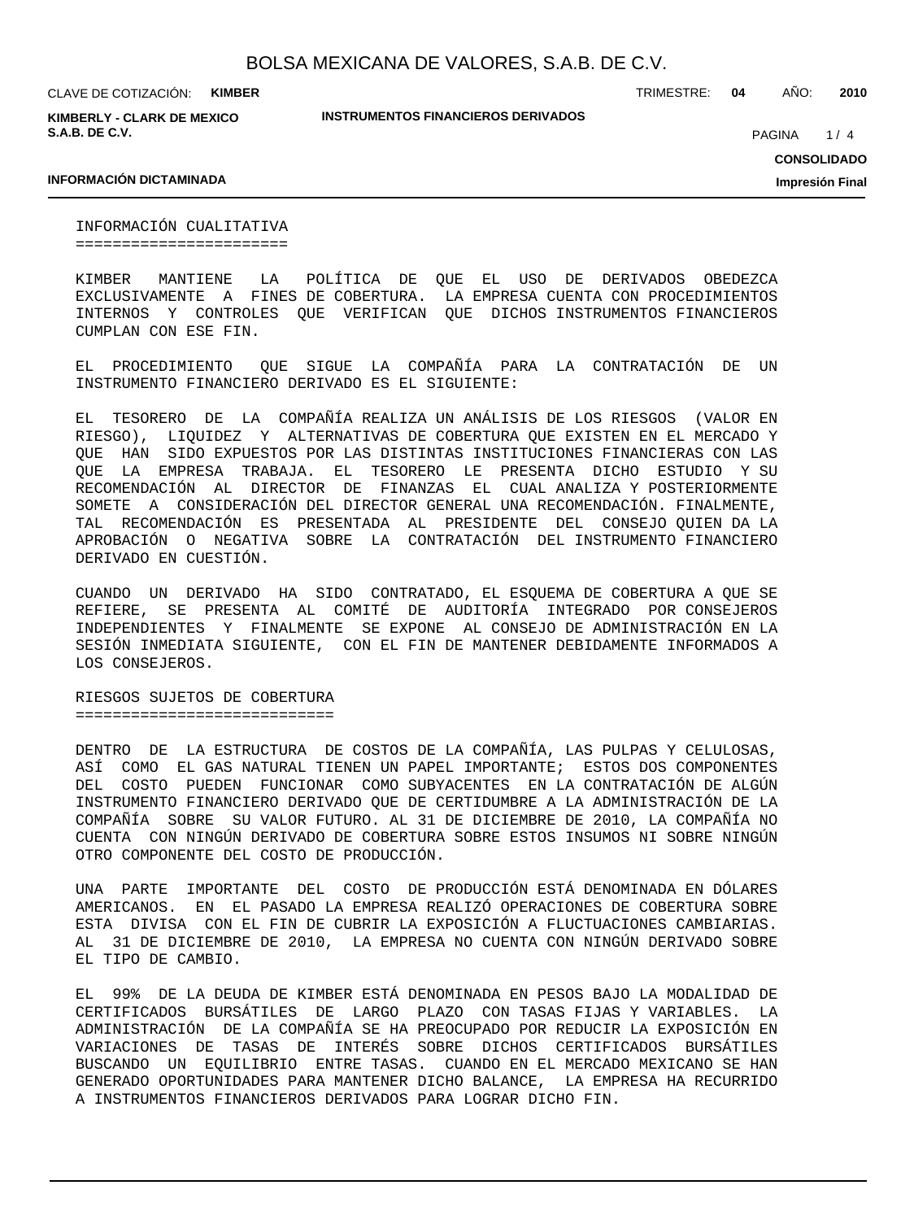**KIMBERLY - CLARK DE MEXICO S.A.B. DE C.V.**

**INSTRUMENTOS FINANCIEROS DERIVADOS**

TRIMESTRE: **04** AÑO: **2010**

 $1/4$ PAGINA

**CONSOLIDADO**

**Impresión Final**

## **INFORMACIÓN DICTAMINADA**

INFORMACIÓN CUALITATIVA =======================

KIMBER MANTIENE LA POLÍTICA DE QUE EL USO DE DERIVADOS OBEDEZCA EXCLUSIVAMENTE A FINES DE COBERTURA. LA EMPRESA CUENTA CON PROCEDIMIENTOS INTERNOS Y CONTROLES QUE VERIFICAN QUE DICHOS INSTRUMENTOS FINANCIEROS CUMPLAN CON ESE FIN.

EL PROCEDIMIENTO QUE SIGUE LA COMPAÑÍA PARA LA CONTRATACIÓN DE UN INSTRUMENTO FINANCIERO DERIVADO ES EL SIGUIENTE:

EL TESORERO DE LA COMPAÑÍA REALIZA UN ANÁLISIS DE LOS RIESGOS (VALOR EN RIESGO), LIQUIDEZ Y ALTERNATIVAS DE COBERTURA QUE EXISTEN EN EL MERCADO Y QUE HAN SIDO EXPUESTOS POR LAS DISTINTAS INSTITUCIONES FINANCIERAS CON LAS QUE LA EMPRESA TRABAJA. EL TESORERO LE PRESENTA DICHO ESTUDIO Y SU RECOMENDACIÓN AL DIRECTOR DE FINANZAS EL CUAL ANALIZA Y POSTERIORMENTE SOMETE A CONSIDERACIÓN DEL DIRECTOR GENERAL UNA RECOMENDACIÓN. FINALMENTE, TAL RECOMENDACIÓN ES PRESENTADA AL PRESIDENTE DEL CONSEJO QUIEN DA LA APROBACIÓN O NEGATIVA SOBRE LA CONTRATACIÓN DEL INSTRUMENTO FINANCIERO DERIVADO EN CUESTIÓN.

CUANDO UN DERIVADO HA SIDO CONTRATADO, EL ESQUEMA DE COBERTURA A QUE SE REFIERE, SE PRESENTA AL COMITÉ DE AUDITORÍA INTEGRADO POR CONSEJEROS INDEPENDIENTES Y FINALMENTE SE EXPONE AL CONSEJO DE ADMINISTRACIÓN EN LA SESIÓN INMEDIATA SIGUIENTE, CON EL FIN DE MANTENER DEBIDAMENTE INFORMADOS A LOS CONSEJEROS.

RIESGOS SUJETOS DE COBERTURA ============================

DENTRO DE LA ESTRUCTURA DE COSTOS DE LA COMPAÑÍA, LAS PULPAS Y CELULOSAS, ASÍ COMO EL GAS NATURAL TIENEN UN PAPEL IMPORTANTE; ESTOS DOS COMPONENTES DEL COSTO PUEDEN FUNCIONAR COMO SUBYACENTES EN LA CONTRATACIÓN DE ALGÚN INSTRUMENTO FINANCIERO DERIVADO QUE DE CERTIDUMBRE A LA ADMINISTRACIÓN DE LA COMPAÑÍA SOBRE SU VALOR FUTURO. AL 31 DE DICIEMBRE DE 2010, LA COMPAÑÍA NO CUENTA CON NINGÚN DERIVADO DE COBERTURA SOBRE ESTOS INSUMOS NI SOBRE NINGÚN OTRO COMPONENTE DEL COSTO DE PRODUCCIÓN.

UNA PARTE IMPORTANTE DEL COSTO DE PRODUCCIÓN ESTÁ DENOMINADA EN DÓLARES AMERICANOS. EN EL PASADO LA EMPRESA REALIZÓ OPERACIONES DE COBERTURA SOBRE ESTA DIVISA CON EL FIN DE CUBRIR LA EXPOSICIÓN A FLUCTUACIONES CAMBIARIAS. AL 31 DE DICIEMBRE DE 2010, LA EMPRESA NO CUENTA CON NINGÚN DERIVADO SOBRE EL TIPO DE CAMBIO.

EL 99% DE LA DEUDA DE KIMBER ESTÁ DENOMINADA EN PESOS BAJO LA MODALIDAD DE CERTIFICADOS BURSÁTILES DE LARGO PLAZO CON TASAS FIJAS Y VARIABLES. LA ADMINISTRACIÓN DE LA COMPAÑÍA SE HA PREOCUPADO POR REDUCIR LA EXPOSICIÓN EN VARIACIONES DE TASAS DE INTERÉS SOBRE DICHOS CERTIFICADOS BURSÁTILES BUSCANDO UN EQUILIBRIO ENTRE TASAS. CUANDO EN EL MERCADO MEXICANO SE HAN GENERADO OPORTUNIDADES PARA MANTENER DICHO BALANCE, LA EMPRESA HA RECURRIDO A INSTRUMENTOS FINANCIEROS DERIVADOS PARA LOGRAR DICHO FIN.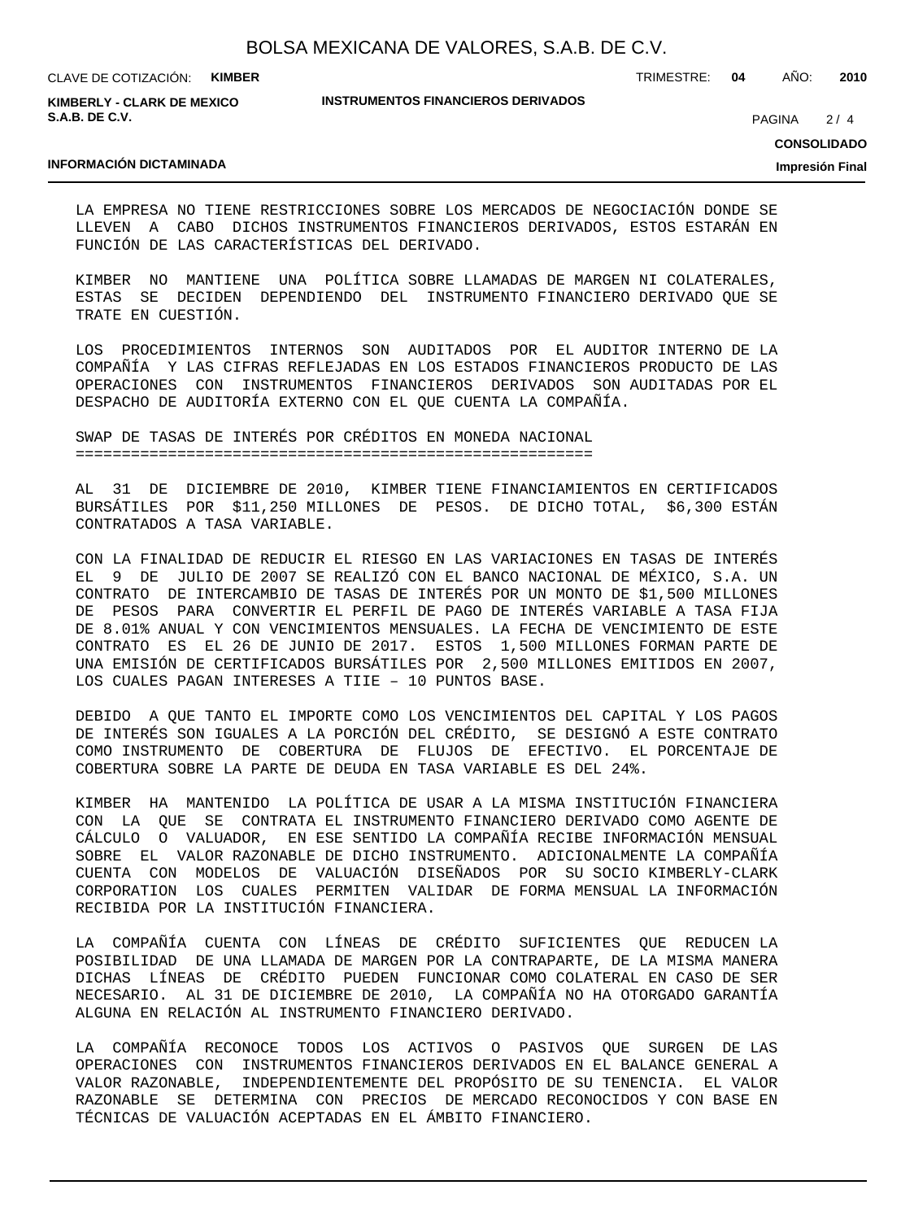**KIMBERLY - CLARK DE MEXICO S.A.B. DE C.V.**

**INSTRUMENTOS FINANCIEROS DERIVADOS**

TRIMESTRE: **04** AÑO: **2010**

 $2/4$ PAGINA

**CONSOLIDADO**

### **INFORMACIÓN DICTAMINADA**

**Impresión Final**

LA EMPRESA NO TIENE RESTRICCIONES SOBRE LOS MERCADOS DE NEGOCIACIÓN DONDE SE LLEVEN A CABO DICHOS INSTRUMENTOS FINANCIEROS DERIVADOS, ESTOS ESTARÁN EN FUNCIÓN DE LAS CARACTERÍSTICAS DEL DERIVADO.

KIMBER NO MANTIENE UNA POLÍTICA SOBRE LLAMADAS DE MARGEN NI COLATERALES, ESTAS SE DECIDEN DEPENDIENDO DEL INSTRUMENTO FINANCIERO DERIVADO QUE SE TRATE EN CUESTIÓN.

LOS PROCEDIMIENTOS INTERNOS SON AUDITADOS POR EL AUDITOR INTERNO DE LA COMPAÑÍA Y LAS CIFRAS REFLEJADAS EN LOS ESTADOS FINANCIEROS PRODUCTO DE LAS OPERACIONES CON INSTRUMENTOS FINANCIEROS DERIVADOS SON AUDITADAS POR EL DESPACHO DE AUDITORÍA EXTERNO CON EL QUE CUENTA LA COMPAÑÍA.

SWAP DE TASAS DE INTERÉS POR CRÉDITOS EN MONEDA NACIONAL ========================================================

AL 31 DE DICIEMBRE DE 2010, KIMBER TIENE FINANCIAMIENTOS EN CERTIFICADOS BURSÁTILES POR \$11,250 MILLONES DE PESOS. DE DICHO TOTAL, \$6,300 ESTÁN CONTRATADOS A TASA VARIABLE.

CON LA FINALIDAD DE REDUCIR EL RIESGO EN LAS VARIACIONES EN TASAS DE INTERÉS EL 9 DE JULIO DE 2007 SE REALIZÓ CON EL BANCO NACIONAL DE MÉXICO, S.A. UN CONTRATO DE INTERCAMBIO DE TASAS DE INTERÉS POR UN MONTO DE \$1,500 MILLONES DE PESOS PARA CONVERTIR EL PERFIL DE PAGO DE INTERÉS VARIABLE A TASA FIJA DE 8.01% ANUAL Y CON VENCIMIENTOS MENSUALES. LA FECHA DE VENCIMIENTO DE ESTE CONTRATO ES EL 26 DE JUNIO DE 2017. ESTOS 1,500 MILLONES FORMAN PARTE DE UNA EMISIÓN DE CERTIFICADOS BURSÁTILES POR 2,500 MILLONES EMITIDOS EN 2007, LOS CUALES PAGAN INTERESES A TIIE – 10 PUNTOS BASE.

DEBIDO A QUE TANTO EL IMPORTE COMO LOS VENCIMIENTOS DEL CAPITAL Y LOS PAGOS DE INTERÉS SON IGUALES A LA PORCIÓN DEL CRÉDITO, SE DESIGNÓ A ESTE CONTRATO COMO INSTRUMENTO DE COBERTURA DE FLUJOS DE EFECTIVO. EL PORCENTAJE DE COBERTURA SOBRE LA PARTE DE DEUDA EN TASA VARIABLE ES DEL 24%.

KIMBER HA MANTENIDO LA POLÍTICA DE USAR A LA MISMA INSTITUCIÓN FINANCIERA CON LA QUE SE CONTRATA EL INSTRUMENTO FINANCIERO DERIVADO COMO AGENTE DE CÁLCULO O VALUADOR, EN ESE SENTIDO LA COMPAÑÍA RECIBE INFORMACIÓN MENSUAL SOBRE EL VALOR RAZONABLE DE DICHO INSTRUMENTO. ADICIONALMENTE LA COMPAÑÍA CUENTA CON MODELOS DE VALUACIÓN DISEÑADOS POR SU SOCIO KIMBERLY-CLARK CORPORATION LOS CUALES PERMITEN VALIDAR DE FORMA MENSUAL LA INFORMACIÓN RECIBIDA POR LA INSTITUCIÓN FINANCIERA.

LA COMPAÑÍA CUENTA CON LÍNEAS DE CRÉDITO SUFICIENTES QUE REDUCEN LA POSIBILIDAD DE UNA LLAMADA DE MARGEN POR LA CONTRAPARTE, DE LA MISMA MANERA DICHAS LÍNEAS DE CRÉDITO PUEDEN FUNCIONAR COMO COLATERAL EN CASO DE SER NECESARIO. AL 31 DE DICIEMBRE DE 2010, LA COMPAÑÍA NO HA OTORGADO GARANTÍA ALGUNA EN RELACIÓN AL INSTRUMENTO FINANCIERO DERIVADO.

LA COMPAÑÍA RECONOCE TODOS LOS ACTIVOS O PASIVOS QUE SURGEN DE LAS OPERACIONES CON INSTRUMENTOS FINANCIEROS DERIVADOS EN EL BALANCE GENERAL A VALOR RAZONABLE, INDEPENDIENTEMENTE DEL PROPÓSITO DE SU TENENCIA. EL VALOR RAZONABLE SE DETERMINA CON PRECIOS DE MERCADO RECONOCIDOS Y CON BASE EN TÉCNICAS DE VALUACIÓN ACEPTADAS EN EL ÁMBITO FINANCIERO.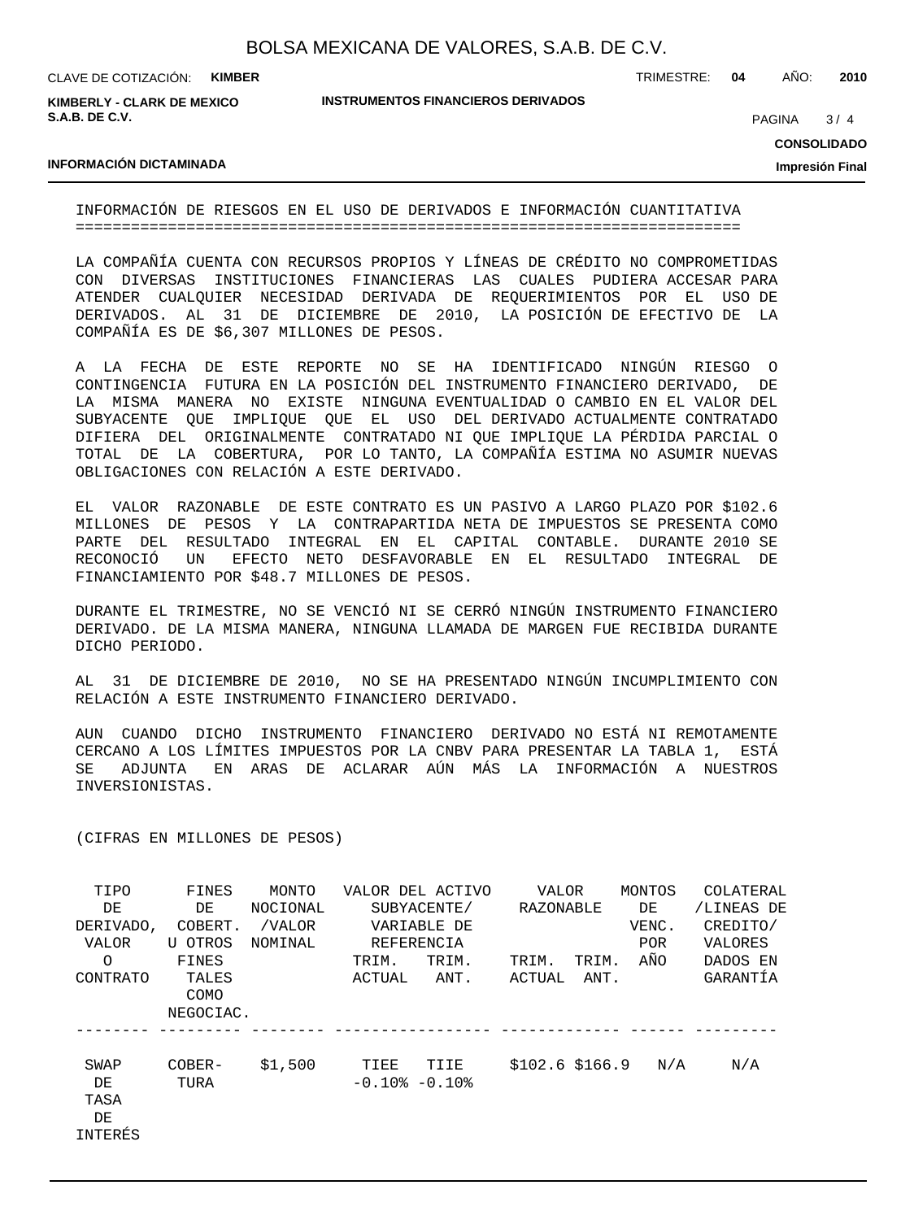| BOLSA MEXICANA DE VALORES, S.A.B. DE C.V. |  |  |
|-------------------------------------------|--|--|
|-------------------------------------------|--|--|

**KIMBERLY - CLARK DE MEXICO S.A.B. DE C.V.**

**INSTRUMENTOS FINANCIEROS DERIVADOS**

TRIMESTRE: **04** AÑO: **2010**

 $3/4$ **PAGINA** 

**CONSOLIDADO**

**Impresión Final**

### **INFORMACIÓN DICTAMINADA**

INFORMACIÓN DE RIESGOS EN EL USO DE DERIVADOS E INFORMACIÓN CUANTITATIVA ========================================================================

LA COMPAÑÍA CUENTA CON RECURSOS PROPIOS Y LÍNEAS DE CRÉDITO NO COMPROMETIDAS CON DIVERSAS INSTITUCIONES FINANCIERAS LAS CUALES PUDIERA ACCESAR PARA ATENDER CUALQUIER NECESIDAD DERIVADA DE REQUERIMIENTOS POR EL USO DE DERIVADOS. AL 31 DE DICIEMBRE DE 2010, LA POSICIÓN DE EFECTIVO DE LA COMPAÑÍA ES DE \$6,307 MILLONES DE PESOS.

A LA FECHA DE ESTE REPORTE NO SE HA IDENTIFICADO NINGÚN RIESGO O CONTINGENCIA FUTURA EN LA POSICIÓN DEL INSTRUMENTO FINANCIERO DERIVADO, DE LA MISMA MANERA NO EXISTE NINGUNA EVENTUALIDAD O CAMBIO EN EL VALOR DEL SUBYACENTE QUE IMPLIQUE QUE EL USO DEL DERIVADO ACTUALMENTE CONTRATADO DIFIERA DEL ORIGINALMENTE CONTRATADO NI QUE IMPLIQUE LA PÉRDIDA PARCIAL O TOTAL DE LA COBERTURA, POR LO TANTO, LA COMPAÑÍA ESTIMA NO ASUMIR NUEVAS OBLIGACIONES CON RELACIÓN A ESTE DERIVADO.

EL VALOR RAZONABLE DE ESTE CONTRATO ES UN PASIVO A LARGO PLAZO POR \$102.6 MILLONES DE PESOS Y LA CONTRAPARTIDA NETA DE IMPUESTOS SE PRESENTA COMO PARTE DEL RESULTADO INTEGRAL EN EL CAPITAL CONTABLE. DURANTE 2010 SE RECONOCIÓ UN EFECTO NETO DESFAVORABLE EN EL RESULTADO INTEGRAL DE FINANCIAMIENTO POR \$48.7 MILLONES DE PESOS.

DURANTE EL TRIMESTRE, NO SE VENCIÓ NI SE CERRÓ NINGÚN INSTRUMENTO FINANCIERO DERIVADO. DE LA MISMA MANERA, NINGUNA LLAMADA DE MARGEN FUE RECIBIDA DURANTE DICHO PERIODO.

AL 31 DE DICIEMBRE DE 2010, NO SE HA PRESENTADO NINGÚN INCUMPLIMIENTO CON RELACIÓN A ESTE INSTRUMENTO FINANCIERO DERIVADO.

AUN CUANDO DICHO INSTRUMENTO FINANCIERO DERIVADO NO ESTÁ NI REMOTAMENTE CERCANO A LOS LÍMITES IMPUESTOS POR LA CNBV PARA PRESENTAR LA TABLA 1, ESTÁ SE ADJUNTA EN ARAS DE ACLARAR AÚN MÁS LA INFORMACIÓN A NUESTROS INVERSIONISTAS.

(CIFRAS EN MILLONES DE PESOS)

| TIPO               | FINES          | MONTO    |                             | VALOR DEL ACTIVO | <b>VALOR</b>     |       | MONTOS     | COLATERAL  |
|--------------------|----------------|----------|-----------------------------|------------------|------------------|-------|------------|------------|
| DE                 | DE             | NOCIONAL |                             | SUBYACENTE/      | RAZONABLE        |       | DE         | /LINEAS DE |
| DERIVADO,          | COBERT.        | /VALOR   |                             | VARIABLE DE      |                  |       | VENC.      | CREDITO/   |
| VALOR              | U OTROS        | NOMINAL  |                             | REFERENCIA       |                  |       | <b>POR</b> | VALORES    |
| $\Omega$           | FINES          |          | TRIM.                       | TRIM.            | TRIM.            | TRIM. | AÑO        | DADOS EN   |
| <b>CONTRATO</b>    | TALES<br>COMO  |          | ACTUAL                      | ANT.             | ACTUAL           | ANT.  |            | GARANTÍA   |
|                    | NEGOCIAC.      |          |                             |                  |                  |       |            |            |
| SWAP<br>DE<br>TASA | COBER-<br>TURA | \$1,500  | TIEE<br>$-0.10$ % $-0.10$ % | TIIE             | $$102.6$ \$166.9 |       | N/A        | N/A        |
| DE                 |                |          |                             |                  |                  |       |            |            |
| INTERÉS            |                |          |                             |                  |                  |       |            |            |